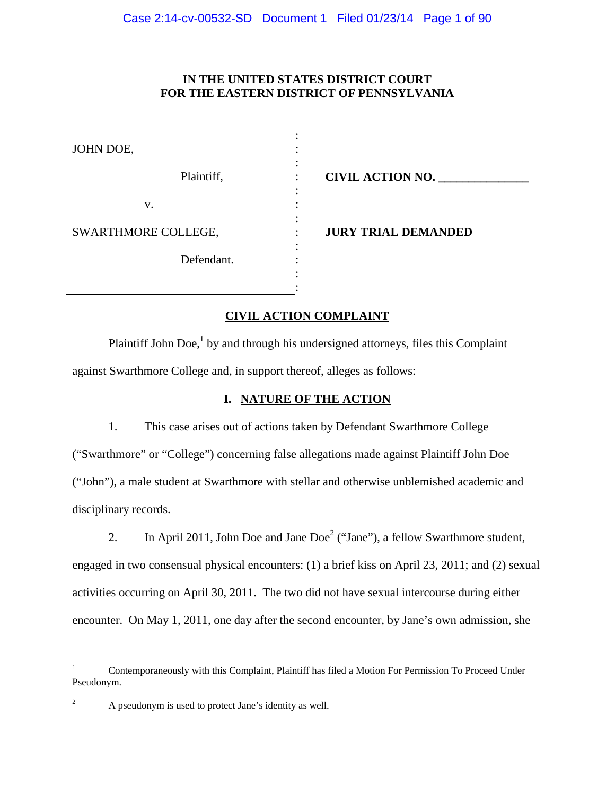## **IN THE UNITED STATES DISTRICT COURT FOR THE EASTERN DISTRICT OF PENNSYLVANIA**

| JOHN DOE,           |                            |
|---------------------|----------------------------|
| Plaintiff,          | <b>CIVIL ACTION NO.</b>    |
| v.                  |                            |
| SWARTHMORE COLLEGE, | <b>JURY TRIAL DEMANDED</b> |
| Defendant.          |                            |
|                     |                            |

## **CIVIL ACTION COMPLAINT**

Plaintiff John Doe,<sup>1</sup> by and through his undersigned attorneys, files this Complaint against Swarthmore College and, in support thereof, alleges as follows:

# **I. NATURE OF THE ACTION**

1. This case arises out of actions taken by Defendant Swarthmore College ("Swarthmore" or "College") concerning false allegations made against Plaintiff John Doe ("John"), a male student at Swarthmore with stellar and otherwise unblemished academic and disciplinary records.

2. In April 2011, John Doe and Jane Doe<sup>2</sup> ("Jane"), a fellow Swarthmore student, engaged in two consensual physical encounters: (1) a brief kiss on April 23, 2011; and (2) sexual activities occurring on April 30, 2011. The two did not have sexual intercourse during either encounter. On May 1, 2011, one day after the second encounter, by Jane's own admission, she

<sup>1</sup> Contemporaneously with this Complaint, Plaintiff has filed a Motion For Permission To Proceed Under Pseudonym.

<sup>&</sup>lt;sup>2</sup> A pseudonym is used to protect Jane's identity as well.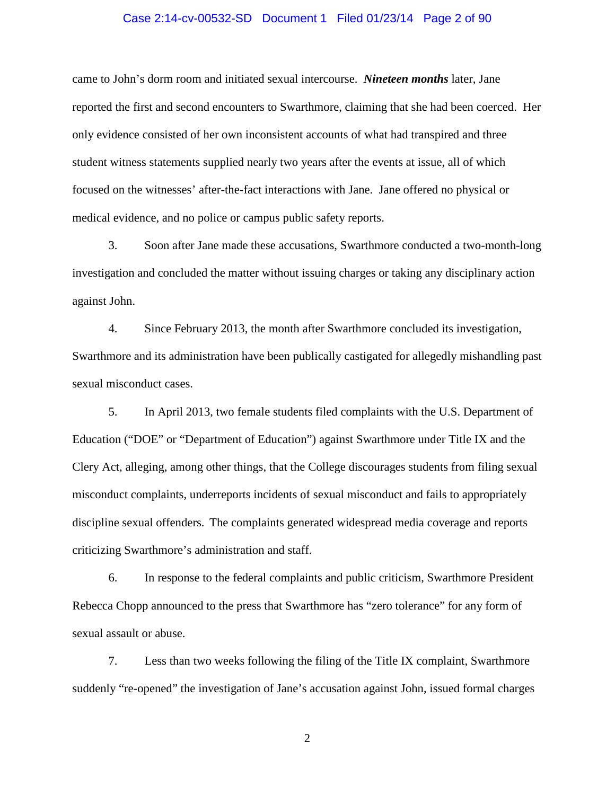### Case 2:14-cv-00532-SD Document 1 Filed 01/23/14 Page 2 of 90

came to John's dorm room and initiated sexual intercourse. *Nineteen months* later, Jane reported the first and second encounters to Swarthmore, claiming that she had been coerced. Her only evidence consisted of her own inconsistent accounts of what had transpired and three student witness statements supplied nearly two years after the events at issue, all of which focused on the witnesses' after-the-fact interactions with Jane. Jane offered no physical or medical evidence, and no police or campus public safety reports.

3. Soon after Jane made these accusations, Swarthmore conducted a two-month-long investigation and concluded the matter without issuing charges or taking any disciplinary action against John.

4. Since February 2013, the month after Swarthmore concluded its investigation, Swarthmore and its administration have been publically castigated for allegedly mishandling past sexual misconduct cases.

5. In April 2013, two female students filed complaints with the U.S. Department of Education ("DOE" or "Department of Education") against Swarthmore under Title IX and the Clery Act, alleging, among other things, that the College discourages students from filing sexual misconduct complaints, underreports incidents of sexual misconduct and fails to appropriately discipline sexual offenders. The complaints generated widespread media coverage and reports criticizing Swarthmore's administration and staff.

6. In response to the federal complaints and public criticism, Swarthmore President Rebecca Chopp announced to the press that Swarthmore has "zero tolerance" for any form of sexual assault or abuse.

7. Less than two weeks following the filing of the Title IX complaint, Swarthmore suddenly "re-opened" the investigation of Jane's accusation against John, issued formal charges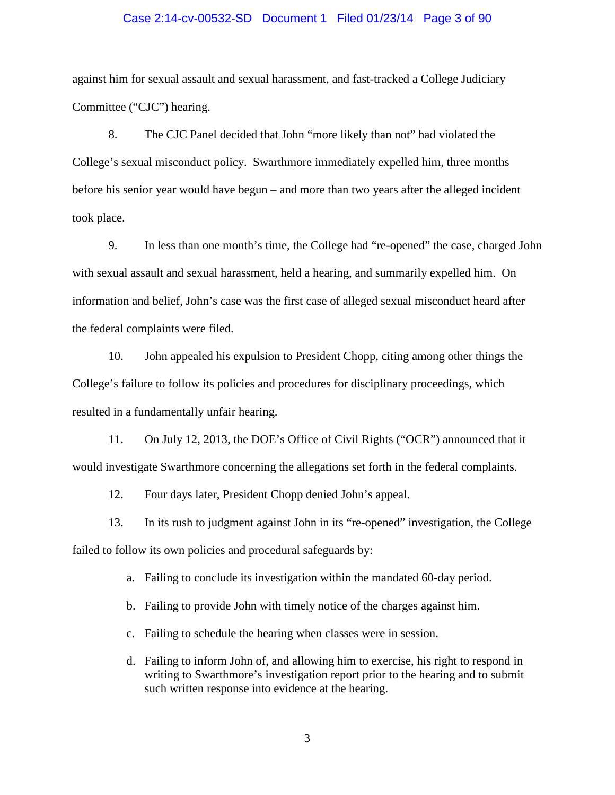### Case 2:14-cv-00532-SD Document 1 Filed 01/23/14 Page 3 of 90

against him for sexual assault and sexual harassment, and fast-tracked a College Judiciary Committee ("CJC") hearing.

8. The CJC Panel decided that John "more likely than not" had violated the College's sexual misconduct policy. Swarthmore immediately expelled him, three months before his senior year would have begun – and more than two years after the alleged incident took place.

9. In less than one month's time, the College had "re-opened" the case, charged John with sexual assault and sexual harassment, held a hearing, and summarily expelled him. On information and belief, John's case was the first case of alleged sexual misconduct heard after the federal complaints were filed.

10. John appealed his expulsion to President Chopp, citing among other things the College's failure to follow its policies and procedures for disciplinary proceedings, which resulted in a fundamentally unfair hearing.

11. On July 12, 2013, the DOE's Office of Civil Rights ("OCR") announced that it would investigate Swarthmore concerning the allegations set forth in the federal complaints.

12. Four days later, President Chopp denied John's appeal.

13. In its rush to judgment against John in its "re-opened" investigation, the College failed to follow its own policies and procedural safeguards by:

a. Failing to conclude its investigation within the mandated 60-day period.

b. Failing to provide John with timely notice of the charges against him.

c. Failing to schedule the hearing when classes were in session.

d. Failing to inform John of, and allowing him to exercise, his right to respond in writing to Swarthmore's investigation report prior to the hearing and to submit such written response into evidence at the hearing.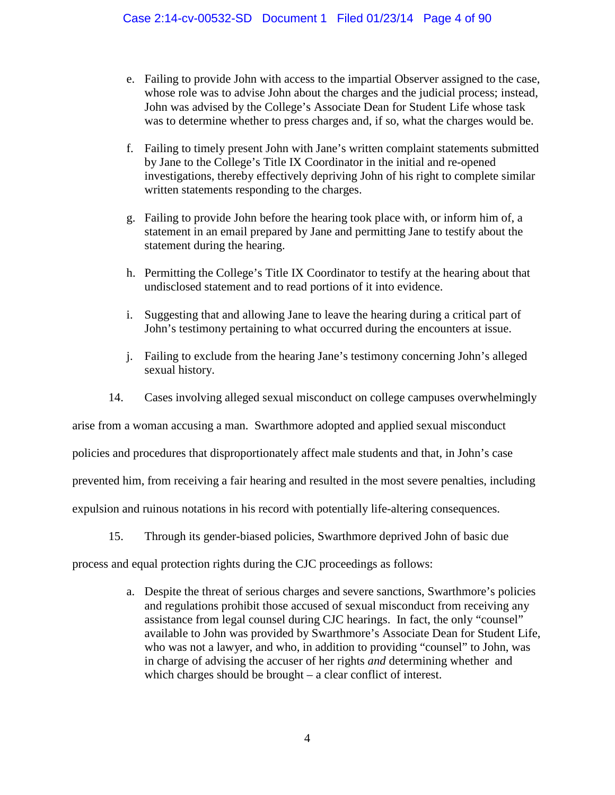- e. Failing to provide John with access to the impartial Observer assigned to the case, whose role was to advise John about the charges and the judicial process; instead, John was advised by the College's Associate Dean for Student Life whose task was to determine whether to press charges and, if so, what the charges would be.
- f. Failing to timely present John with Jane's written complaint statements submitted by Jane to the College's Title IX Coordinator in the initial and re-opened investigations, thereby effectively depriving John of his right to complete similar written statements responding to the charges.
- g. Failing to provide John before the hearing took place with, or inform him of, a statement in an email prepared by Jane and permitting Jane to testify about the statement during the hearing.
- h. Permitting the College's Title IX Coordinator to testify at the hearing about that undisclosed statement and to read portions of it into evidence.
- i. Suggesting that and allowing Jane to leave the hearing during a critical part of John's testimony pertaining to what occurred during the encounters at issue.
- j. Failing to exclude from the hearing Jane's testimony concerning John's alleged sexual history.
- 14. Cases involving alleged sexual misconduct on college campuses overwhelmingly

arise from a woman accusing a man. Swarthmore adopted and applied sexual misconduct

policies and procedures that disproportionately affect male students and that, in John's case

prevented him, from receiving a fair hearing and resulted in the most severe penalties, including

expulsion and ruinous notations in his record with potentially life-altering consequences.

15. Through its gender-biased policies, Swarthmore deprived John of basic due

process and equal protection rights during the CJC proceedings as follows:

a. Despite the threat of serious charges and severe sanctions, Swarthmore's policies and regulations prohibit those accused of sexual misconduct from receiving any assistance from legal counsel during CJC hearings. In fact, the only "counsel" available to John was provided by Swarthmore's Associate Dean for Student Life, who was not a lawyer, and who, in addition to providing "counsel" to John, was in charge of advising the accuser of her rights *and* determining whether and which charges should be brought – a clear conflict of interest.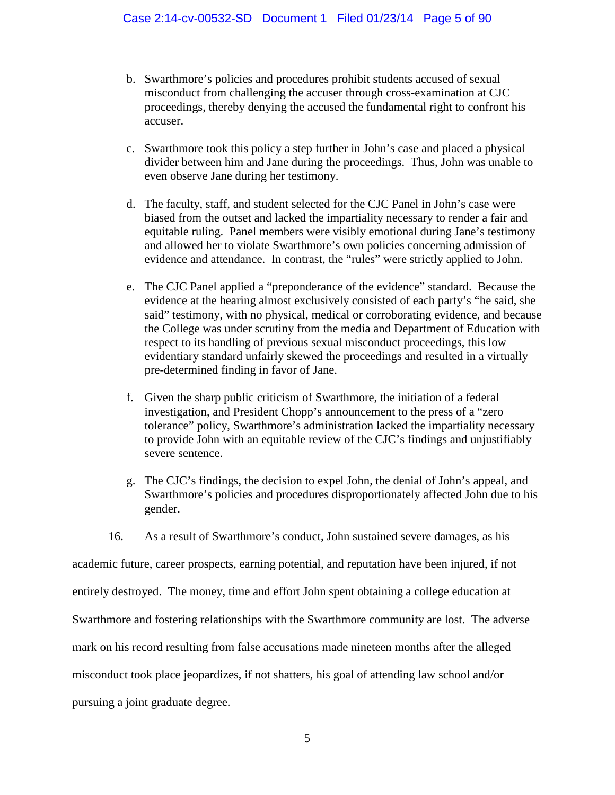- b. Swarthmore's policies and procedures prohibit students accused of sexual misconduct from challenging the accuser through cross-examination at CJC proceedings, thereby denying the accused the fundamental right to confront his accuser.
- c. Swarthmore took this policy a step further in John's case and placed a physical divider between him and Jane during the proceedings. Thus, John was unable to even observe Jane during her testimony.
- d. The faculty, staff, and student selected for the CJC Panel in John's case were biased from the outset and lacked the impartiality necessary to render a fair and equitable ruling. Panel members were visibly emotional during Jane's testimony and allowed her to violate Swarthmore's own policies concerning admission of evidence and attendance. In contrast, the "rules" were strictly applied to John.
- e. The CJC Panel applied a "preponderance of the evidence" standard. Because the evidence at the hearing almost exclusively consisted of each party's "he said, she said" testimony, with no physical, medical or corroborating evidence, and because the College was under scrutiny from the media and Department of Education with respect to its handling of previous sexual misconduct proceedings, this low evidentiary standard unfairly skewed the proceedings and resulted in a virtually pre-determined finding in favor of Jane.
- f. Given the sharp public criticism of Swarthmore, the initiation of a federal investigation, and President Chopp's announcement to the press of a "zero tolerance" policy, Swarthmore's administration lacked the impartiality necessary to provide John with an equitable review of the CJC's findings and unjustifiably severe sentence.
- g. The CJC's findings, the decision to expel John, the denial of John's appeal, and Swarthmore's policies and procedures disproportionately affected John due to his gender.
- 16. As a result of Swarthmore's conduct, John sustained severe damages, as his

academic future, career prospects, earning potential, and reputation have been injured, if not entirely destroyed. The money, time and effort John spent obtaining a college education at Swarthmore and fostering relationships with the Swarthmore community are lost. The adverse mark on his record resulting from false accusations made nineteen months after the alleged misconduct took place jeopardizes, if not shatters, his goal of attending law school and/or pursuing a joint graduate degree.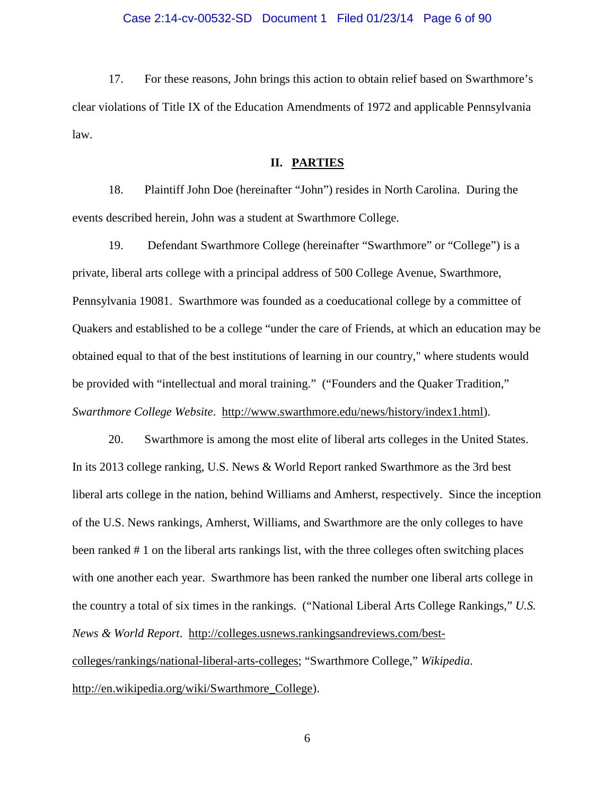### Case 2:14-cv-00532-SD Document 1 Filed 01/23/14 Page 6 of 90

17. For these reasons, John brings this action to obtain relief based on Swarthmore's clear violations of Title IX of the Education Amendments of 1972 and applicable Pennsylvania law.

## **II. PARTIES**

18. Plaintiff John Doe (hereinafter "John") resides in North Carolina. During the events described herein, John was a student at Swarthmore College.

19. Defendant Swarthmore College (hereinafter "Swarthmore" or "College") is a private, liberal arts college with a principal address of 500 College Avenue, Swarthmore, Pennsylvania 19081. Swarthmore was founded as a coeducational college by a committee of Quakers and established to be a college "under the care of Friends, at which an education may be obtained equal to that of the best institutions of learning in our country," where students would be provided with "intellectual and moral training." ("Founders and the Quaker Tradition," *Swarthmore College Website*. http://www.swarthmore.edu/news/history/index1.html).

20. Swarthmore is among the most elite of liberal arts colleges in the United States. In its 2013 college ranking, U.S. News & World Report ranked Swarthmore as the 3rd best liberal arts college in the nation, behind Williams and Amherst, respectively. Since the inception of the U.S. News rankings, Amherst, Williams, and Swarthmore are the only colleges to have been ranked # 1 on the liberal arts rankings list, with the three colleges often switching places with one another each year. Swarthmore has been ranked the number one liberal arts college in the country a total of six times in the rankings. ("National Liberal Arts College Rankings," *U.S. News & World Report*. http://colleges.usnews.rankingsandreviews.com/bestcolleges/rankings/national-liberal-arts-colleges; "Swarthmore College," *Wikipedia*. http://en.wikipedia.org/wiki/Swarthmore\_College).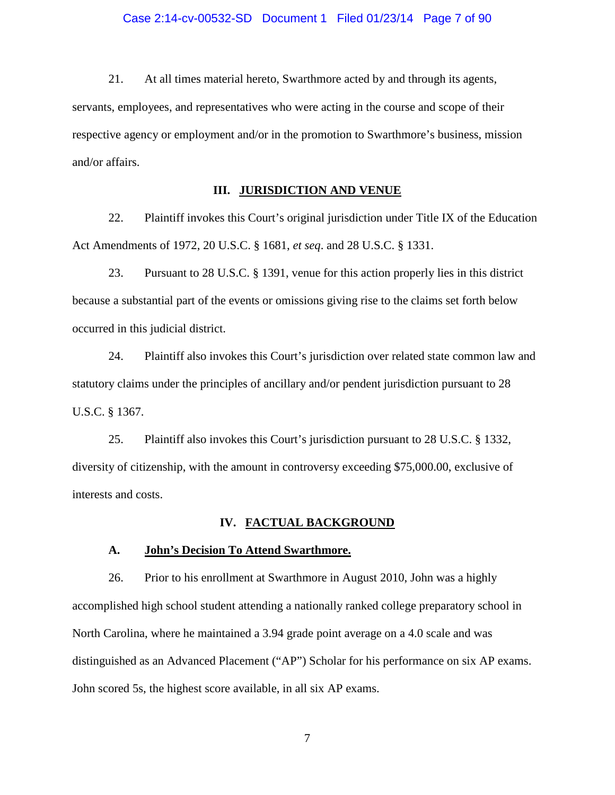21. At all times material hereto, Swarthmore acted by and through its agents, servants, employees, and representatives who were acting in the course and scope of their respective agency or employment and/or in the promotion to Swarthmore's business, mission and/or affairs.

## **III. JURISDICTION AND VENUE**

22. Plaintiff invokes this Court's original jurisdiction under Title IX of the Education Act Amendments of 1972, 20 U.S.C. § 1681, *et seq*. and 28 U.S.C. § 1331.

23. Pursuant to 28 U.S.C. § 1391, venue for this action properly lies in this district because a substantial part of the events or omissions giving rise to the claims set forth below occurred in this judicial district.

24. Plaintiff also invokes this Court's jurisdiction over related state common law and statutory claims under the principles of ancillary and/or pendent jurisdiction pursuant to 28 U.S.C. § 1367.

25. Plaintiff also invokes this Court's jurisdiction pursuant to 28 U.S.C. § 1332, diversity of citizenship, with the amount in controversy exceeding \$75,000.00, exclusive of interests and costs.

#### **IV. FACTUAL BACKGROUND**

#### **A. John's Decision To Attend Swarthmore.**

26. Prior to his enrollment at Swarthmore in August 2010, John was a highly accomplished high school student attending a nationally ranked college preparatory school in North Carolina, where he maintained a 3.94 grade point average on a 4.0 scale and was distinguished as an Advanced Placement ("AP") Scholar for his performance on six AP exams. John scored 5s, the highest score available, in all six AP exams.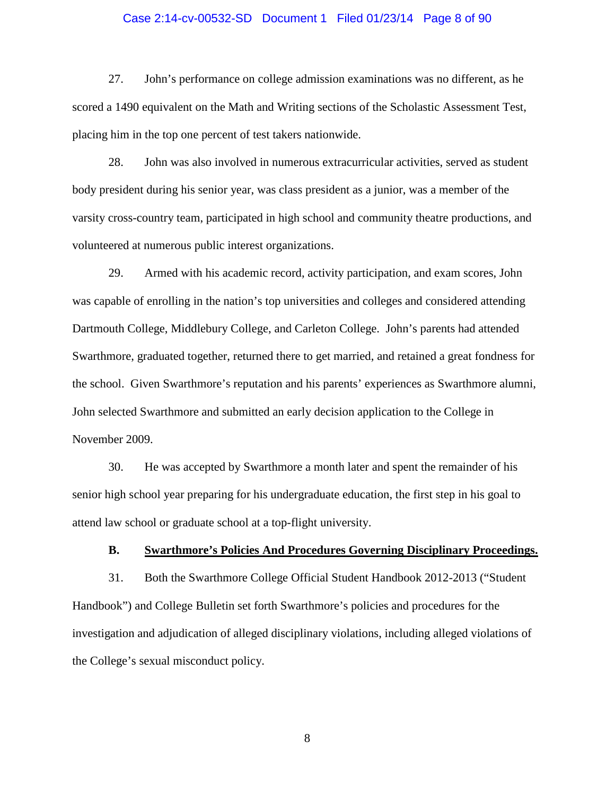### Case 2:14-cv-00532-SD Document 1 Filed 01/23/14 Page 8 of 90

27. John's performance on college admission examinations was no different, as he scored a 1490 equivalent on the Math and Writing sections of the Scholastic Assessment Test, placing him in the top one percent of test takers nationwide.

28. John was also involved in numerous extracurricular activities, served as student body president during his senior year, was class president as a junior, was a member of the varsity cross-country team, participated in high school and community theatre productions, and volunteered at numerous public interest organizations.

29. Armed with his academic record, activity participation, and exam scores, John was capable of enrolling in the nation's top universities and colleges and considered attending Dartmouth College, Middlebury College, and Carleton College. John's parents had attended Swarthmore, graduated together, returned there to get married, and retained a great fondness for the school. Given Swarthmore's reputation and his parents' experiences as Swarthmore alumni, John selected Swarthmore and submitted an early decision application to the College in November 2009.

30. He was accepted by Swarthmore a month later and spent the remainder of his senior high school year preparing for his undergraduate education, the first step in his goal to attend law school or graduate school at a top-flight university.

### **B. Swarthmore's Policies And Procedures Governing Disciplinary Proceedings.**

31. Both the Swarthmore College Official Student Handbook 2012-2013 ("Student Handbook") and College Bulletin set forth Swarthmore's policies and procedures for the investigation and adjudication of alleged disciplinary violations, including alleged violations of the College's sexual misconduct policy.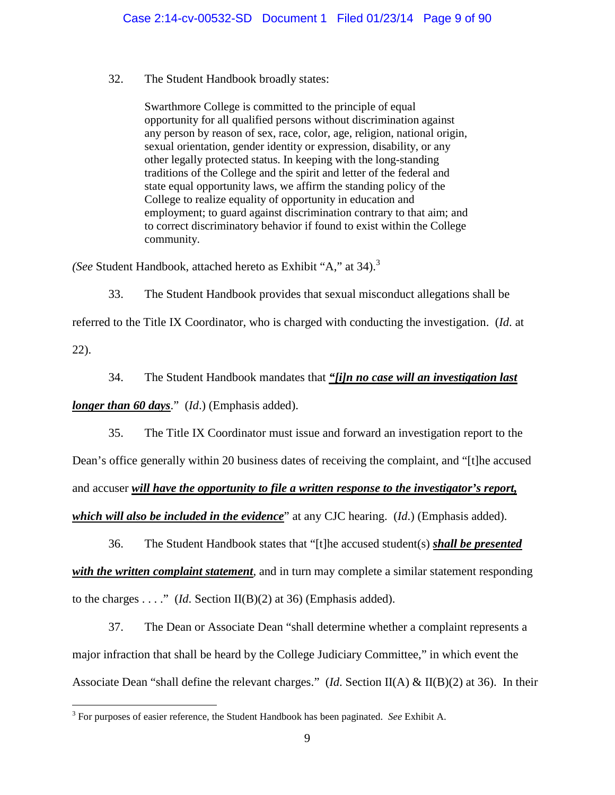### 32. The Student Handbook broadly states:

Swarthmore College is committed to the principle of equal opportunity for all qualified persons without discrimination against any person by reason of sex, race, color, age, religion, national origin, sexual orientation, gender identity or expression, disability, or any other legally protected status. In keeping with the long-standing traditions of the College and the spirit and letter of the federal and state equal opportunity laws, we affirm the standing policy of the College to realize equality of opportunity in education and employment; to guard against discrimination contrary to that aim; and to correct discriminatory behavior if found to exist within the College community.

*(See* Student Handbook, attached hereto as Exhibit "A," at 34).<sup>3</sup>

33. The Student Handbook provides that sexual misconduct allegations shall be

referred to the Title IX Coordinator, who is charged with conducting the investigation. (*Id*. at 22).

34. The Student Handbook mandates that *"[i]n no case will an investigation last longer than 60 days*." (*Id*.) (Emphasis added).

35. The Title IX Coordinator must issue and forward an investigation report to the Dean's office generally within 20 business dates of receiving the complaint, and "[t]he accused and accuser *will have the opportunity to file a written response to the investigator's report, which will also be included in the evidence*" at any CJC hearing. (*Id*.) (Emphasis added).

36. The Student Handbook states that "[t]he accused student(s) *shall be presented with the written complaint statement*, and in turn may complete a similar statement responding to the charges  $\dots$ ." (*Id.* Section II(B)(2) at 36) (Emphasis added).

37. The Dean or Associate Dean "shall determine whether a complaint represents a major infraction that shall be heard by the College Judiciary Committee," in which event the Associate Dean "shall define the relevant charges." (*Id*. Section II(A) & II(B)(2) at 36). In their

<sup>3</sup> For purposes of easier reference, the Student Handbook has been paginated. *See* Exhibit A.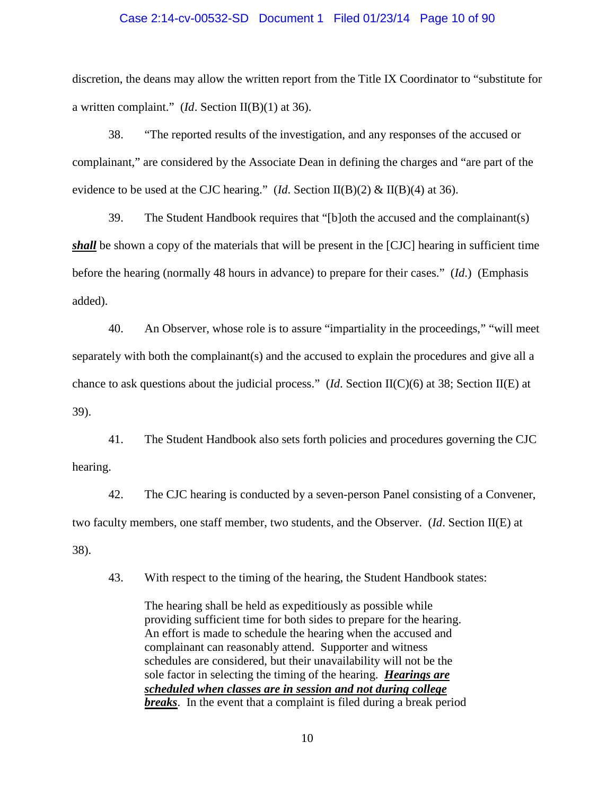### Case 2:14-cv-00532-SD Document 1 Filed 01/23/14 Page 10 of 90

discretion, the deans may allow the written report from the Title IX Coordinator to "substitute for a written complaint." (*Id*. Section II(B)(1) at 36).

38. "The reported results of the investigation, and any responses of the accused or complainant," are considered by the Associate Dean in defining the charges and "are part of the evidence to be used at the CJC hearing." (*Id*. Section II(B)(2) & II(B)(4) at 36).

39. The Student Handbook requires that "[b]oth the accused and the complainant(s) *shall* be shown a copy of the materials that will be present in the [CJC] hearing in sufficient time before the hearing (normally 48 hours in advance) to prepare for their cases." (*Id*.) (Emphasis added).

40. An Observer, whose role is to assure "impartiality in the proceedings," "will meet separately with both the complainant(s) and the accused to explain the procedures and give all a chance to ask questions about the judicial process." (*Id*. Section II(C)(6) at 38; Section II(E) at 39).

41. The Student Handbook also sets forth policies and procedures governing the CJC hearing.

42. The CJC hearing is conducted by a seven-person Panel consisting of a Convener, two faculty members, one staff member, two students, and the Observer. (*Id*. Section II(E) at 38).

43. With respect to the timing of the hearing, the Student Handbook states:

The hearing shall be held as expeditiously as possible while providing sufficient time for both sides to prepare for the hearing. An effort is made to schedule the hearing when the accused and complainant can reasonably attend. Supporter and witness schedules are considered, but their unavailability will not be the sole factor in selecting the timing of the hearing. *Hearings are scheduled when classes are in session and not during college breaks*. In the event that a complaint is filed during a break period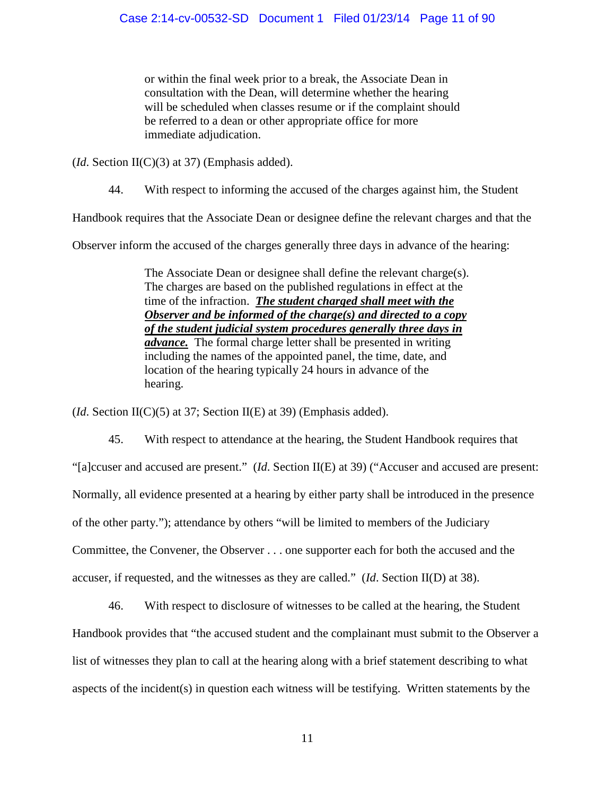or within the final week prior to a break, the Associate Dean in consultation with the Dean, will determine whether the hearing will be scheduled when classes resume or if the complaint should be referred to a dean or other appropriate office for more immediate adjudication.

(*Id*. Section II(C)(3) at 37) (Emphasis added).

44. With respect to informing the accused of the charges against him, the Student

Handbook requires that the Associate Dean or designee define the relevant charges and that the

Observer inform the accused of the charges generally three days in advance of the hearing:

The Associate Dean or designee shall define the relevant charge(s). The charges are based on the published regulations in effect at the time of the infraction. *The student charged shall meet with the Observer and be informed of the charge(s) and directed to a copy of the student judicial system procedures generally three days in advance.* The formal charge letter shall be presented in writing including the names of the appointed panel, the time, date, and location of the hearing typically 24 hours in advance of the hearing.

(*Id*. Section II(C)(5) at 37; Section II(E) at 39) (Emphasis added).

45. With respect to attendance at the hearing, the Student Handbook requires that "[a]ccuser and accused are present." (*Id*. Section II(E) at 39) ("Accuser and accused are present: Normally, all evidence presented at a hearing by either party shall be introduced in the presence of the other party."); attendance by others "will be limited to members of the Judiciary Committee, the Convener, the Observer . . . one supporter each for both the accused and the accuser, if requested, and the witnesses as they are called." (*Id*. Section II(D) at 38).

46. With respect to disclosure of witnesses to be called at the hearing, the Student Handbook provides that "the accused student and the complainant must submit to the Observer a list of witnesses they plan to call at the hearing along with a brief statement describing to what aspects of the incident(s) in question each witness will be testifying. Written statements by the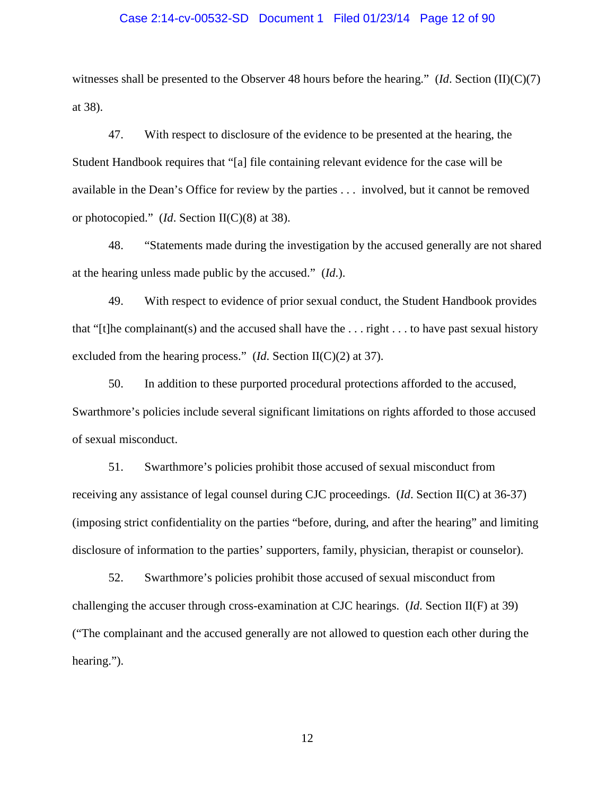#### Case 2:14-cv-00532-SD Document 1 Filed 01/23/14 Page 12 of 90

witnesses shall be presented to the Observer 48 hours before the hearing." (*Id*. Section (II)(C)(7) at 38).

47. With respect to disclosure of the evidence to be presented at the hearing, the Student Handbook requires that "[a] file containing relevant evidence for the case will be available in the Dean's Office for review by the parties . . . involved, but it cannot be removed or photocopied." (*Id*. Section II(C)(8) at 38).

48. "Statements made during the investigation by the accused generally are not shared at the hearing unless made public by the accused." (*Id*.).

49. With respect to evidence of prior sexual conduct, the Student Handbook provides that "[t]he complainant(s) and the accused shall have the  $\dots$  right  $\dots$  to have past sexual history excluded from the hearing process." (*Id*. Section II(C)(2) at 37).

50. In addition to these purported procedural protections afforded to the accused, Swarthmore's policies include several significant limitations on rights afforded to those accused of sexual misconduct.

51. Swarthmore's policies prohibit those accused of sexual misconduct from receiving any assistance of legal counsel during CJC proceedings. (*Id*. Section II(C) at 36-37) (imposing strict confidentiality on the parties "before, during, and after the hearing" and limiting disclosure of information to the parties' supporters, family, physician, therapist or counselor).

52. Swarthmore's policies prohibit those accused of sexual misconduct from challenging the accuser through cross-examination at CJC hearings. (*Id*. Section II(F) at 39) ("The complainant and the accused generally are not allowed to question each other during the hearing.").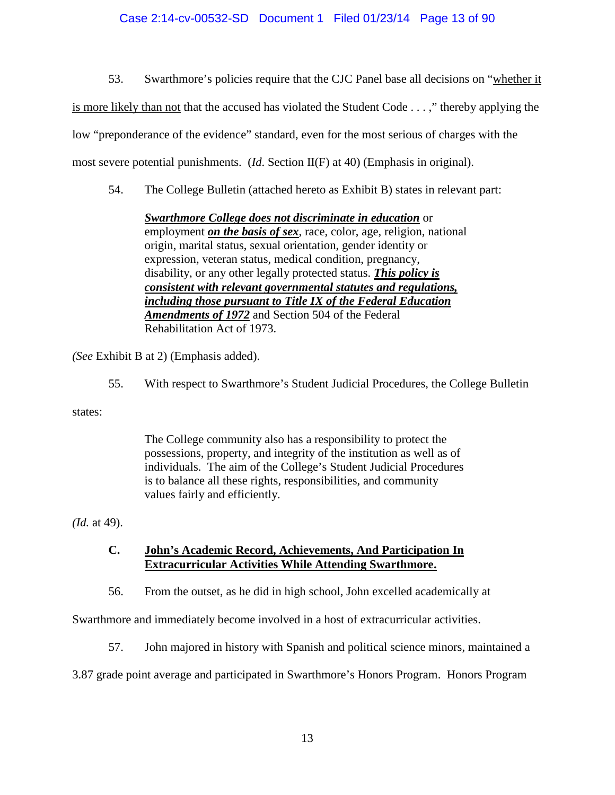## Case 2:14-cv-00532-SD Document 1 Filed 01/23/14 Page 13 of 90

53. Swarthmore's policies require that the CJC Panel base all decisions on "whether it

is more likely than not that the accused has violated the Student Code . . . ," thereby applying the

low "preponderance of the evidence" standard, even for the most serious of charges with the

most severe potential punishments. (*Id*. Section II(F) at 40) (Emphasis in original).

54. The College Bulletin (attached hereto as Exhibit B) states in relevant part:

*Swarthmore College does not discriminate in education* or employment *on the basis of sex*, race, color, age, religion, national origin, marital status, sexual orientation, gender identity or expression, veteran status, medical condition, pregnancy, disability, or any other legally protected status. *This policy is consistent with relevant governmental statutes and regulations, including those pursuant to Title IX of the Federal Education Amendments of 1972* and Section 504 of the Federal Rehabilitation Act of 1973.

*(See* Exhibit B at 2) (Emphasis added).

55. With respect to Swarthmore's Student Judicial Procedures, the College Bulletin

states:

The College community also has a responsibility to protect the possessions, property, and integrity of the institution as well as of individuals. The aim of the College's Student Judicial Procedures is to balance all these rights, responsibilities, and community values fairly and efficiently.

*(Id.* at 49).

**C. John's Academic Record, Achievements, And Participation In Extracurricular Activities While Attending Swarthmore.**

56. From the outset, as he did in high school, John excelled academically at

Swarthmore and immediately become involved in a host of extracurricular activities.

57. John majored in history with Spanish and political science minors, maintained a

3.87 grade point average and participated in Swarthmore's Honors Program. Honors Program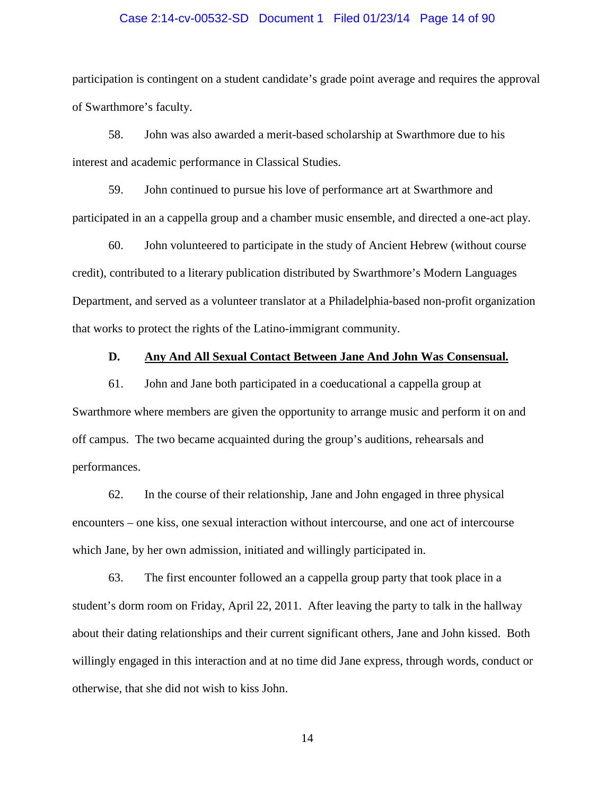### Case 2:14-cv-00532-SD Document 1 Filed 01/23/14 Page 14 of 90

participation is contingent on a student candidate's grade point average and requires the approval of Swarthmore's faculty.

58. John was also awarded a merit-based scholarship at Swarthmore due to his interest and academic performance in Classical Studies.

59. John continued to pursue his love of performance art at Swarthmore and participated in an a cappella group and a chamber music ensemble, and directed a one-act play.

60. John volunteered to participate in the study of Ancient Hebrew (without course credit), contributed to a literary publication distributed by Swarthmore's Modern Languages Department, and served as a volunteer translator at a Philadelphia-based non-profit organization that works to protect the rights of the Latino-immigrant community.

### **D. Any And All Sexual Contact Between Jane And John Was Consensual.**

61. John and Jane both participated in a coeducational a cappella group at Swarthmore where members are given the opportunity to arrange music and perform it on and off campus. The two became acquainted during the group's auditions, rehearsals and performances.

62. In the course of their relationship, Jane and John engaged in three physical encounters – one kiss, one sexual interaction without intercourse, and one act of intercourse which Jane, by her own admission, initiated and willingly participated in.

63. The first encounter followed an a cappella group party that took place in a student's dorm room on Friday, April 22, 2011. After leaving the party to talk in the hallway about their dating relationships and their current significant others, Jane and John kissed. Both willingly engaged in this interaction and at no time did Jane express, through words, conduct or otherwise, that she did not wish to kiss John.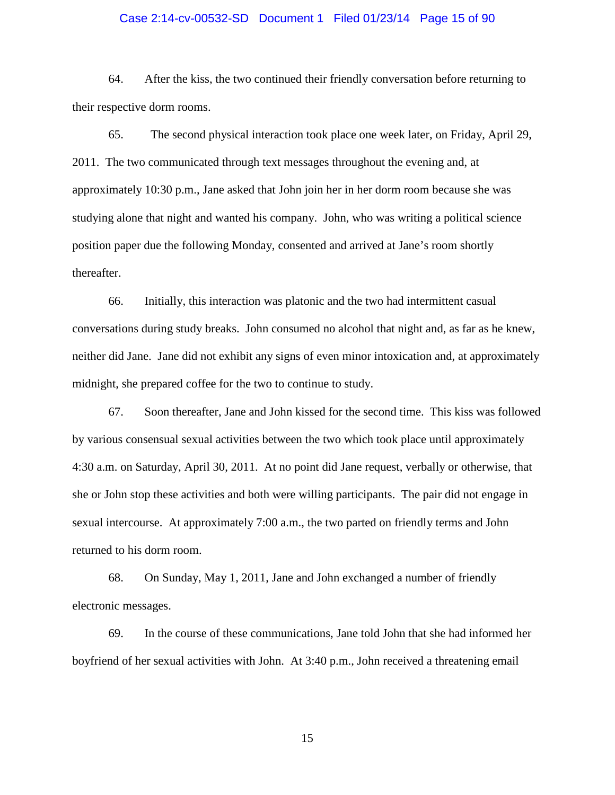### Case 2:14-cv-00532-SD Document 1 Filed 01/23/14 Page 15 of 90

64. After the kiss, the two continued their friendly conversation before returning to their respective dorm rooms.

65. The second physical interaction took place one week later, on Friday, April 29, 2011. The two communicated through text messages throughout the evening and, at approximately 10:30 p.m., Jane asked that John join her in her dorm room because she was studying alone that night and wanted his company. John, who was writing a political science position paper due the following Monday, consented and arrived at Jane's room shortly thereafter.

66. Initially, this interaction was platonic and the two had intermittent casual conversations during study breaks. John consumed no alcohol that night and, as far as he knew, neither did Jane. Jane did not exhibit any signs of even minor intoxication and, at approximately midnight, she prepared coffee for the two to continue to study.

67. Soon thereafter, Jane and John kissed for the second time. This kiss was followed by various consensual sexual activities between the two which took place until approximately 4:30 a.m. on Saturday, April 30, 2011. At no point did Jane request, verbally or otherwise, that she or John stop these activities and both were willing participants. The pair did not engage in sexual intercourse. At approximately 7:00 a.m., the two parted on friendly terms and John returned to his dorm room.

68. On Sunday, May 1, 2011, Jane and John exchanged a number of friendly electronic messages.

69. In the course of these communications, Jane told John that she had informed her boyfriend of her sexual activities with John. At 3:40 p.m., John received a threatening email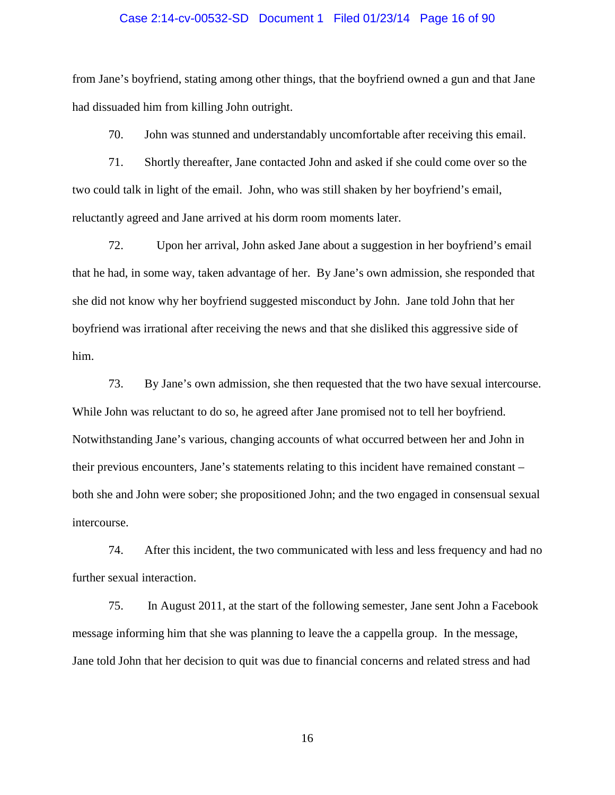### Case 2:14-cv-00532-SD Document 1 Filed 01/23/14 Page 16 of 90

from Jane's boyfriend, stating among other things, that the boyfriend owned a gun and that Jane had dissuaded him from killing John outright.

70. John was stunned and understandably uncomfortable after receiving this email.

71. Shortly thereafter, Jane contacted John and asked if she could come over so the two could talk in light of the email. John, who was still shaken by her boyfriend's email, reluctantly agreed and Jane arrived at his dorm room moments later.

72. Upon her arrival, John asked Jane about a suggestion in her boyfriend's email that he had, in some way, taken advantage of her. By Jane's own admission, she responded that she did not know why her boyfriend suggested misconduct by John. Jane told John that her boyfriend was irrational after receiving the news and that she disliked this aggressive side of him.

73. By Jane's own admission, she then requested that the two have sexual intercourse. While John was reluctant to do so, he agreed after Jane promised not to tell her boyfriend. Notwithstanding Jane's various, changing accounts of what occurred between her and John in their previous encounters, Jane's statements relating to this incident have remained constant – both she and John were sober; she propositioned John; and the two engaged in consensual sexual intercourse.

74. After this incident, the two communicated with less and less frequency and had no further sexual interaction.

75. In August 2011, at the start of the following semester, Jane sent John a Facebook message informing him that she was planning to leave the a cappella group. In the message, Jane told John that her decision to quit was due to financial concerns and related stress and had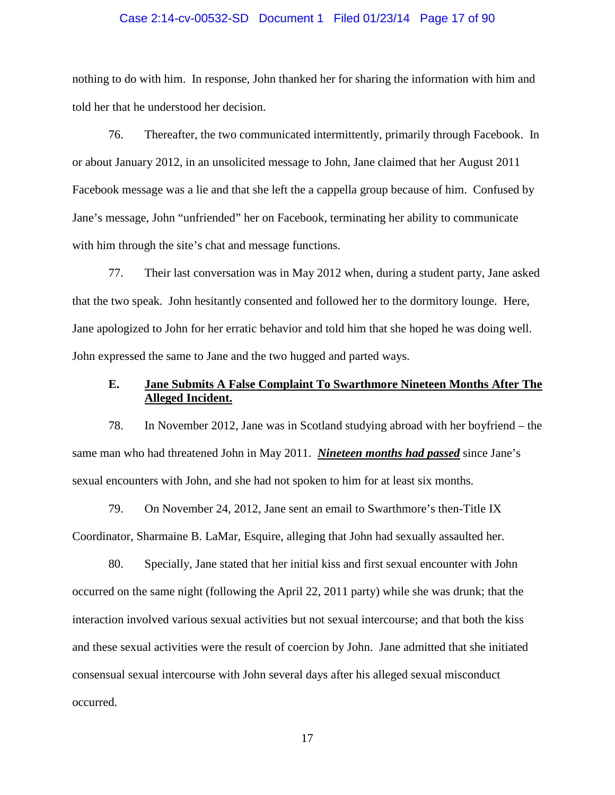### Case 2:14-cv-00532-SD Document 1 Filed 01/23/14 Page 17 of 90

nothing to do with him. In response, John thanked her for sharing the information with him and told her that he understood her decision.

76. Thereafter, the two communicated intermittently, primarily through Facebook. In or about January 2012, in an unsolicited message to John, Jane claimed that her August 2011 Facebook message was a lie and that she left the a cappella group because of him. Confused by Jane's message, John "unfriended" her on Facebook, terminating her ability to communicate with him through the site's chat and message functions.

77. Their last conversation was in May 2012 when, during a student party, Jane asked that the two speak. John hesitantly consented and followed her to the dormitory lounge. Here, Jane apologized to John for her erratic behavior and told him that she hoped he was doing well. John expressed the same to Jane and the two hugged and parted ways.

## **E. Jane Submits A False Complaint To Swarthmore Nineteen Months After The Alleged Incident.**

78. In November 2012, Jane was in Scotland studying abroad with her boyfriend – the same man who had threatened John in May 2011. *Nineteen months had passed* since Jane's sexual encounters with John, and she had not spoken to him for at least six months.

79. On November 24, 2012, Jane sent an email to Swarthmore's then-Title IX Coordinator, Sharmaine B. LaMar, Esquire, alleging that John had sexually assaulted her.

80. Specially, Jane stated that her initial kiss and first sexual encounter with John occurred on the same night (following the April 22, 2011 party) while she was drunk; that the interaction involved various sexual activities but not sexual intercourse; and that both the kiss and these sexual activities were the result of coercion by John. Jane admitted that she initiated consensual sexual intercourse with John several days after his alleged sexual misconduct occurred.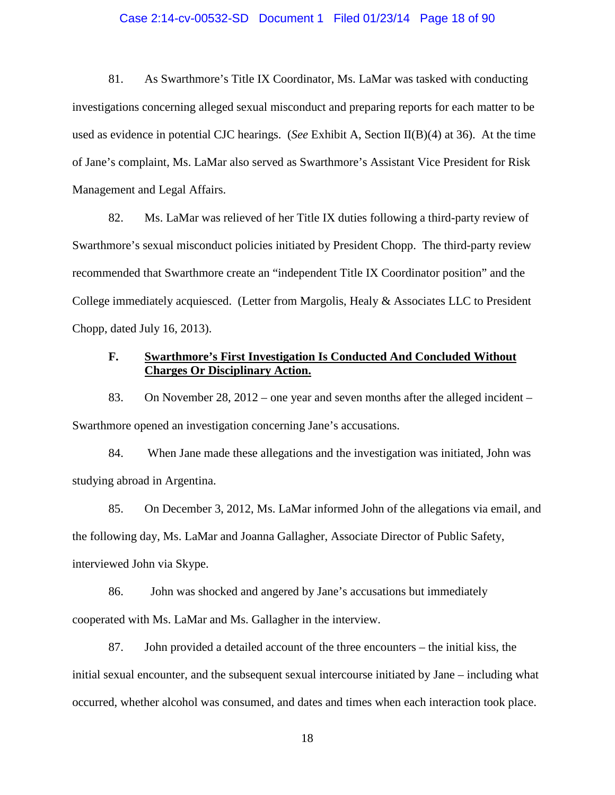### Case 2:14-cv-00532-SD Document 1 Filed 01/23/14 Page 18 of 90

81. As Swarthmore's Title IX Coordinator, Ms. LaMar was tasked with conducting investigations concerning alleged sexual misconduct and preparing reports for each matter to be used as evidence in potential CJC hearings. (*See* Exhibit A, Section II(B)(4) at 36). At the time of Jane's complaint, Ms. LaMar also served as Swarthmore's Assistant Vice President for Risk Management and Legal Affairs.

82. Ms. LaMar was relieved of her Title IX duties following a third-party review of Swarthmore's sexual misconduct policies initiated by President Chopp. The third-party review recommended that Swarthmore create an "independent Title IX Coordinator position" and the College immediately acquiesced. (Letter from Margolis, Healy & Associates LLC to President Chopp, dated July 16, 2013).

## **F. Swarthmore's First Investigation Is Conducted And Concluded Without Charges Or Disciplinary Action.**

83. On November 28, 2012 – one year and seven months after the alleged incident – Swarthmore opened an investigation concerning Jane's accusations.

84. When Jane made these allegations and the investigation was initiated, John was studying abroad in Argentina.

85. On December 3, 2012, Ms. LaMar informed John of the allegations via email, and the following day, Ms. LaMar and Joanna Gallagher, Associate Director of Public Safety, interviewed John via Skype.

86. John was shocked and angered by Jane's accusations but immediately cooperated with Ms. LaMar and Ms. Gallagher in the interview.

87. John provided a detailed account of the three encounters – the initial kiss, the initial sexual encounter, and the subsequent sexual intercourse initiated by Jane – including what occurred, whether alcohol was consumed, and dates and times when each interaction took place.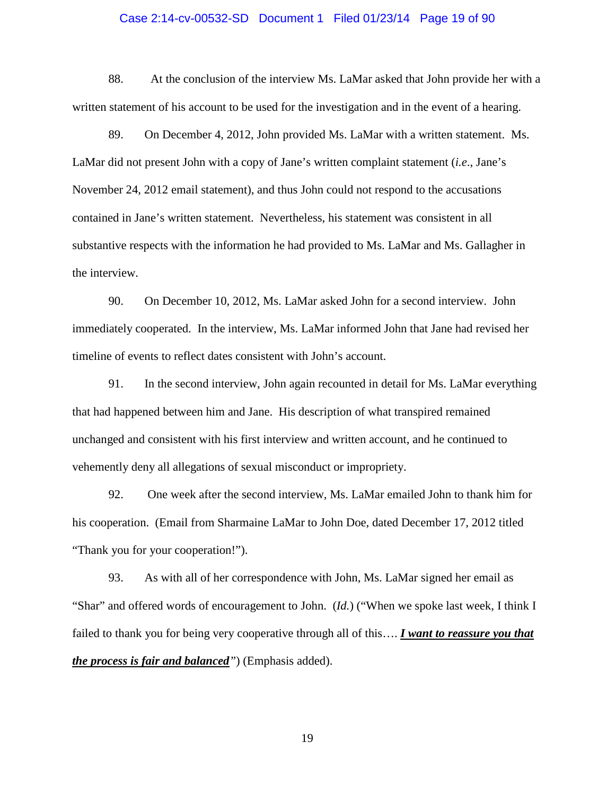### Case 2:14-cv-00532-SD Document 1 Filed 01/23/14 Page 19 of 90

88. At the conclusion of the interview Ms. LaMar asked that John provide her with a written statement of his account to be used for the investigation and in the event of a hearing.

89. On December 4, 2012, John provided Ms. LaMar with a written statement. Ms. LaMar did not present John with a copy of Jane's written complaint statement (*i.e*., Jane's November 24, 2012 email statement), and thus John could not respond to the accusations contained in Jane's written statement. Nevertheless, his statement was consistent in all substantive respects with the information he had provided to Ms. LaMar and Ms. Gallagher in the interview.

90. On December 10, 2012, Ms. LaMar asked John for a second interview. John immediately cooperated. In the interview, Ms. LaMar informed John that Jane had revised her timeline of events to reflect dates consistent with John's account.

91. In the second interview, John again recounted in detail for Ms. LaMar everything that had happened between him and Jane. His description of what transpired remained unchanged and consistent with his first interview and written account, and he continued to vehemently deny all allegations of sexual misconduct or impropriety.

92. One week after the second interview, Ms. LaMar emailed John to thank him for his cooperation. (Email from Sharmaine LaMar to John Doe, dated December 17, 2012 titled "Thank you for your cooperation!").

93. As with all of her correspondence with John, Ms. LaMar signed her email as "Shar" and offered words of encouragement to John. (*Id.*) ("When we spoke last week, I think I failed to thank you for being very cooperative through all of this…. *I want to reassure you that the process is fair and balanced"*) (Emphasis added).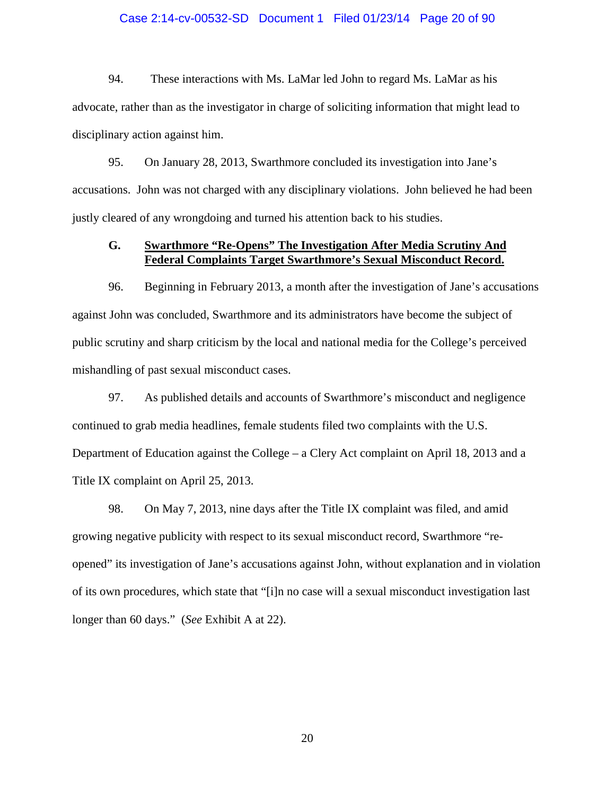### Case 2:14-cv-00532-SD Document 1 Filed 01/23/14 Page 20 of 90

94. These interactions with Ms. LaMar led John to regard Ms. LaMar as his advocate, rather than as the investigator in charge of soliciting information that might lead to disciplinary action against him.

95. On January 28, 2013, Swarthmore concluded its investigation into Jane's accusations. John was not charged with any disciplinary violations. John believed he had been justly cleared of any wrongdoing and turned his attention back to his studies.

### **G. Swarthmore "Re-Opens" The Investigation After Media Scrutiny And Federal Complaints Target Swarthmore's Sexual Misconduct Record.**

96. Beginning in February 2013, a month after the investigation of Jane's accusations against John was concluded, Swarthmore and its administrators have become the subject of public scrutiny and sharp criticism by the local and national media for the College's perceived mishandling of past sexual misconduct cases.

97. As published details and accounts of Swarthmore's misconduct and negligence continued to grab media headlines, female students filed two complaints with the U.S. Department of Education against the College – a Clery Act complaint on April 18, 2013 and a Title IX complaint on April 25, 2013.

98. On May 7, 2013, nine days after the Title IX complaint was filed, and amid growing negative publicity with respect to its sexual misconduct record, Swarthmore "reopened" its investigation of Jane's accusations against John, without explanation and in violation of its own procedures, which state that "[i]n no case will a sexual misconduct investigation last longer than 60 days." (*See* Exhibit A at 22).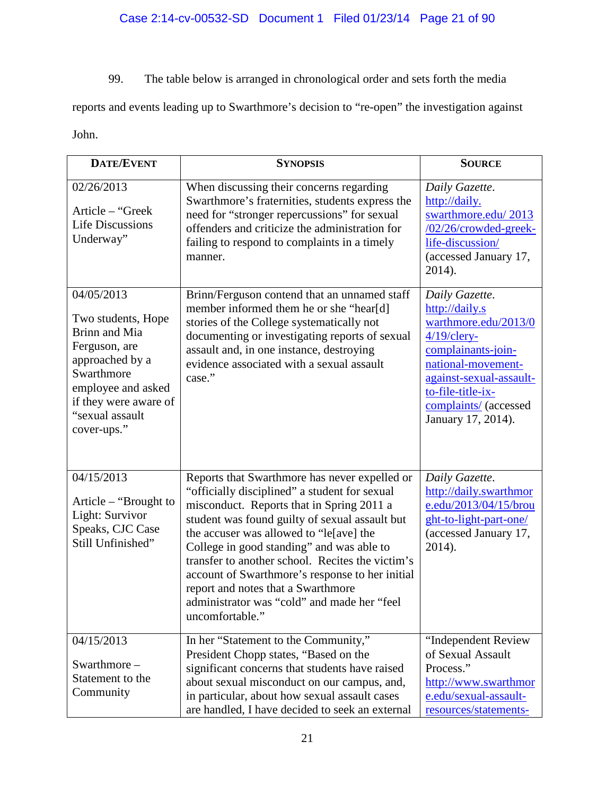99. The table below is arranged in chronological order and sets forth the media

reports and events leading up to Swarthmore's decision to "re-open" the investigation against

John.

| <b>DATE/EVENT</b>                                                                                                                                                                    | <b>SYNOPSIS</b>                                                                                                                                                                                                                                                                                                                                                                                                                                                                                      | <b>SOURCE</b>                                                                                                                                                                                                         |
|--------------------------------------------------------------------------------------------------------------------------------------------------------------------------------------|------------------------------------------------------------------------------------------------------------------------------------------------------------------------------------------------------------------------------------------------------------------------------------------------------------------------------------------------------------------------------------------------------------------------------------------------------------------------------------------------------|-----------------------------------------------------------------------------------------------------------------------------------------------------------------------------------------------------------------------|
| 02/26/2013<br>Article – "Greek<br><b>Life Discussions</b><br>Underway"                                                                                                               | When discussing their concerns regarding<br>Swarthmore's fraternities, students express the<br>need for "stronger repercussions" for sexual<br>offenders and criticize the administration for<br>failing to respond to complaints in a timely<br>manner.                                                                                                                                                                                                                                             | Daily Gazette.<br>http://daily.<br>swarthmore.edu/2013<br>/02/26/crowded-greek-<br>life-discussion/<br>(accessed January 17,<br>2014).                                                                                |
| 04/05/2013<br>Two students, Hope<br>Brinn and Mia<br>Ferguson, are<br>approached by a<br>Swarthmore<br>employee and asked<br>if they were aware of<br>"sexual assault<br>cover-ups." | Brinn/Ferguson contend that an unnamed staff<br>member informed them he or she "hear[d]<br>stories of the College systematically not<br>documenting or investigating reports of sexual<br>assault and, in one instance, destroying<br>evidence associated with a sexual assault<br>case."                                                                                                                                                                                                            | Daily Gazette.<br>http://daily.s<br>warthmore.edu/2013/0<br>$4/19$ /clery-<br>complainants-join-<br>national-movement-<br>against-sexual-assault-<br>to-file-title-ix-<br>complaints/ (accessed<br>January 17, 2014). |
| 04/15/2013<br>Article – "Brought to<br>Light: Survivor<br>Speaks, CJC Case<br>Still Unfinished"                                                                                      | Reports that Swarthmore has never expelled or<br>"officially disciplined" a student for sexual<br>misconduct. Reports that in Spring 2011 a<br>student was found guilty of sexual assault but<br>the accuser was allowed to "le[ave] the<br>College in good standing" and was able to<br>transfer to another school. Recites the victim's<br>account of Swarthmore's response to her initial<br>report and notes that a Swarthmore<br>administrator was "cold" and made her "feel<br>uncomfortable." | Daily Gazette.<br>http://daily.swarthmor<br>e.edu/2013/04/15/brou<br>ght-to-light-part-one/<br>(accessed January 17,<br>2014).                                                                                        |
| 04/15/2013<br>Swarthmore-<br>Statement to the<br>Community                                                                                                                           | In her "Statement to the Community,"<br>President Chopp states, "Based on the<br>significant concerns that students have raised<br>about sexual misconduct on our campus, and,<br>in particular, about how sexual assault cases<br>are handled, I have decided to seek an external                                                                                                                                                                                                                   | "Independent Review<br>of Sexual Assault<br>Process."<br>http://www.swarthmor<br>e.edu/sexual-assault-<br>resources/statements-                                                                                       |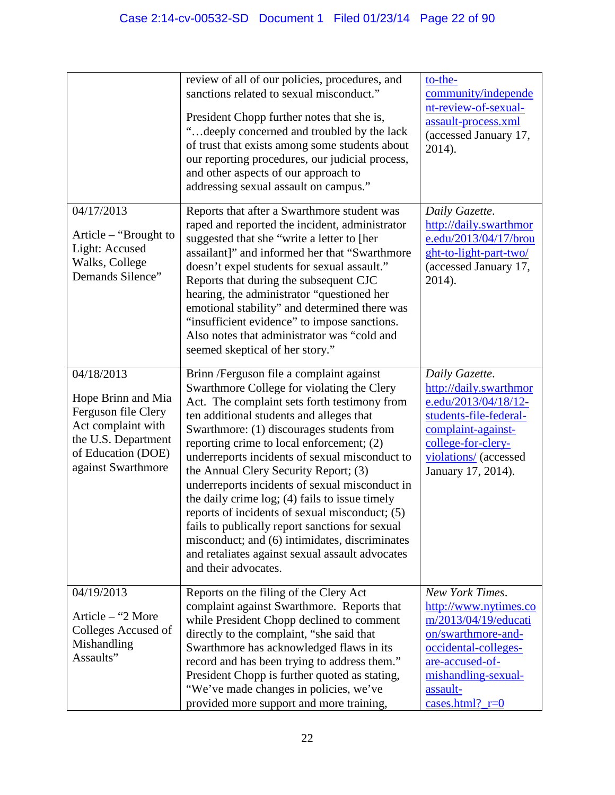| 04/17/2013                                                                                                                                       | review of all of our policies, procedures, and<br>sanctions related to sexual misconduct."<br>President Chopp further notes that she is,<br>"deeply concerned and troubled by the lack"<br>of trust that exists among some students about<br>our reporting procedures, our judicial process,<br>and other aspects of our approach to<br>addressing sexual assault on campus."<br>Reports that after a Swarthmore student was                                                                                                                                                                                                                                                                                  | to-the-<br>community/independe<br>nt-review-of-sexual-<br>assault-process.xml<br>(accessed January 17,<br>2014).<br>Daily Gazette.                                                        |
|--------------------------------------------------------------------------------------------------------------------------------------------------|---------------------------------------------------------------------------------------------------------------------------------------------------------------------------------------------------------------------------------------------------------------------------------------------------------------------------------------------------------------------------------------------------------------------------------------------------------------------------------------------------------------------------------------------------------------------------------------------------------------------------------------------------------------------------------------------------------------|-------------------------------------------------------------------------------------------------------------------------------------------------------------------------------------------|
| Article – "Brought to<br>Light: Accused<br>Walks, College<br>Demands Silence"                                                                    | raped and reported the incident, administrator<br>suggested that she "write a letter to [her<br>assailant]" and informed her that "Swarthmore<br>doesn't expel students for sexual assault."<br>Reports that during the subsequent CJC<br>hearing, the administrator "questioned her<br>emotional stability" and determined there was<br>"insufficient evidence" to impose sanctions.<br>Also notes that administrator was "cold and<br>seemed skeptical of her story."                                                                                                                                                                                                                                       | http://daily.swarthmor<br>e.edu/2013/04/17/brou<br>ght-to-light-part-two/<br>(accessed January 17,<br>2014).                                                                              |
| 04/18/2013<br>Hope Brinn and Mia<br>Ferguson file Clery<br>Act complaint with<br>the U.S. Department<br>of Education (DOE)<br>against Swarthmore | Brinn /Ferguson file a complaint against<br>Swarthmore College for violating the Clery<br>Act. The complaint sets forth testimony from<br>ten additional students and alleges that<br>Swarthmore: (1) discourages students from<br>reporting crime to local enforcement; (2)<br>underreports incidents of sexual misconduct to<br>the Annual Clery Security Report; (3)<br>underreports incidents of sexual misconduct in<br>the daily crime log; (4) fails to issue timely<br>reports of incidents of sexual misconduct; (5)<br>fails to publically report sanctions for sexual<br>misconduct; and (6) intimidates, discriminates<br>and retaliates against sexual assault advocates<br>and their advocates. | Daily Gazette.<br>http://daily.swarthmor<br>e.edu/2013/04/18/12-<br>students-file-federal-<br>complaint-against-<br>college-for-clery-<br>violations/ (accessed<br>January 17, 2014).     |
| 04/19/2013<br>Article – "2 More<br>Colleges Accused of<br>Mishandling<br>Assaults"                                                               | Reports on the filing of the Clery Act<br>complaint against Swarthmore. Reports that<br>while President Chopp declined to comment<br>directly to the complaint, "she said that<br>Swarthmore has acknowledged flaws in its<br>record and has been trying to address them."<br>President Chopp is further quoted as stating,<br>"We've made changes in policies, we've<br>provided more support and more training,                                                                                                                                                                                                                                                                                             | New York Times.<br>http://www.nytimes.co<br>m/2013/04/19/educati<br>on/swarthmore-and-<br>occidental-colleges-<br>are-accused-of-<br>mishandling-sexual-<br>assault-<br>cases.html? $r=0$ |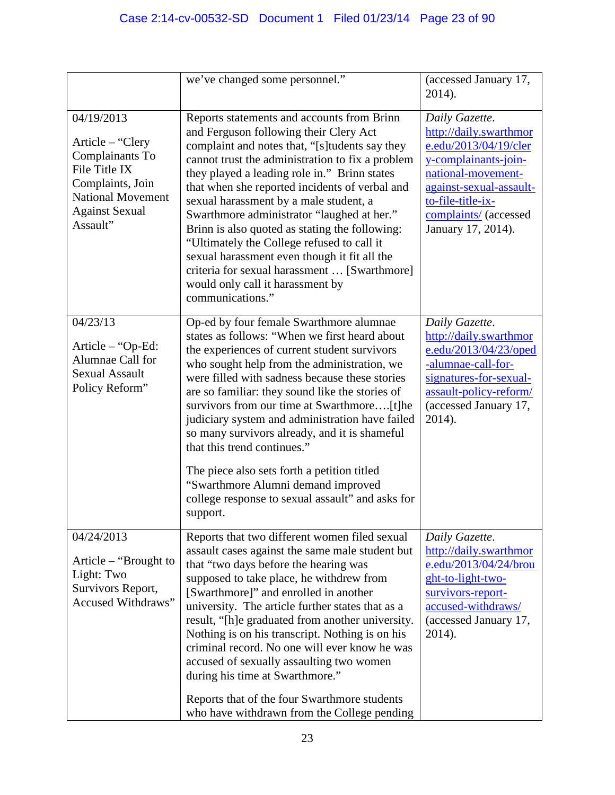|                                                                                                                                                         | we've changed some personnel."                                                                                                                                                                                                                                                                                                                                                                                                                                                                                                                                                                                                                | (accessed January 17,<br>2014).                                                                                                                                                                                |
|---------------------------------------------------------------------------------------------------------------------------------------------------------|-----------------------------------------------------------------------------------------------------------------------------------------------------------------------------------------------------------------------------------------------------------------------------------------------------------------------------------------------------------------------------------------------------------------------------------------------------------------------------------------------------------------------------------------------------------------------------------------------------------------------------------------------|----------------------------------------------------------------------------------------------------------------------------------------------------------------------------------------------------------------|
| 04/19/2013<br>Article – "Clery<br>Complainants To<br>File Title IX<br>Complaints, Join<br><b>National Movement</b><br><b>Against Sexual</b><br>Assault" | Reports statements and accounts from Brinn<br>and Ferguson following their Clery Act<br>complaint and notes that, "[s] tudents say they<br>cannot trust the administration to fix a problem<br>they played a leading role in." Brinn states<br>that when she reported incidents of verbal and<br>sexual harassment by a male student, a<br>Swarthmore administrator "laughed at her."<br>Brinn is also quoted as stating the following:<br>"Ultimately the College refused to call it<br>sexual harassment even though it fit all the<br>criteria for sexual harassment  [Swarthmore]<br>would only call it harassment by<br>communications." | Daily Gazette.<br>http://daily.swarthmor<br>e.edu/2013/04/19/cler<br>y-complainants-join-<br>national-movement-<br>against-sexual-assault-<br>to-file-title-ix-<br>complaints/ (accessed<br>January 17, 2014). |
| 04/23/13<br>Article - "Op-Ed:<br>Alumnae Call for<br><b>Sexual Assault</b><br>Policy Reform"                                                            | Op-ed by four female Swarthmore alumnae<br>states as follows: "When we first heard about<br>the experiences of current student survivors<br>who sought help from the administration, we<br>were filled with sadness because these stories<br>are so familiar: they sound like the stories of<br>survivors from our time at Swarthmore[t]he<br>judiciary system and administration have failed<br>so many survivors already, and it is shameful<br>that this trend continues."<br>The piece also sets forth a petition titled<br>"Swarthmore Alumni demand improved<br>college response to sexual assault" and asks for<br>support.            | Daily Gazette.<br>http://daily.swarthmor<br>e.edu/2013/04/23/oped<br>-alumnae-call-for-<br>signatures-for-sexual-<br>assault-policy-reform/<br>(accessed January 17,<br>2014).                                 |
| 04/24/2013<br>Article – "Brought to"<br>Light: Two<br>Survivors Report,<br>Accused Withdraws"                                                           | Reports that two different women filed sexual<br>assault cases against the same male student but<br>that "two days before the hearing was<br>supposed to take place, he withdrew from<br>[Swarthmore]" and enrolled in another<br>university. The article further states that as a<br>result, "[h]e graduated from another university.<br>Nothing is on his transcript. Nothing is on his<br>criminal record. No one will ever know he was<br>accused of sexually assaulting two women<br>during his time at Swarthmore."<br>Reports that of the four Swarthmore students<br>who have withdrawn from the College pending                      | Daily Gazette.<br>http://daily.swarthmor<br>e.edu/2013/04/24/brou<br>ght-to-light-two-<br>survivors-report-<br>accused-withdraws/<br>(accessed January 17,<br>2014).                                           |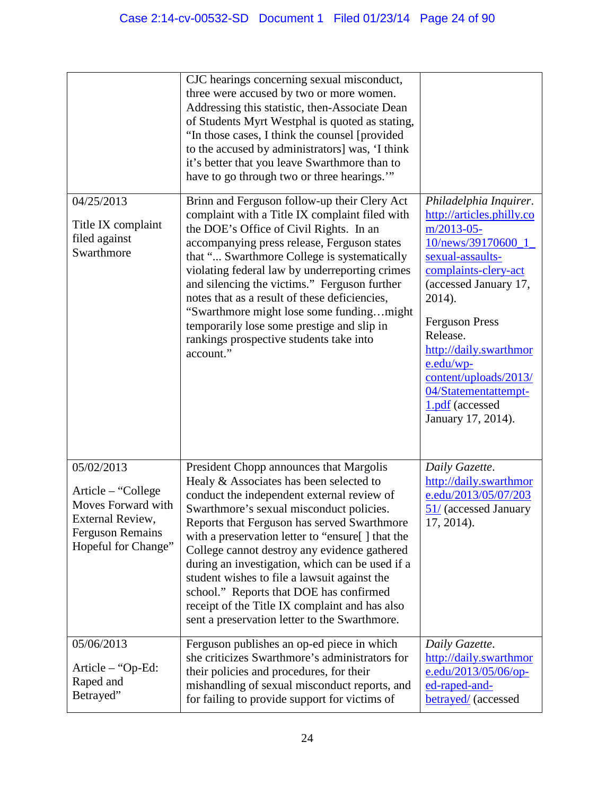|                                                                                                                              | CJC hearings concerning sexual misconduct,<br>three were accused by two or more women.<br>Addressing this statistic, then-Associate Dean<br>of Students Myrt Westphal is quoted as stating,<br>"In those cases, I think the counsel [provided]<br>to the accused by administrators] was, 'I think<br>it's better that you leave Swarthmore than to<br>have to go through two or three hearings.""                                                                                                                                                                                |                                                                                                                                                                                                                                                                                                                                                 |
|------------------------------------------------------------------------------------------------------------------------------|----------------------------------------------------------------------------------------------------------------------------------------------------------------------------------------------------------------------------------------------------------------------------------------------------------------------------------------------------------------------------------------------------------------------------------------------------------------------------------------------------------------------------------------------------------------------------------|-------------------------------------------------------------------------------------------------------------------------------------------------------------------------------------------------------------------------------------------------------------------------------------------------------------------------------------------------|
| 04/25/2013<br>Title IX complaint<br>filed against<br>Swarthmore                                                              | Brinn and Ferguson follow-up their Clery Act<br>complaint with a Title IX complaint filed with<br>the DOE's Office of Civil Rights. In an<br>accompanying press release, Ferguson states<br>that " Swarthmore College is systematically<br>violating federal law by underreporting crimes<br>and silencing the victims." Ferguson further<br>notes that as a result of these deficiencies,<br>"Swarthmore might lose some fundingmight<br>temporarily lose some prestige and slip in<br>rankings prospective students take into<br>account."                                     | Philadelphia Inquirer.<br>http://articles.philly.co<br>$m/2013-05$ -<br>10/news/39170600_1<br>sexual-assaults-<br>complaints-clery-act<br>(accessed January 17,<br>2014).<br><b>Ferguson Press</b><br>Release.<br>http://daily.swarthmor<br>e.edu/wp-<br>content/uploads/2013/<br>04/Statementattempt-<br>1.pdf (accessed<br>January 17, 2014). |
| 05/02/2013<br>Article – "College<br>Moves Forward with<br>External Review,<br><b>Ferguson Remains</b><br>Hopeful for Change" | President Chopp announces that Margolis<br>Healy & Associates has been selected to<br>conduct the independent external review of<br>Swarthmore's sexual misconduct policies.<br>Reports that Ferguson has served Swarthmore<br>with a preservation letter to "ensure[] that the<br>College cannot destroy any evidence gathered<br>during an investigation, which can be used if a<br>student wishes to file a lawsuit against the<br>school." Reports that DOE has confirmed<br>receipt of the Title IX complaint and has also<br>sent a preservation letter to the Swarthmore. | Daily Gazette.<br>http://daily.swarthmor<br>e.edu/2013/05/07/203<br>51/ (accessed January<br>17, 2014).                                                                                                                                                                                                                                         |
| 05/06/2013<br>Article – "Op-Ed:<br>Raped and<br>Betrayed"                                                                    | Ferguson publishes an op-ed piece in which<br>she criticizes Swarthmore's administrators for<br>their policies and procedures, for their<br>mishandling of sexual misconduct reports, and<br>for failing to provide support for victims of                                                                                                                                                                                                                                                                                                                                       | Daily Gazette.<br>http://daily.swarthmor<br>$e.edu/2013/05/06/op-$<br>ed-raped-and-<br><b>betrayed</b> (accessed                                                                                                                                                                                                                                |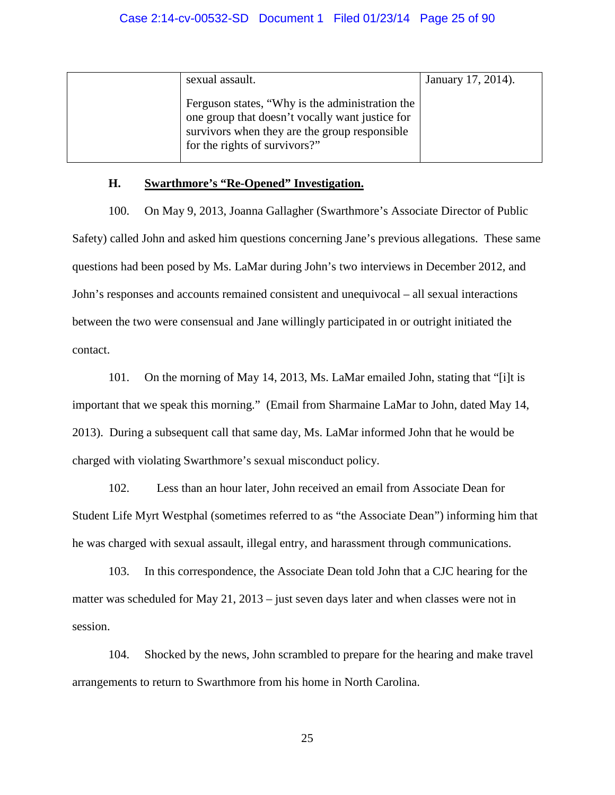| sexual assault.                                                                                                                                                                      | January 17, 2014). |
|--------------------------------------------------------------------------------------------------------------------------------------------------------------------------------------|--------------------|
| Ferguson states, "Why is the administration the<br>one group that doesn't vocally want justice for<br>survivors when they are the group responsible<br>for the rights of survivors?" |                    |

### **H. Swarthmore's "Re-Opened" Investigation.**

100. On May 9, 2013, Joanna Gallagher (Swarthmore's Associate Director of Public Safety) called John and asked him questions concerning Jane's previous allegations. These same questions had been posed by Ms. LaMar during John's two interviews in December 2012, and John's responses and accounts remained consistent and unequivocal – all sexual interactions between the two were consensual and Jane willingly participated in or outright initiated the contact.

101. On the morning of May 14, 2013, Ms. LaMar emailed John, stating that "[i]t is important that we speak this morning." (Email from Sharmaine LaMar to John, dated May 14, 2013). During a subsequent call that same day, Ms. LaMar informed John that he would be charged with violating Swarthmore's sexual misconduct policy.

102. Less than an hour later, John received an email from Associate Dean for Student Life Myrt Westphal (sometimes referred to as "the Associate Dean") informing him that he was charged with sexual assault, illegal entry, and harassment through communications.

103. In this correspondence, the Associate Dean told John that a CJC hearing for the matter was scheduled for May 21, 2013 – just seven days later and when classes were not in session.

104. Shocked by the news, John scrambled to prepare for the hearing and make travel arrangements to return to Swarthmore from his home in North Carolina.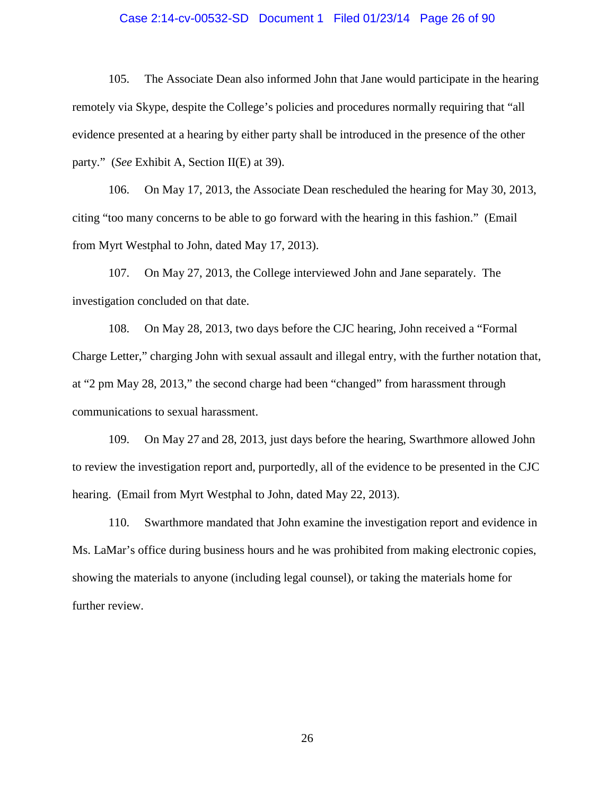### Case 2:14-cv-00532-SD Document 1 Filed 01/23/14 Page 26 of 90

105. The Associate Dean also informed John that Jane would participate in the hearing remotely via Skype, despite the College's policies and procedures normally requiring that "all evidence presented at a hearing by either party shall be introduced in the presence of the other party." (*See* Exhibit A, Section II(E) at 39).

106. On May 17, 2013, the Associate Dean rescheduled the hearing for May 30, 2013, citing "too many concerns to be able to go forward with the hearing in this fashion." (Email from Myrt Westphal to John, dated May 17, 2013).

107. On May 27, 2013, the College interviewed John and Jane separately. The investigation concluded on that date.

108. On May 28, 2013, two days before the CJC hearing, John received a "Formal Charge Letter," charging John with sexual assault and illegal entry, with the further notation that, at "2 pm May 28, 2013," the second charge had been "changed" from harassment through communications to sexual harassment.

109. On May 27 and 28, 2013, just days before the hearing, Swarthmore allowed John to review the investigation report and, purportedly, all of the evidence to be presented in the CJC hearing. (Email from Myrt Westphal to John, dated May 22, 2013).

110. Swarthmore mandated that John examine the investigation report and evidence in Ms. LaMar's office during business hours and he was prohibited from making electronic copies, showing the materials to anyone (including legal counsel), or taking the materials home for further review.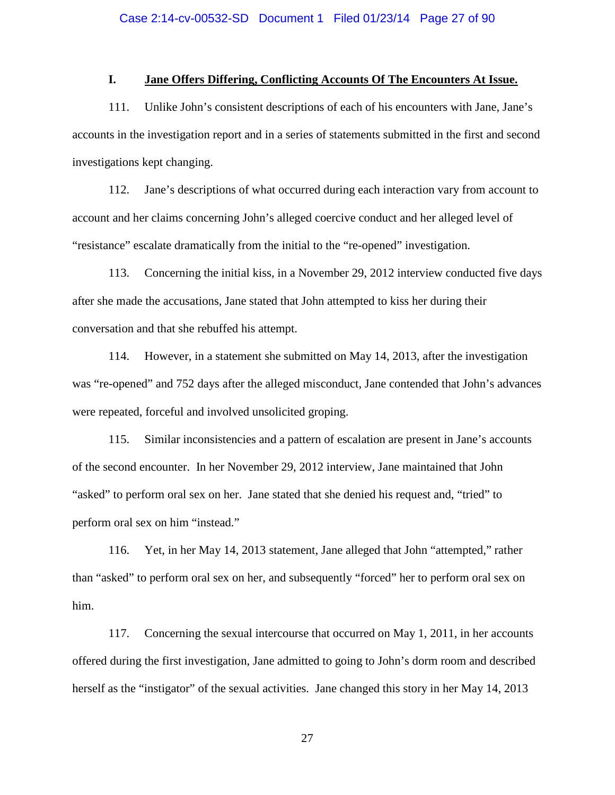## **I. Jane Offers Differing, Conflicting Accounts Of The Encounters At Issue.**

111. Unlike John's consistent descriptions of each of his encounters with Jane, Jane's accounts in the investigation report and in a series of statements submitted in the first and second investigations kept changing.

112. Jane's descriptions of what occurred during each interaction vary from account to account and her claims concerning John's alleged coercive conduct and her alleged level of "resistance" escalate dramatically from the initial to the "re-opened" investigation.

113. Concerning the initial kiss, in a November 29, 2012 interview conducted five days after she made the accusations, Jane stated that John attempted to kiss her during their conversation and that she rebuffed his attempt.

114. However, in a statement she submitted on May 14, 2013, after the investigation was "re-opened" and 752 days after the alleged misconduct, Jane contended that John's advances were repeated, forceful and involved unsolicited groping.

115. Similar inconsistencies and a pattern of escalation are present in Jane's accounts of the second encounter. In her November 29, 2012 interview, Jane maintained that John "asked" to perform oral sex on her. Jane stated that she denied his request and, "tried" to perform oral sex on him "instead."

116. Yet, in her May 14, 2013 statement, Jane alleged that John "attempted," rather than "asked" to perform oral sex on her, and subsequently "forced" her to perform oral sex on him.

117. Concerning the sexual intercourse that occurred on May 1, 2011, in her accounts offered during the first investigation, Jane admitted to going to John's dorm room and described herself as the "instigator" of the sexual activities. Jane changed this story in her May 14, 2013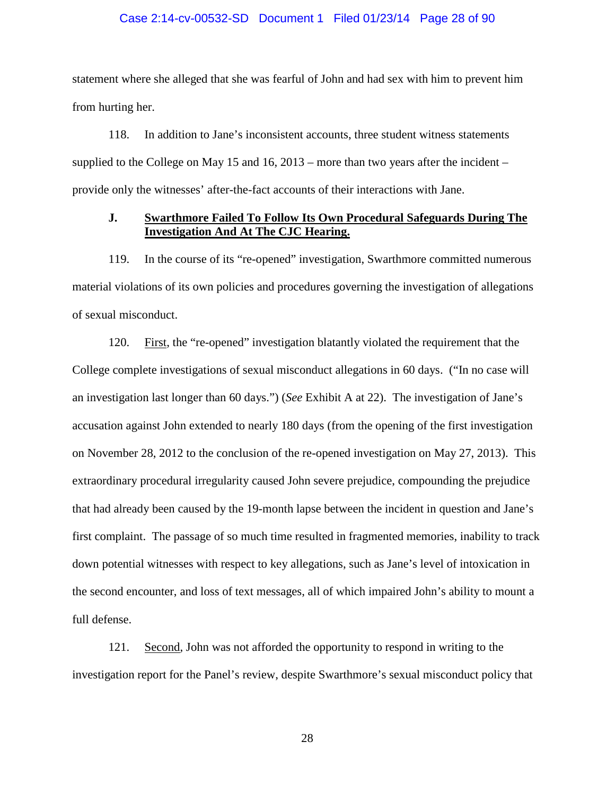### Case 2:14-cv-00532-SD Document 1 Filed 01/23/14 Page 28 of 90

statement where she alleged that she was fearful of John and had sex with him to prevent him from hurting her.

118. In addition to Jane's inconsistent accounts, three student witness statements supplied to the College on May 15 and 16,  $2013$  – more than two years after the incident – provide only the witnesses' after-the-fact accounts of their interactions with Jane.

### **J. Swarthmore Failed To Follow Its Own Procedural Safeguards During The Investigation And At The CJC Hearing.**

119. In the course of its "re-opened" investigation, Swarthmore committed numerous material violations of its own policies and procedures governing the investigation of allegations of sexual misconduct.

120. First, the "re-opened" investigation blatantly violated the requirement that the College complete investigations of sexual misconduct allegations in 60 days. ("In no case will an investigation last longer than 60 days.") (*See* Exhibit A at 22). The investigation of Jane's accusation against John extended to nearly 180 days (from the opening of the first investigation on November 28, 2012 to the conclusion of the re-opened investigation on May 27, 2013). This extraordinary procedural irregularity caused John severe prejudice, compounding the prejudice that had already been caused by the 19-month lapse between the incident in question and Jane's first complaint. The passage of so much time resulted in fragmented memories, inability to track down potential witnesses with respect to key allegations, such as Jane's level of intoxication in the second encounter, and loss of text messages, all of which impaired John's ability to mount a full defense.

121. Second, John was not afforded the opportunity to respond in writing to the investigation report for the Panel's review, despite Swarthmore's sexual misconduct policy that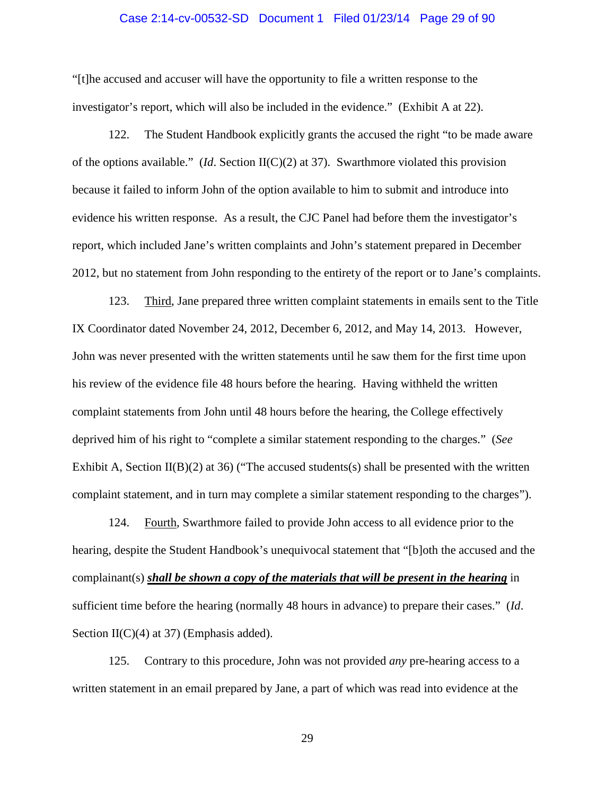### Case 2:14-cv-00532-SD Document 1 Filed 01/23/14 Page 29 of 90

"[t]he accused and accuser will have the opportunity to file a written response to the investigator's report, which will also be included in the evidence." (Exhibit A at 22).

122. The Student Handbook explicitly grants the accused the right "to be made aware of the options available." (*Id*. Section II(C)(2) at 37). Swarthmore violated this provision because it failed to inform John of the option available to him to submit and introduce into evidence his written response. As a result, the CJC Panel had before them the investigator's report, which included Jane's written complaints and John's statement prepared in December 2012, but no statement from John responding to the entirety of the report or to Jane's complaints.

123. Third, Jane prepared three written complaint statements in emails sent to the Title IX Coordinator dated November 24, 2012, December 6, 2012, and May 14, 2013. However, John was never presented with the written statements until he saw them for the first time upon his review of the evidence file 48 hours before the hearing. Having withheld the written complaint statements from John until 48 hours before the hearing, the College effectively deprived him of his right to "complete a similar statement responding to the charges." (*See* Exhibit A, Section  $II(B)(2)$  at 36) ("The accused students(s) shall be presented with the written complaint statement, and in turn may complete a similar statement responding to the charges").

124. Fourth, Swarthmore failed to provide John access to all evidence prior to the hearing, despite the Student Handbook's unequivocal statement that "[b]oth the accused and the complainant(s) *shall be shown a copy of the materials that will be present in the hearing* in sufficient time before the hearing (normally 48 hours in advance) to prepare their cases." (*Id*. Section II(C)(4) at 37) (Emphasis added).

125. Contrary to this procedure, John was not provided *any* pre-hearing access to a written statement in an email prepared by Jane, a part of which was read into evidence at the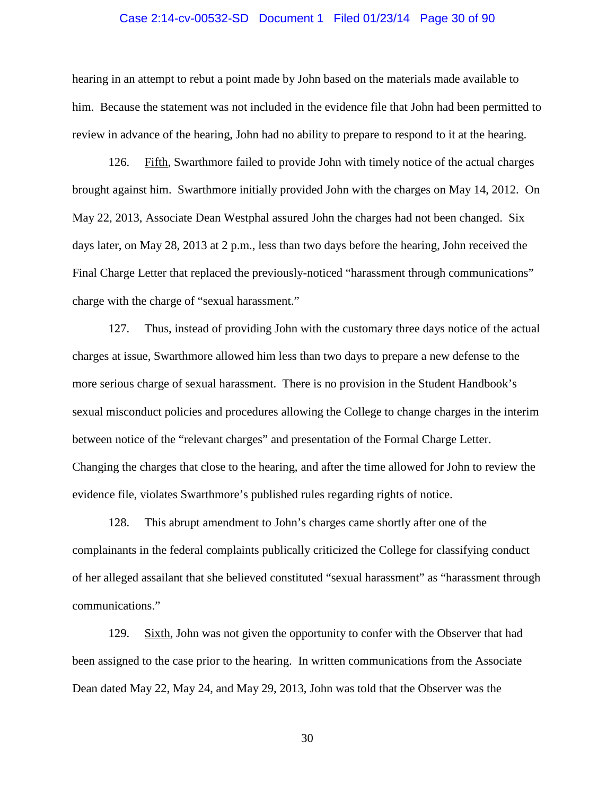### Case 2:14-cv-00532-SD Document 1 Filed 01/23/14 Page 30 of 90

hearing in an attempt to rebut a point made by John based on the materials made available to him. Because the statement was not included in the evidence file that John had been permitted to review in advance of the hearing, John had no ability to prepare to respond to it at the hearing.

126. Fifth, Swarthmore failed to provide John with timely notice of the actual charges brought against him. Swarthmore initially provided John with the charges on May 14, 2012. On May 22, 2013, Associate Dean Westphal assured John the charges had not been changed. Six days later, on May 28, 2013 at 2 p.m., less than two days before the hearing, John received the Final Charge Letter that replaced the previously-noticed "harassment through communications" charge with the charge of "sexual harassment."

127. Thus, instead of providing John with the customary three days notice of the actual charges at issue, Swarthmore allowed him less than two days to prepare a new defense to the more serious charge of sexual harassment. There is no provision in the Student Handbook's sexual misconduct policies and procedures allowing the College to change charges in the interim between notice of the "relevant charges" and presentation of the Formal Charge Letter. Changing the charges that close to the hearing, and after the time allowed for John to review the evidence file, violates Swarthmore's published rules regarding rights of notice.

128. This abrupt amendment to John's charges came shortly after one of the complainants in the federal complaints publically criticized the College for classifying conduct of her alleged assailant that she believed constituted "sexual harassment" as "harassment through communications."

129. Sixth, John was not given the opportunity to confer with the Observer that had been assigned to the case prior to the hearing. In written communications from the Associate Dean dated May 22, May 24, and May 29, 2013, John was told that the Observer was the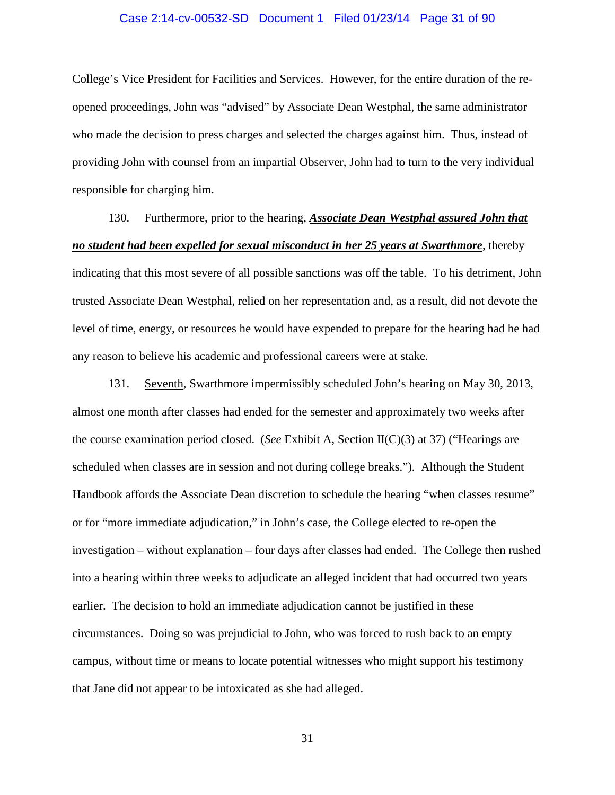### Case 2:14-cv-00532-SD Document 1 Filed 01/23/14 Page 31 of 90

College's Vice President for Facilities and Services. However, for the entire duration of the reopened proceedings, John was "advised" by Associate Dean Westphal, the same administrator who made the decision to press charges and selected the charges against him. Thus, instead of providing John with counsel from an impartial Observer, John had to turn to the very individual responsible for charging him.

130. Furthermore, prior to the hearing, *Associate Dean Westphal assured John that no student had been expelled for sexual misconduct in her 25 years at Swarthmore*, thereby indicating that this most severe of all possible sanctions was off the table. To his detriment, John trusted Associate Dean Westphal, relied on her representation and, as a result, did not devote the level of time, energy, or resources he would have expended to prepare for the hearing had he had any reason to believe his academic and professional careers were at stake.

131. Seventh, Swarthmore impermissibly scheduled John's hearing on May 30, 2013, almost one month after classes had ended for the semester and approximately two weeks after the course examination period closed. (*See* Exhibit A, Section II(C)(3) at 37) ("Hearings are scheduled when classes are in session and not during college breaks."). Although the Student Handbook affords the Associate Dean discretion to schedule the hearing "when classes resume" or for "more immediate adjudication," in John's case, the College elected to re-open the investigation – without explanation – four days after classes had ended. The College then rushed into a hearing within three weeks to adjudicate an alleged incident that had occurred two years earlier. The decision to hold an immediate adjudication cannot be justified in these circumstances. Doing so was prejudicial to John, who was forced to rush back to an empty campus, without time or means to locate potential witnesses who might support his testimony that Jane did not appear to be intoxicated as she had alleged.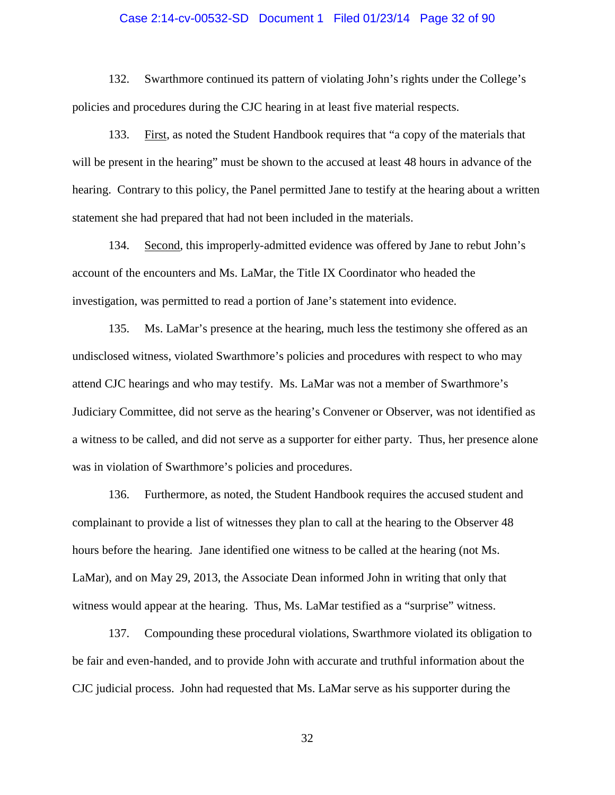### Case 2:14-cv-00532-SD Document 1 Filed 01/23/14 Page 32 of 90

132. Swarthmore continued its pattern of violating John's rights under the College's policies and procedures during the CJC hearing in at least five material respects.

133. First, as noted the Student Handbook requires that "a copy of the materials that will be present in the hearing" must be shown to the accused at least 48 hours in advance of the hearing. Contrary to this policy, the Panel permitted Jane to testify at the hearing about a written statement she had prepared that had not been included in the materials.

134. Second, this improperly-admitted evidence was offered by Jane to rebut John's account of the encounters and Ms. LaMar, the Title IX Coordinator who headed the investigation, was permitted to read a portion of Jane's statement into evidence.

135. Ms. LaMar's presence at the hearing, much less the testimony she offered as an undisclosed witness, violated Swarthmore's policies and procedures with respect to who may attend CJC hearings and who may testify. Ms. LaMar was not a member of Swarthmore's Judiciary Committee, did not serve as the hearing's Convener or Observer, was not identified as a witness to be called, and did not serve as a supporter for either party. Thus, her presence alone was in violation of Swarthmore's policies and procedures.

136. Furthermore, as noted, the Student Handbook requires the accused student and complainant to provide a list of witnesses they plan to call at the hearing to the Observer 48 hours before the hearing. Jane identified one witness to be called at the hearing (not Ms. LaMar), and on May 29, 2013, the Associate Dean informed John in writing that only that witness would appear at the hearing. Thus, Ms. LaMar testified as a "surprise" witness.

137. Compounding these procedural violations, Swarthmore violated its obligation to be fair and even-handed, and to provide John with accurate and truthful information about the CJC judicial process. John had requested that Ms. LaMar serve as his supporter during the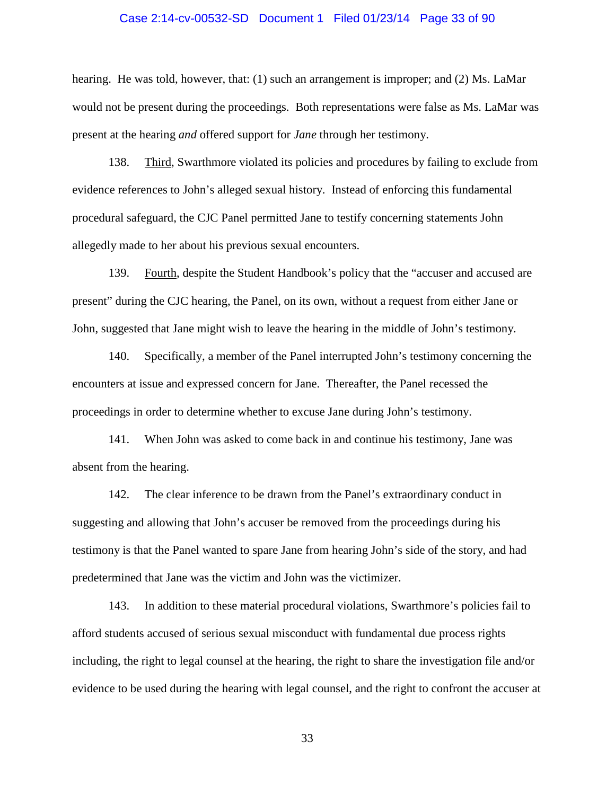### Case 2:14-cv-00532-SD Document 1 Filed 01/23/14 Page 33 of 90

hearing. He was told, however, that: (1) such an arrangement is improper; and (2) Ms. LaMar would not be present during the proceedings. Both representations were false as Ms. LaMar was present at the hearing *and* offered support for *Jane* through her testimony.

138. Third, Swarthmore violated its policies and procedures by failing to exclude from evidence references to John's alleged sexual history. Instead of enforcing this fundamental procedural safeguard, the CJC Panel permitted Jane to testify concerning statements John allegedly made to her about his previous sexual encounters.

139. Fourth, despite the Student Handbook's policy that the "accuser and accused are present" during the CJC hearing, the Panel, on its own, without a request from either Jane or John, suggested that Jane might wish to leave the hearing in the middle of John's testimony.

140. Specifically, a member of the Panel interrupted John's testimony concerning the encounters at issue and expressed concern for Jane. Thereafter, the Panel recessed the proceedings in order to determine whether to excuse Jane during John's testimony.

141. When John was asked to come back in and continue his testimony, Jane was absent from the hearing.

142. The clear inference to be drawn from the Panel's extraordinary conduct in suggesting and allowing that John's accuser be removed from the proceedings during his testimony is that the Panel wanted to spare Jane from hearing John's side of the story, and had predetermined that Jane was the victim and John was the victimizer.

143. In addition to these material procedural violations, Swarthmore's policies fail to afford students accused of serious sexual misconduct with fundamental due process rights including, the right to legal counsel at the hearing, the right to share the investigation file and/or evidence to be used during the hearing with legal counsel, and the right to confront the accuser at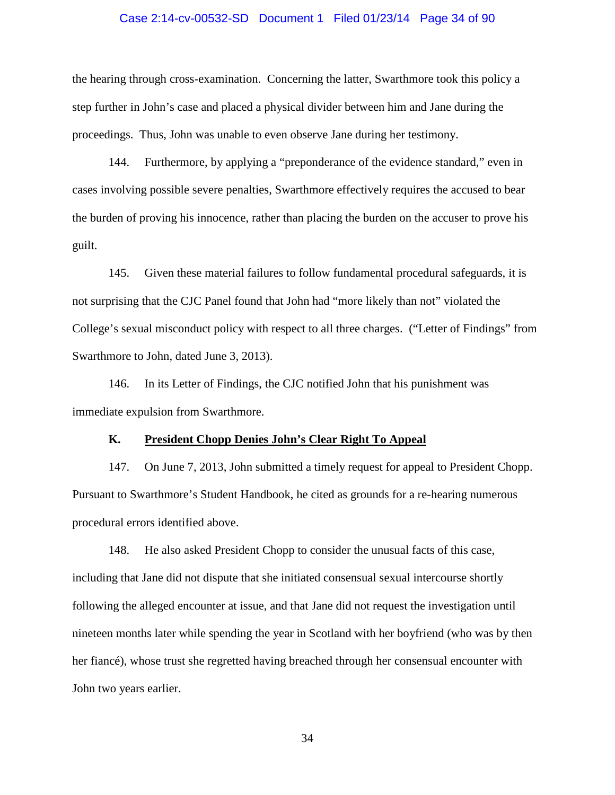### Case 2:14-cv-00532-SD Document 1 Filed 01/23/14 Page 34 of 90

the hearing through cross-examination. Concerning the latter, Swarthmore took this policy a step further in John's case and placed a physical divider between him and Jane during the proceedings. Thus, John was unable to even observe Jane during her testimony.

144. Furthermore, by applying a "preponderance of the evidence standard," even in cases involving possible severe penalties, Swarthmore effectively requires the accused to bear the burden of proving his innocence, rather than placing the burden on the accuser to prove his guilt.

145. Given these material failures to follow fundamental procedural safeguards, it is not surprising that the CJC Panel found that John had "more likely than not" violated the College's sexual misconduct policy with respect to all three charges. ("Letter of Findings" from Swarthmore to John, dated June 3, 2013).

146. In its Letter of Findings, the CJC notified John that his punishment was immediate expulsion from Swarthmore.

### **K. President Chopp Denies John's Clear Right To Appeal**

147. On June 7, 2013, John submitted a timely request for appeal to President Chopp. Pursuant to Swarthmore's Student Handbook, he cited as grounds for a re-hearing numerous procedural errors identified above.

148. He also asked President Chopp to consider the unusual facts of this case, including that Jane did not dispute that she initiated consensual sexual intercourse shortly following the alleged encounter at issue, and that Jane did not request the investigation until nineteen months later while spending the year in Scotland with her boyfriend (who was by then her fiancé), whose trust she regretted having breached through her consensual encounter with John two years earlier.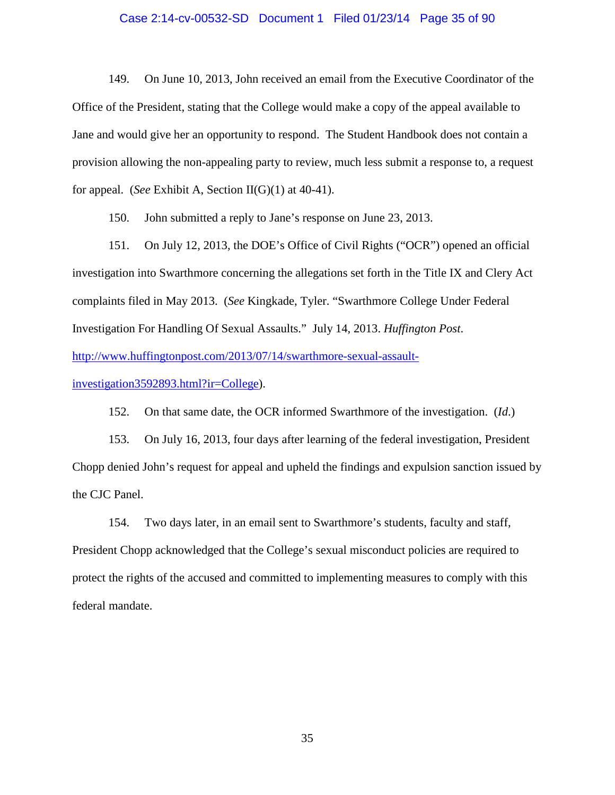### Case 2:14-cv-00532-SD Document 1 Filed 01/23/14 Page 35 of 90

149. On June 10, 2013, John received an email from the Executive Coordinator of the Office of the President, stating that the College would make a copy of the appeal available to Jane and would give her an opportunity to respond. The Student Handbook does not contain a provision allowing the non-appealing party to review, much less submit a response to, a request for appeal. (*See* Exhibit A, Section II(G)(1) at 40-41).

150. John submitted a reply to Jane's response on June 23, 2013.

151. On July 12, 2013, the DOE's Office of Civil Rights ("OCR") opened an official investigation into Swarthmore concerning the allegations set forth in the Title IX and Clery Act complaints filed in May 2013. (*See* Kingkade, Tyler. "Swarthmore College Under Federal Investigation For Handling Of Sexual Assaults." July 14, 2013. *Huffington Post*. http://www.huffingtonpost.com/2013/07/14/swarthmore-sexual-assault-

investigation3592893.html?ir=College).

152. On that same date, the OCR informed Swarthmore of the investigation. (*Id*.)

153. On July 16, 2013, four days after learning of the federal investigation, President Chopp denied John's request for appeal and upheld the findings and expulsion sanction issued by the CJC Panel.

154. Two days later, in an email sent to Swarthmore's students, faculty and staff, President Chopp acknowledged that the College's sexual misconduct policies are required to protect the rights of the accused and committed to implementing measures to comply with this federal mandate.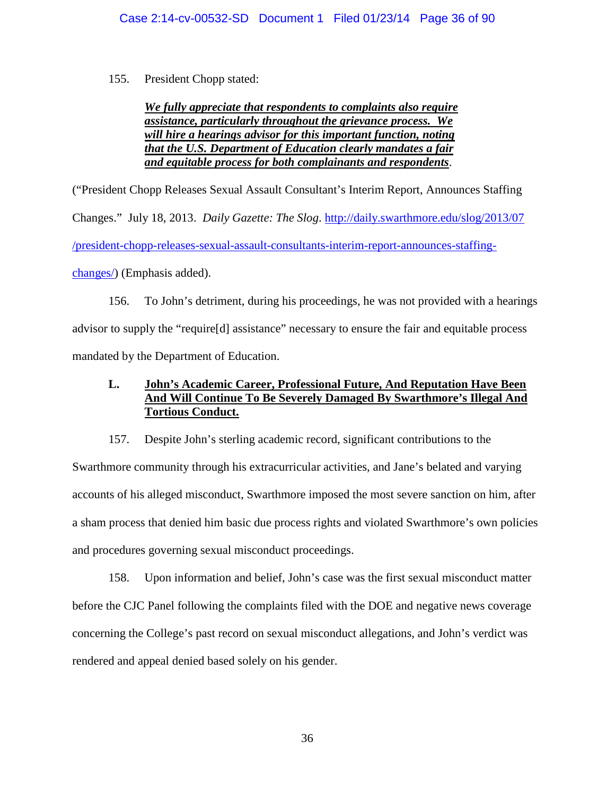155. President Chopp stated:

## *We fully appreciate that respondents to complaints also require assistance, particularly throughout the grievance process. We will hire a hearings advisor for this important function, noting that the U.S. Department of Education clearly mandates a fair and equitable process for both complainants and respondents*.

("President Chopp Releases Sexual Assault Consultant's Interim Report, Announces Staffing Changes." July 18, 2013. *Daily Gazette: The Slog*. http://daily.swarthmore.edu/slog/2013/07 /president-chopp-releases-sexual-assault-consultants-interim-report-announces-staffingchanges/) (Emphasis added).

156. To John's detriment, during his proceedings, he was not provided with a hearings advisor to supply the "require[d] assistance" necessary to ensure the fair and equitable process mandated by the Department of Education.

# **L. John's Academic Career, Professional Future, And Reputation Have Been And Will Continue To Be Severely Damaged By Swarthmore's Illegal And Tortious Conduct.**

157. Despite John's sterling academic record, significant contributions to the Swarthmore community through his extracurricular activities, and Jane's belated and varying accounts of his alleged misconduct, Swarthmore imposed the most severe sanction on him, after a sham process that denied him basic due process rights and violated Swarthmore's own policies and procedures governing sexual misconduct proceedings.

158. Upon information and belief, John's case was the first sexual misconduct matter before the CJC Panel following the complaints filed with the DOE and negative news coverage concerning the College's past record on sexual misconduct allegations, and John's verdict was rendered and appeal denied based solely on his gender.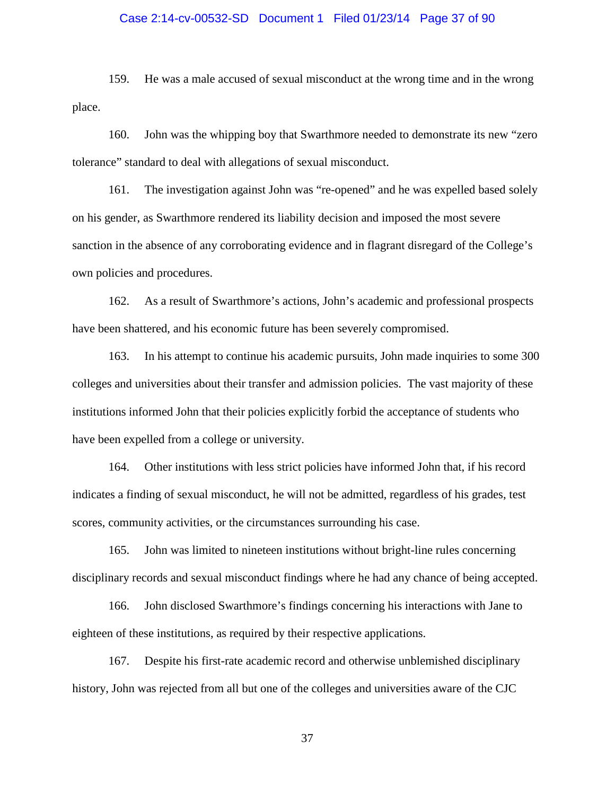## Case 2:14-cv-00532-SD Document 1 Filed 01/23/14 Page 37 of 90

159. He was a male accused of sexual misconduct at the wrong time and in the wrong place.

160. John was the whipping boy that Swarthmore needed to demonstrate its new "zero tolerance" standard to deal with allegations of sexual misconduct.

161. The investigation against John was "re-opened" and he was expelled based solely on his gender, as Swarthmore rendered its liability decision and imposed the most severe sanction in the absence of any corroborating evidence and in flagrant disregard of the College's own policies and procedures.

162. As a result of Swarthmore's actions, John's academic and professional prospects have been shattered, and his economic future has been severely compromised.

163. In his attempt to continue his academic pursuits, John made inquiries to some 300 colleges and universities about their transfer and admission policies. The vast majority of these institutions informed John that their policies explicitly forbid the acceptance of students who have been expelled from a college or university.

164. Other institutions with less strict policies have informed John that, if his record indicates a finding of sexual misconduct, he will not be admitted, regardless of his grades, test scores, community activities, or the circumstances surrounding his case.

165. John was limited to nineteen institutions without bright-line rules concerning disciplinary records and sexual misconduct findings where he had any chance of being accepted.

166. John disclosed Swarthmore's findings concerning his interactions with Jane to eighteen of these institutions, as required by their respective applications.

167. Despite his first-rate academic record and otherwise unblemished disciplinary history, John was rejected from all but one of the colleges and universities aware of the CJC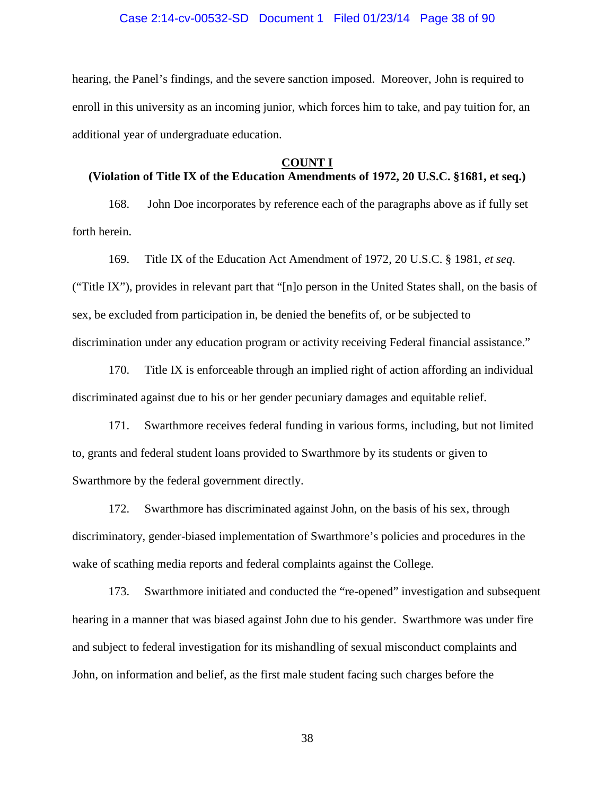#### Case 2:14-cv-00532-SD Document 1 Filed 01/23/14 Page 38 of 90

hearing, the Panel's findings, and the severe sanction imposed. Moreover, John is required to enroll in this university as an incoming junior, which forces him to take, and pay tuition for, an additional year of undergraduate education.

#### **COUNT I**

# **(Violation of Title IX of the Education Amendments of 1972, 20 U.S.C. §1681, et seq.)**

168. John Doe incorporates by reference each of the paragraphs above as if fully set forth herein.

169. Title IX of the Education Act Amendment of 1972, 20 U.S.C. § 1981, *et seq*. ("Title IX"), provides in relevant part that "[n]o person in the United States shall, on the basis of sex, be excluded from participation in, be denied the benefits of, or be subjected to discrimination under any education program or activity receiving Federal financial assistance."

170. Title IX is enforceable through an implied right of action affording an individual discriminated against due to his or her gender pecuniary damages and equitable relief.

171. Swarthmore receives federal funding in various forms, including, but not limited to, grants and federal student loans provided to Swarthmore by its students or given to Swarthmore by the federal government directly.

172. Swarthmore has discriminated against John, on the basis of his sex, through discriminatory, gender-biased implementation of Swarthmore's policies and procedures in the wake of scathing media reports and federal complaints against the College.

173. Swarthmore initiated and conducted the "re-opened" investigation and subsequent hearing in a manner that was biased against John due to his gender. Swarthmore was under fire and subject to federal investigation for its mishandling of sexual misconduct complaints and John, on information and belief, as the first male student facing such charges before the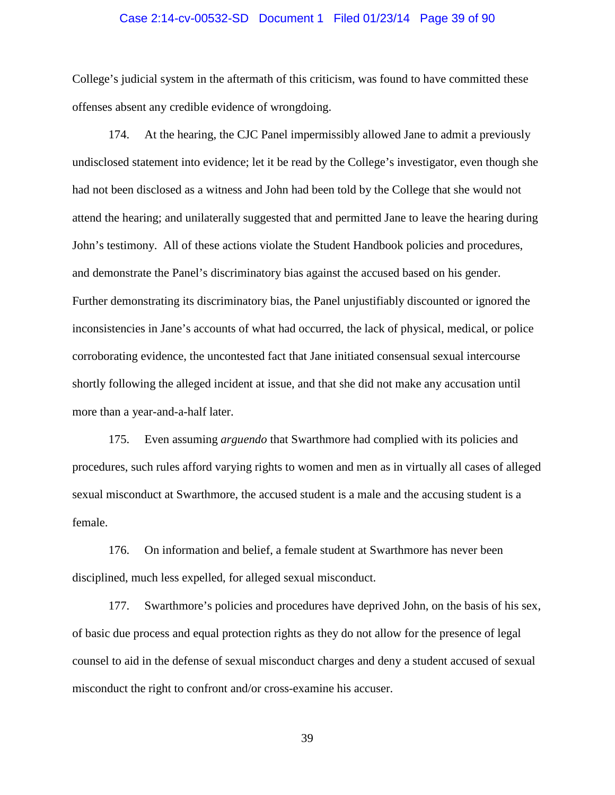## Case 2:14-cv-00532-SD Document 1 Filed 01/23/14 Page 39 of 90

College's judicial system in the aftermath of this criticism, was found to have committed these offenses absent any credible evidence of wrongdoing.

174. At the hearing, the CJC Panel impermissibly allowed Jane to admit a previously undisclosed statement into evidence; let it be read by the College's investigator, even though she had not been disclosed as a witness and John had been told by the College that she would not attend the hearing; and unilaterally suggested that and permitted Jane to leave the hearing during John's testimony. All of these actions violate the Student Handbook policies and procedures, and demonstrate the Panel's discriminatory bias against the accused based on his gender. Further demonstrating its discriminatory bias, the Panel unjustifiably discounted or ignored the inconsistencies in Jane's accounts of what had occurred, the lack of physical, medical, or police corroborating evidence, the uncontested fact that Jane initiated consensual sexual intercourse shortly following the alleged incident at issue, and that she did not make any accusation until more than a year-and-a-half later.

175. Even assuming *arguendo* that Swarthmore had complied with its policies and procedures, such rules afford varying rights to women and men as in virtually all cases of alleged sexual misconduct at Swarthmore, the accused student is a male and the accusing student is a female.

176. On information and belief, a female student at Swarthmore has never been disciplined, much less expelled, for alleged sexual misconduct.

177. Swarthmore's policies and procedures have deprived John, on the basis of his sex, of basic due process and equal protection rights as they do not allow for the presence of legal counsel to aid in the defense of sexual misconduct charges and deny a student accused of sexual misconduct the right to confront and/or cross-examine his accuser.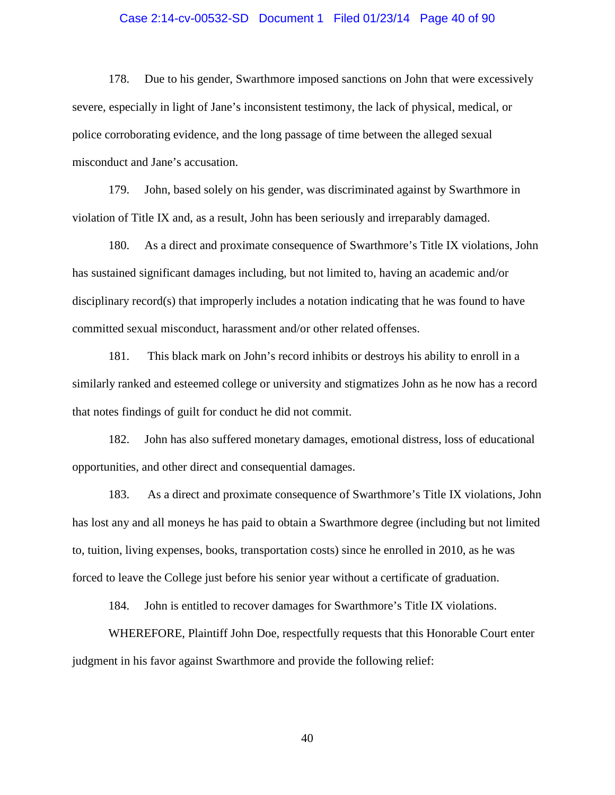## Case 2:14-cv-00532-SD Document 1 Filed 01/23/14 Page 40 of 90

178. Due to his gender, Swarthmore imposed sanctions on John that were excessively severe, especially in light of Jane's inconsistent testimony, the lack of physical, medical, or police corroborating evidence, and the long passage of time between the alleged sexual misconduct and Jane's accusation.

179. John, based solely on his gender, was discriminated against by Swarthmore in violation of Title IX and, as a result, John has been seriously and irreparably damaged.

180. As a direct and proximate consequence of Swarthmore's Title IX violations, John has sustained significant damages including, but not limited to, having an academic and/or disciplinary record(s) that improperly includes a notation indicating that he was found to have committed sexual misconduct, harassment and/or other related offenses.

181. This black mark on John's record inhibits or destroys his ability to enroll in a similarly ranked and esteemed college or university and stigmatizes John as he now has a record that notes findings of guilt for conduct he did not commit.

182. John has also suffered monetary damages, emotional distress, loss of educational opportunities, and other direct and consequential damages.

183. As a direct and proximate consequence of Swarthmore's Title IX violations, John has lost any and all moneys he has paid to obtain a Swarthmore degree (including but not limited to, tuition, living expenses, books, transportation costs) since he enrolled in 2010, as he was forced to leave the College just before his senior year without a certificate of graduation.

184. John is entitled to recover damages for Swarthmore's Title IX violations.

WHEREFORE, Plaintiff John Doe, respectfully requests that this Honorable Court enter judgment in his favor against Swarthmore and provide the following relief: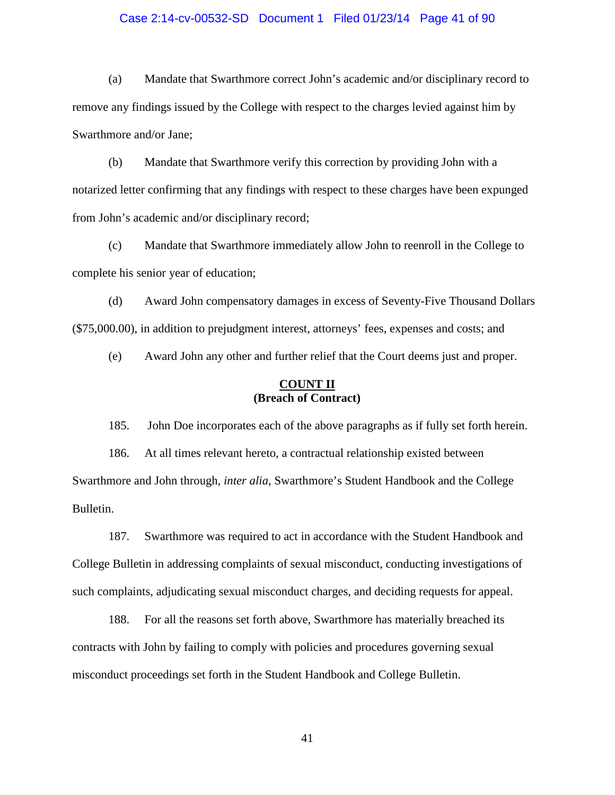## Case 2:14-cv-00532-SD Document 1 Filed 01/23/14 Page 41 of 90

(a) Mandate that Swarthmore correct John's academic and/or disciplinary record to remove any findings issued by the College with respect to the charges levied against him by Swarthmore and/or Jane;

(b) Mandate that Swarthmore verify this correction by providing John with a notarized letter confirming that any findings with respect to these charges have been expunged from John's academic and/or disciplinary record;

(c) Mandate that Swarthmore immediately allow John to reenroll in the College to complete his senior year of education;

(d) Award John compensatory damages in excess of Seventy-Five Thousand Dollars (\$75,000.00), in addition to prejudgment interest, attorneys' fees, expenses and costs; and

(e) Award John any other and further relief that the Court deems just and proper.

## **COUNT II (Breach of Contract)**

185. John Doe incorporates each of the above paragraphs as if fully set forth herein.

186. At all times relevant hereto, a contractual relationship existed between Swarthmore and John through, *inter alia*, Swarthmore's Student Handbook and the College Bulletin.

187. Swarthmore was required to act in accordance with the Student Handbook and College Bulletin in addressing complaints of sexual misconduct, conducting investigations of such complaints, adjudicating sexual misconduct charges, and deciding requests for appeal.

188. For all the reasons set forth above, Swarthmore has materially breached its contracts with John by failing to comply with policies and procedures governing sexual misconduct proceedings set forth in the Student Handbook and College Bulletin.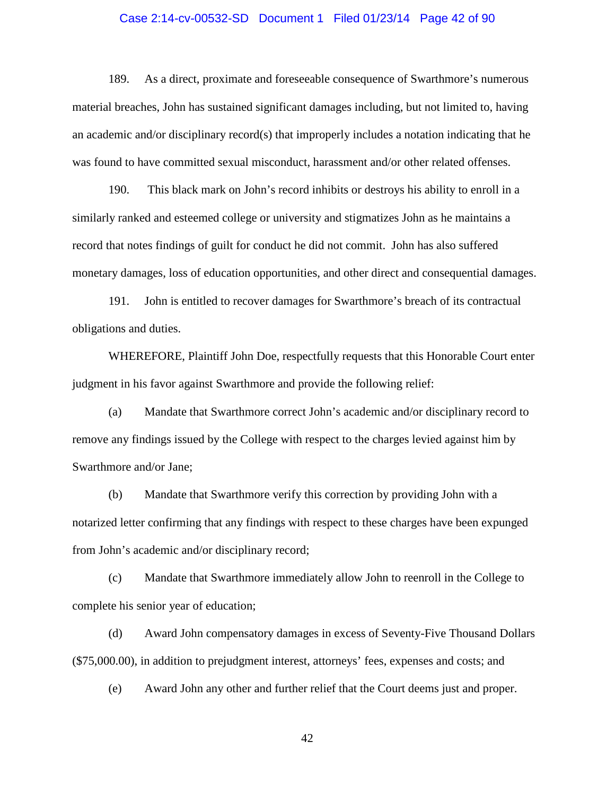## Case 2:14-cv-00532-SD Document 1 Filed 01/23/14 Page 42 of 90

189. As a direct, proximate and foreseeable consequence of Swarthmore's numerous material breaches, John has sustained significant damages including, but not limited to, having an academic and/or disciplinary record(s) that improperly includes a notation indicating that he was found to have committed sexual misconduct, harassment and/or other related offenses.

190. This black mark on John's record inhibits or destroys his ability to enroll in a similarly ranked and esteemed college or university and stigmatizes John as he maintains a record that notes findings of guilt for conduct he did not commit. John has also suffered monetary damages, loss of education opportunities, and other direct and consequential damages.

191. John is entitled to recover damages for Swarthmore's breach of its contractual obligations and duties.

WHEREFORE, Plaintiff John Doe, respectfully requests that this Honorable Court enter judgment in his favor against Swarthmore and provide the following relief:

(a) Mandate that Swarthmore correct John's academic and/or disciplinary record to remove any findings issued by the College with respect to the charges levied against him by Swarthmore and/or Jane;

(b) Mandate that Swarthmore verify this correction by providing John with a notarized letter confirming that any findings with respect to these charges have been expunged from John's academic and/or disciplinary record;

(c) Mandate that Swarthmore immediately allow John to reenroll in the College to complete his senior year of education;

(d) Award John compensatory damages in excess of Seventy-Five Thousand Dollars (\$75,000.00), in addition to prejudgment interest, attorneys' fees, expenses and costs; and

(e) Award John any other and further relief that the Court deems just and proper.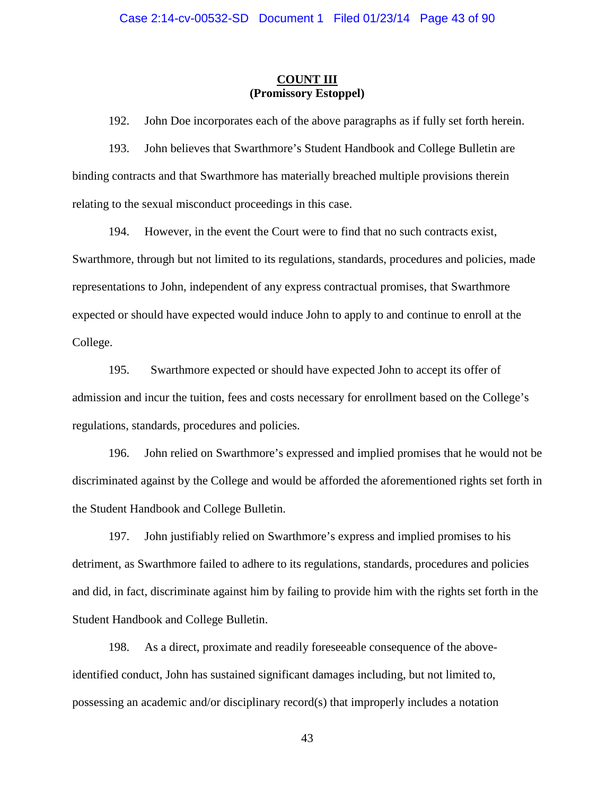## **COUNT III (Promissory Estoppel)**

192. John Doe incorporates each of the above paragraphs as if fully set forth herein.

193. John believes that Swarthmore's Student Handbook and College Bulletin are binding contracts and that Swarthmore has materially breached multiple provisions therein relating to the sexual misconduct proceedings in this case.

194. However, in the event the Court were to find that no such contracts exist, Swarthmore, through but not limited to its regulations, standards, procedures and policies, made representations to John, independent of any express contractual promises, that Swarthmore expected or should have expected would induce John to apply to and continue to enroll at the College.

195. Swarthmore expected or should have expected John to accept its offer of admission and incur the tuition, fees and costs necessary for enrollment based on the College's regulations, standards, procedures and policies.

196. John relied on Swarthmore's expressed and implied promises that he would not be discriminated against by the College and would be afforded the aforementioned rights set forth in the Student Handbook and College Bulletin.

197. John justifiably relied on Swarthmore's express and implied promises to his detriment, as Swarthmore failed to adhere to its regulations, standards, procedures and policies and did, in fact, discriminate against him by failing to provide him with the rights set forth in the Student Handbook and College Bulletin.

198. As a direct, proximate and readily foreseeable consequence of the aboveidentified conduct, John has sustained significant damages including, but not limited to, possessing an academic and/or disciplinary record(s) that improperly includes a notation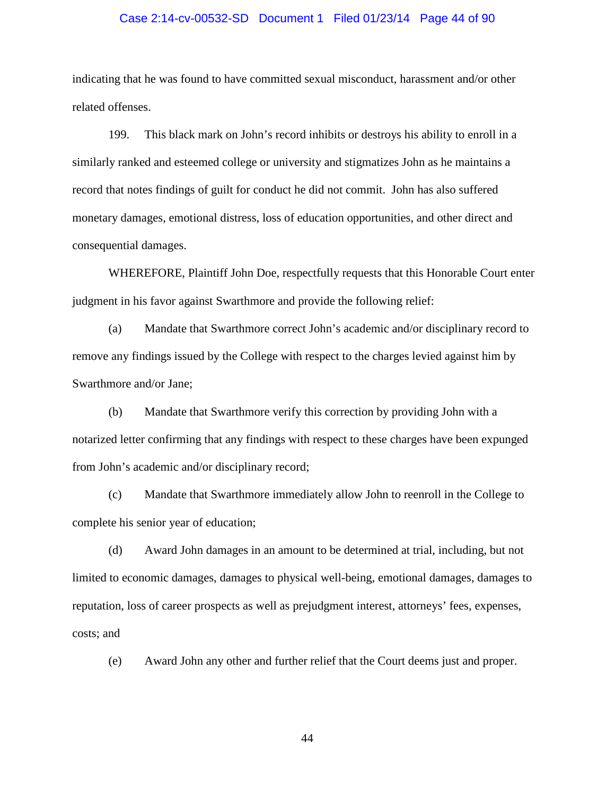## Case 2:14-cv-00532-SD Document 1 Filed 01/23/14 Page 44 of 90

indicating that he was found to have committed sexual misconduct, harassment and/or other related offenses.

199. This black mark on John's record inhibits or destroys his ability to enroll in a similarly ranked and esteemed college or university and stigmatizes John as he maintains a record that notes findings of guilt for conduct he did not commit. John has also suffered monetary damages, emotional distress, loss of education opportunities, and other direct and consequential damages.

WHEREFORE, Plaintiff John Doe, respectfully requests that this Honorable Court enter judgment in his favor against Swarthmore and provide the following relief:

(a) Mandate that Swarthmore correct John's academic and/or disciplinary record to remove any findings issued by the College with respect to the charges levied against him by Swarthmore and/or Jane;

(b) Mandate that Swarthmore verify this correction by providing John with a notarized letter confirming that any findings with respect to these charges have been expunged from John's academic and/or disciplinary record;

(c) Mandate that Swarthmore immediately allow John to reenroll in the College to complete his senior year of education;

(d) Award John damages in an amount to be determined at trial, including, but not limited to economic damages, damages to physical well-being, emotional damages, damages to reputation, loss of career prospects as well as prejudgment interest, attorneys' fees, expenses, costs; and

(e) Award John any other and further relief that the Court deems just and proper.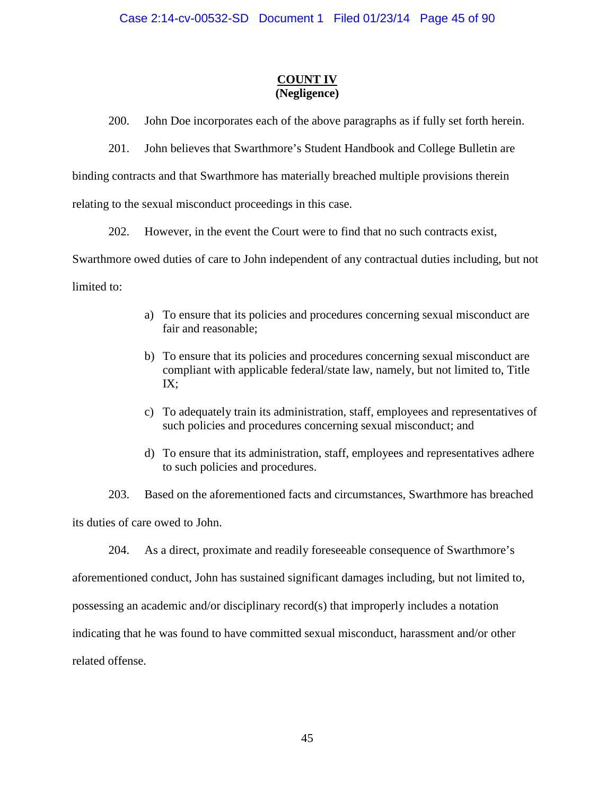# **COUNT IV (Negligence)**

200. John Doe incorporates each of the above paragraphs as if fully set forth herein.

201. John believes that Swarthmore's Student Handbook and College Bulletin are

binding contracts and that Swarthmore has materially breached multiple provisions therein

relating to the sexual misconduct proceedings in this case.

202. However, in the event the Court were to find that no such contracts exist,

Swarthmore owed duties of care to John independent of any contractual duties including, but not limited to:

- a) To ensure that its policies and procedures concerning sexual misconduct are fair and reasonable;
- b) To ensure that its policies and procedures concerning sexual misconduct are compliant with applicable federal/state law, namely, but not limited to, Title IX;
- c) To adequately train its administration, staff, employees and representatives of such policies and procedures concerning sexual misconduct; and
- d) To ensure that its administration, staff, employees and representatives adhere to such policies and procedures.

203. Based on the aforementioned facts and circumstances, Swarthmore has breached its duties of care owed to John.

204. As a direct, proximate and readily foreseeable consequence of Swarthmore's

aforementioned conduct, John has sustained significant damages including, but not limited to,

possessing an academic and/or disciplinary record(s) that improperly includes a notation

indicating that he was found to have committed sexual misconduct, harassment and/or other

related offense.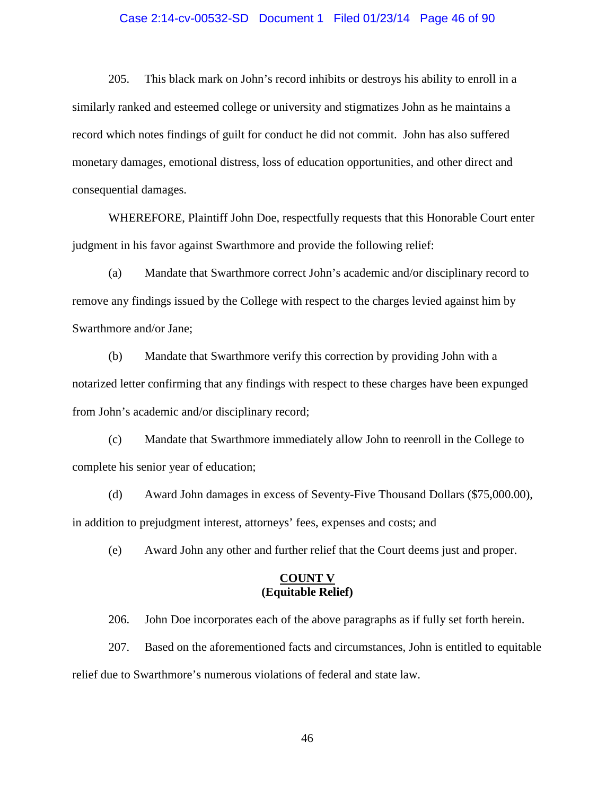## Case 2:14-cv-00532-SD Document 1 Filed 01/23/14 Page 46 of 90

205. This black mark on John's record inhibits or destroys his ability to enroll in a similarly ranked and esteemed college or university and stigmatizes John as he maintains a record which notes findings of guilt for conduct he did not commit. John has also suffered monetary damages, emotional distress, loss of education opportunities, and other direct and consequential damages.

WHEREFORE, Plaintiff John Doe, respectfully requests that this Honorable Court enter judgment in his favor against Swarthmore and provide the following relief:

(a) Mandate that Swarthmore correct John's academic and/or disciplinary record to remove any findings issued by the College with respect to the charges levied against him by Swarthmore and/or Jane;

(b) Mandate that Swarthmore verify this correction by providing John with a notarized letter confirming that any findings with respect to these charges have been expunged from John's academic and/or disciplinary record;

(c) Mandate that Swarthmore immediately allow John to reenroll in the College to complete his senior year of education;

(d) Award John damages in excess of Seventy-Five Thousand Dollars (\$75,000.00), in addition to prejudgment interest, attorneys' fees, expenses and costs; and

(e) Award John any other and further relief that the Court deems just and proper.

## **COUNT V (Equitable Relief)**

206. John Doe incorporates each of the above paragraphs as if fully set forth herein.

207. Based on the aforementioned facts and circumstances, John is entitled to equitable relief due to Swarthmore's numerous violations of federal and state law.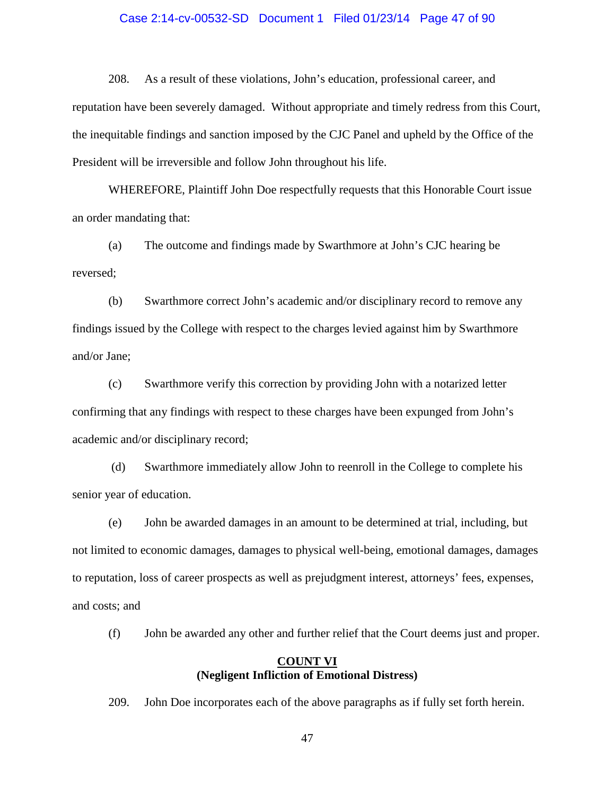## Case 2:14-cv-00532-SD Document 1 Filed 01/23/14 Page 47 of 90

208. As a result of these violations, John's education, professional career, and reputation have been severely damaged. Without appropriate and timely redress from this Court, the inequitable findings and sanction imposed by the CJC Panel and upheld by the Office of the President will be irreversible and follow John throughout his life.

WHEREFORE, Plaintiff John Doe respectfully requests that this Honorable Court issue an order mandating that:

(a) The outcome and findings made by Swarthmore at John's CJC hearing be reversed;

(b) Swarthmore correct John's academic and/or disciplinary record to remove any findings issued by the College with respect to the charges levied against him by Swarthmore and/or Jane;

(c) Swarthmore verify this correction by providing John with a notarized letter confirming that any findings with respect to these charges have been expunged from John's academic and/or disciplinary record;

(d) Swarthmore immediately allow John to reenroll in the College to complete his senior year of education.

(e) John be awarded damages in an amount to be determined at trial, including, but not limited to economic damages, damages to physical well-being, emotional damages, damages to reputation, loss of career prospects as well as prejudgment interest, attorneys' fees, expenses, and costs; and

(f) John be awarded any other and further relief that the Court deems just and proper.

## **COUNT VI (Negligent Infliction of Emotional Distress)**

209. John Doe incorporates each of the above paragraphs as if fully set forth herein.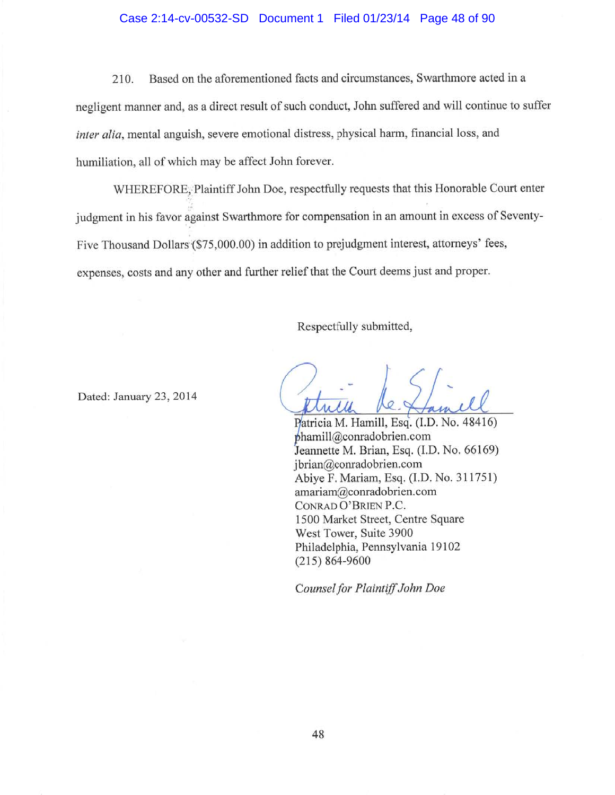## Case 2:14-cv-00532-SD Document 1 Filed 01/23/14 Page 48 of 90

Based on the aforementioned facts and circumstances, Swarthmore acted in a 210. negligent manner and, as a direct result of such conduct, John suffered and will continue to suffer inter alia, mental anguish, severe emotional distress, physical harm, financial loss, and humiliation, all of which may be affect John forever.

WHEREFORE, Plaintiff John Doe, respectfully requests that this Honorable Court enter judgment in his favor against Swarthmore for compensation in an amount in excess of Seventy-Five Thousand Dollars (\$75,000.00) in addition to prejudgment interest, attorneys' fees, expenses, costs and any other and further relief that the Court deems just and proper.

Respectfully submitted,

Dated: January 23, 2014

Patricia M. Hamill, Esq. (I.D. No. 48416)  $phamill@conradobrien.com$ Jeannette M. Brian, Esq. (I.D. No. 66169) jbrian@conradobrien.com Abiye F. Mariam, Esq. (I.D. No. 311751) amariam@conradobrien.com CONRAD O'BRIEN P.C. 1500 Market Street, Centre Square West Tower, Suite 3900 Philadelphia, Pennsylvania 19102  $(215) 864 - 9600$ 

Counsel for Plaintiff John Doe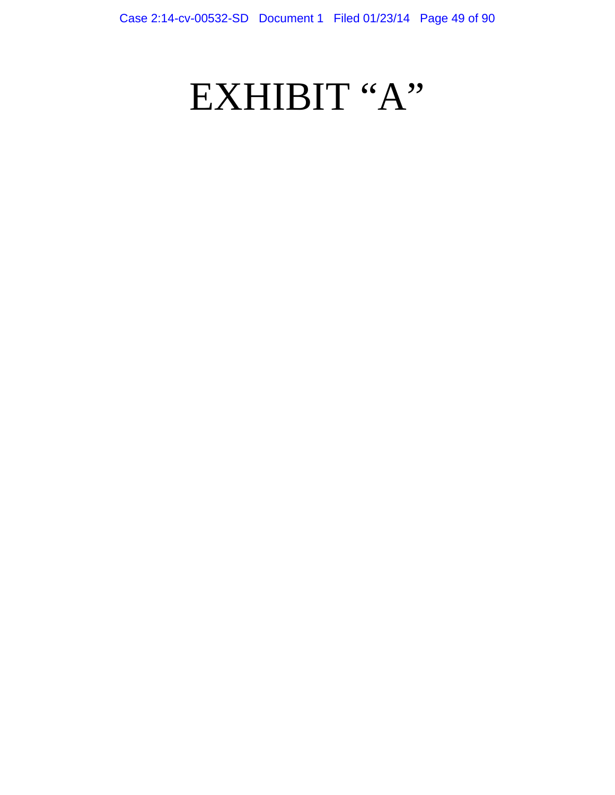# EXHIBIT "A"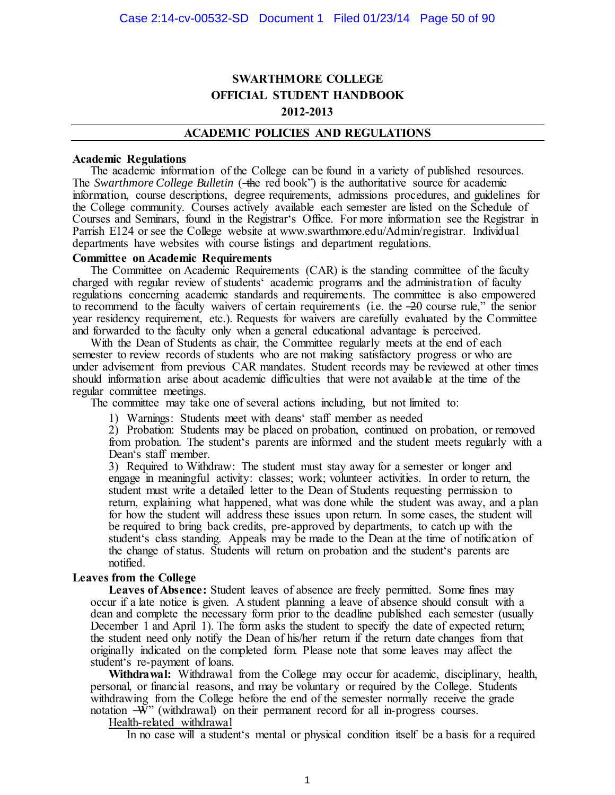# **SWARTHMORE COLLEGE OFFICIAL STUDENT HANDBOOK 2012-2013**

#### **ACADEMIC POLICIES AND REGULATIONS**

#### **Academic Regulations**

The academic information of the College can be found in a variety of published resources. The *Swarthmore College Bulletin* (—the red book<sup>?</sup>) is the authoritative source for academic information, course descriptions, degree requirements, admissions procedures, and guidelines for the College community. Courses actively available each semester are listed on the Schedule of Courses and Seminars, found in the Registrar's Office. For more information see the Registrar in Parrish E124 or see the College website at www.swarthmore.edu/Admin/registrar. Individual departments have websites with course listings and department regulations.

#### **Committee on Academic Requirements**

The Committee on Academic Requirements (CAR) is the standing committee of the faculty charged with regular review of students' academic programs and the administration of faculty regulations concerning academic standards and requirements. The committee is also empowered to recommend to the faculty waivers of certain requirements (i.e. the  $-20$  course rule," the senior year residency requirement, etc.). Requests for waivers are carefully evaluated by the Committee and forwarded to the faculty only when a general educational advantage is perceived.

With the Dean of Students as chair, the Committee regularly meets at the end of each semester to review records of students who are not making satisfactory progress or who are under advisement from previous CAR mandates. Student records may be reviewed at other times should information arise about academic difficulties that were not available at the time of the regular committee meetings.

The committee may take one of several actions including, but not limited to:

1) Warnings: Students meet with deans' staff member as needed

2) Probation: Students may be placed on probation, continued on probation, or removed from probation. The student's parents are informed and the student meets regularly with a Dean's staff member.

3) Required to Withdraw: The student must stay away for a semester or longer and engage in meaningful activity: classes; work; volunteer activities. In order to return, the student must write a detailed letter to the Dean of Students requesting permission to return, explaining what happened, what was done while the student was away, and a plan for how the student will address these issues upon return. In some cases, the student will be required to bring back credits, pre-approved by departments, to catch up with the student's class standing. Appeals may be made to the Dean at the time of notification of the change of status. Students will return on probation and the student's parents are notified.

#### **Leaves from the College**

**Leaves of Absence:** Student leaves of absence are freely permitted. Some fines may occur if a late notice is given. A student planning a leave of absence should consult with a dean and complete the necessary form prior to the deadline published each semester (usually December 1 and April 1). The form asks the student to specify the date of expected return; the student need only notify the Dean of his/her return if the return date changes from that originally indicated on the completed form. Please note that some leaves may affect the student's re-payment of loans.

**Withdrawal:** Withdrawal from the College may occur for academic, disciplinary, health, personal, or financial reasons, and may be voluntary or required by the College. Students withdrawing from the College before the end of the semester normally receive the grade notation  $-\bar{W}$ " (withdrawal) on their permanent record for all in-progress courses.

Health-related withdrawal

In no case will a student's mental or physical condition itself be a basis for a required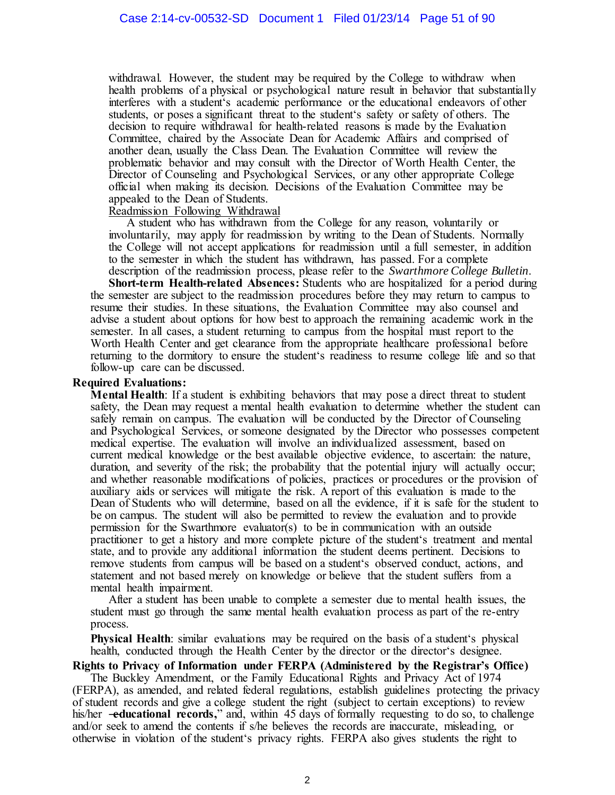withdrawal. However, the student may be required by the College to withdraw when health problems of a physical or psychological nature result in behavior that substantially interferes with a student's academic performance or the educational endeavors of other students, or poses a significant threat to the student's safety or safety of others. The decision to require withdrawal for health-related reasons is made by the Evaluation Committee, chaired by the Associate Dean for Academic Affairs and comprised of another dean, usually the Class Dean. The Evaluation Committee will review the problematic behavior and may consult with the Director of Worth Health Center, the Director of Counseling and Psychological Services, or any other appropriate College official when making its decision. Decisions of the Evaluation Committee may be appealed to the Dean of Students.

#### Readmission Following Withdrawal

A student who has withdrawn from the College for any reason, voluntarily or involuntarily, may apply for readmission by writing to the Dean of Students. Normally the College will not accept applications for readmission until a full semester, in addition to the semester in which the student has withdrawn, has passed. For a complete description of the readmission process, please refer to the *Swarthmore College Bulletin*.

**Short-term Health-related Absences:** Students who are hospitalized for a period during the semester are subject to the readmission procedures before they may return to campus to resume their studies. In these situations, the Evaluation Committee may also counsel and advise a student about options for how best to approach the remaining academic work in the semester. In all cases, a student returning to campus from the hospital must report to the Worth Health Center and get clearance from the appropriate healthcare professional before returning to the dormitory to ensure the student's readiness to resume college life and so that follow-up care can be discussed.

#### **Required Evaluations:**

**Mental Health**: If a student is exhibiting behaviors that may pose a direct threat to student safety, the Dean may request a mental health evaluation to determine whether the student can safely remain on campus. The evaluation will be conducted by the Director of Counseling and Psychological Services, or someone designated by the Director who possesses competent medical expertise. The evaluation will involve an individualized assessment, based on current medical knowledge or the best available objective evidence, to ascertain: the nature, duration, and severity of the risk; the probability that the potential injury will actually occur; and whether reasonable modifications of policies, practices or procedures or the provision of auxiliary aids or services will mitigate the risk. A report of this evaluation is made to the Dean of Students who will determine, based on all the evidence, if it is safe for the student to be on campus. The student will also be permitted to review the evaluation and to provide permission for the Swarthmore evaluator(s) to be in communication with an outside practitioner to get a history and more complete picture of the student's treatment and mental state, and to provide any additional information the student deems pertinent. Decisions to remove students from campus will be based on a student's observed conduct, actions, and statement and not based merely on knowledge or believe that the student suffers from a mental health impairment.

After a student has been unable to complete a semester due to mental health issues, the student must go through the same mental health evaluation process as part of the re-entry process.

**Physical Health**: similar evaluations may be required on the basis of a student's physical health, conducted through the Health Center by the director or the director's designee.

**Rights to Privacy of Information under FERPA (Administered by the Registrar's Office)**

The Buckley Amendment, or the Family Educational Rights and Privacy Act of 1974 (FERPA), as amended, and related federal regulations, establish guidelines protecting the privacy of student records and give a college student the right (subject to certain exceptions) to review his/her **-educational records,**" and, within 45 days of formally requesting to do so, to challenge and/or seek to amend the contents if s/he believes the records are inaccurate, misleading, or otherwise in violation of the student's privacy rights. FERPA also gives students the right to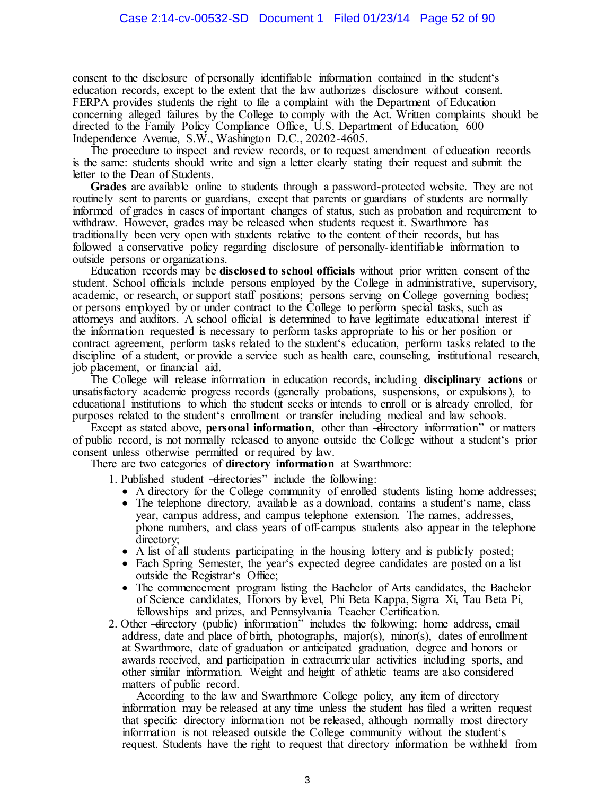consent to the disclosure of personally identifiable information contained in the student's education records, except to the extent that the law authorizes disclosure without consent. FERPA provides students the right to file a complaint with the Department of Education concerning alleged failures by the College to comply with the Act. Written complaints should be directed to the Family Policy Compliance Office, U.S. Department of Education, 600 Independence Avenue, S.W., Washington D.C., 20202-4605.

The procedure to inspect and review records, or to request amendment of education records is the same: students should write and sign a letter clearly stating their request and submit the letter to the Dean of Students.

**Grades** are available online to students through a password-protected website. They are not routinely sent to parents or guardians, except that parents or guardians of students are normally informed of grades in cases of important changes of status, such as probation and requirement to withdraw. However, grades may be released when students request it. Swarthmore has traditionally been very open with students relative to the content of their records, but has followed a conservative policy regarding disclosure of personally-identifiable information to outside persons or organizations.

Education records may be **disclosed to school officials** without prior written consent of the student. School officials include persons employed by the College in administrative, supervisory, academic, or research, or support staff positions; persons serving on College governing bodies; or persons employed by or under contract to the College to perform special tasks, such as attorneys and auditors. A school official is determined to have legitimate educational interest if the information requested is necessary to perform tasks appropriate to his or her position or contract agreement, perform tasks related to the student's education, perform tasks related to the discipline of a student, or provide a service such as health care, counseling, institutional research, job placement, or financial aid.

The College will release information in education records, including **disciplinary actions** or unsatisfactory academic progress records (generally probations, suspensions, or expulsions), to educational institutions to which the student seeks or intends to enroll or is already enrolled, for purposes related to the student's enrollment or transfer including medical and law schools.

Except as stated above, **personal information**, other than -directory information<sup>"</sup> or matters of public record, is not normally released to anyone outside the College without a student's prior consent unless otherwise permitted or required by law.

There are two categories of **directory information** at Swarthmore:

1. Published student —directories" include the following:

- A directory for the College community of enrolled students listing home addresses;
- The telephone directory, available as a download, contains a student's name, class year, campus address, and campus telephone extension. The names, addresses, phone numbers, and class years of off-campus students also appear in the telephone directory;
- A list of all students participating in the housing lottery and is publicly posted;
- Each Spring Semester, the year's expected degree candidates are posted on a list outside the Registrar's Office;
- The commencement program listing the Bachelor of Arts candidates, the Bachelor of Science candidates, Honors by level, Phi Beta Kappa, Sigma Xi, Tau Beta Pi, fellowships and prizes, and Pennsylvania Teacher Certification.
- 2. Other -directory (public) information<sup>3</sup> includes the following: home address, email address, date and place of birth, photographs, major(s), minor(s), dates of enrollment at Swarthmore, date of graduation or anticipated graduation, degree and honors or awards received, and participation in extracurricular activities including sports, and other similar information. Weight and height of athletic teams are also considered matters of public record.

According to the law and Swarthmore College policy, any item of directory information may be released at any time unless the student has filed a written request that specific directory information not be released, although normally most directory information is not released outside the College community without the student's request. Students have the right to request that directory information be withheld from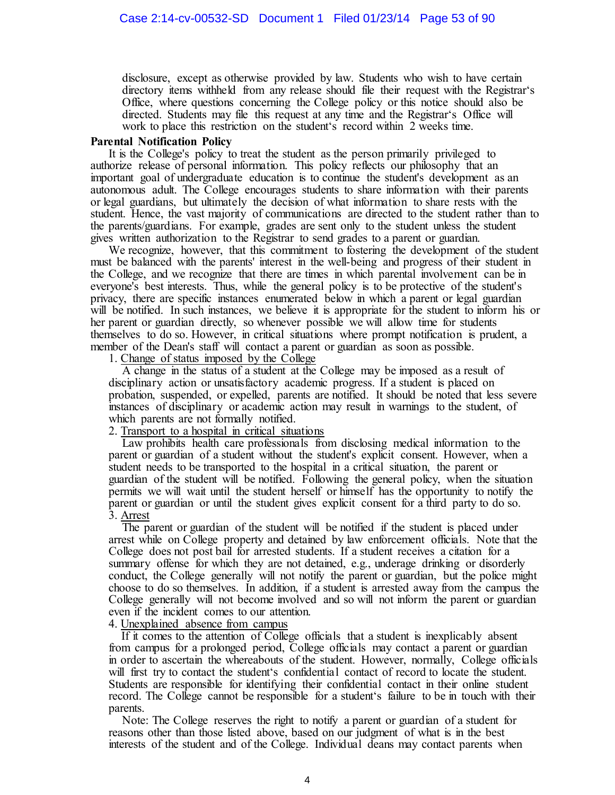disclosure, except as otherwise provided by law. Students who wish to have certain directory items withheld from any release should file their request with the Registrar's Office, where questions concerning the College policy or this notice should also be directed. Students may file this request at any time and the Registrar's Office will work to place this restriction on the student's record within 2 weeks time.

## **Parental Notification Policy**

It is the College's policy to treat the student as the person primarily privileged to authorize release of personal information. This policy reflects our philosophy that an important goal of undergraduate education is to continue the student's development as an autonomous adult. The College encourages students to share information with their parents or legal guardians, but ultimately the decision of what information to share rests with the student. Hence, the vast majority of communications are directed to the student rather than to the parents/guardians. For example, grades are sent only to the student unless the student gives written authorization to the Registrar to send grades to a parent or guardian.

We recognize, however, that this commitment to fostering the development of the student must be balanced with the parents' interest in the well-being and progress of their student in the College, and we recognize that there are times in which parental involvement can be in everyone's best interests. Thus, while the general policy is to be protective of the student's privacy, there are specific instances enumerated below in which a parent or legal guardian will be notified. In such instances, we believe it is appropriate for the student to inform his or her parent or guardian directly, so whenever possible we will allow time for students themselves to do so. However, in critical situations where prompt notification is prudent, a member of the Dean's staff will contact a parent or guardian as soon as possible.

1. Change of status imposed by the College

A change in the status of a student at the College may be imposed as a result of disciplinary action or unsatisfactory academic progress. If a student is placed on probation, suspended, or expelled, parents are notified. It should be noted that less severe instances of disciplinary or academic action may result in warnings to the student, of which parents are not formally notified.

## 2. Transport to a hospital in critical situations

Law prohibits health care professionals from disclosing medical information to the parent or guardian of a student without the student's explicit consent. However, when a student needs to be transported to the hospital in a critical situation, the parent or guardian of the student will be notified. Following the general policy, when the situation permits we will wait until the student herself or himself has the opportunity to notify the parent or guardian or until the student gives explicit consent for a third party to do so. 3. Arrest

The parent or guardian of the student will be notified if the student is placed under arrest while on College property and detained by law enforcement officials. Note that the College does not post bail for arrested students. If a student receives a citation for a summary offense for which they are not detained, e.g., underage drinking or disorderly conduct, the College generally will not notify the parent or guardian, but the police might choose to do so themselves. In addition, if a student is arrested away from the campus the College generally will not become involved and so will not inform the parent or guardian even if the incident comes to our attention.

#### 4. Unexplained absence from campus

If it comes to the attention of College officials that a student is inexplicably absent from campus for a prolonged period, College officials may contact a parent or guardian in order to ascertain the whereabouts of the student. However, normally, College officials will first try to contact the student's confidential contact of record to locate the student. Students are responsible for identifying their confidential contact in their online student record. The College cannot be responsible for a student's failure to be in touch with their parents.

Note: The College reserves the right to notify a parent or guardian of a student for reasons other than those listed above, based on our judgment of what is in the best interests of the student and of the College. Individual deans may contact parents when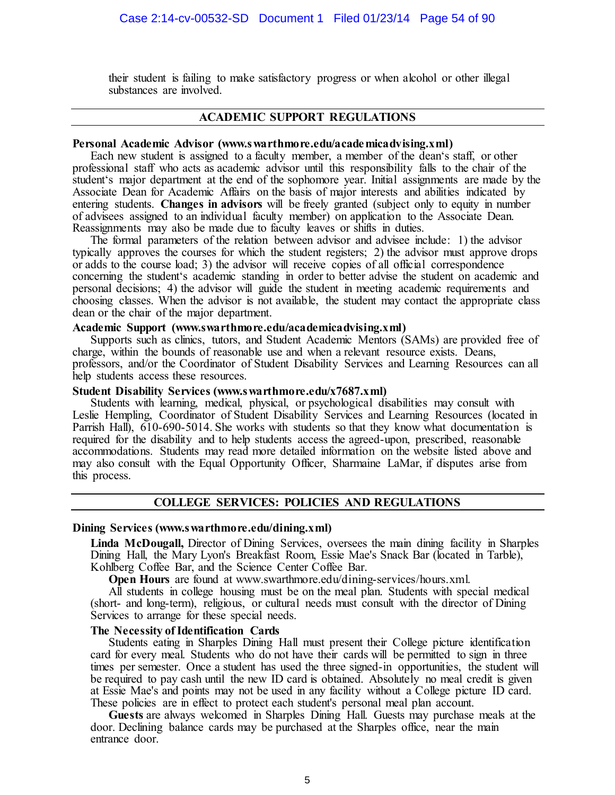their student is failing to make satisfactory progress or when alcohol or other illegal substances are involved.

## **ACADEMIC SUPPORT REGULATIONS**

#### **Personal Academic Advisor (www.swarthmore.edu/academicadvising.xml)**

Each new student is assigned to a faculty member, a member of the dean's staff, or other professional staff who acts as academic advisor until this responsibility falls to the chair of the student's major department at the end of the sophomore year. Initial assignments are made by the Associate Dean for Academic Affairs on the basis of major interests and abilities indicated by entering students. **Changes in advisors** will be freely granted (subject only to equity in number of advisees assigned to an individual faculty member) on application to the Associate Dean. Reassignments may also be made due to faculty leaves or shifts in duties.

The formal parameters of the relation between advisor and advisee include: 1) the advisor typically approves the courses for which the student registers; 2) the advisor must approve drops or adds to the course load; 3) the advisor will receive copies of all official correspondence concerning the student's academic standing in order to better advise the student on academic and personal decisions; 4) the advisor will guide the student in meeting academic requirements and choosing classes. When the advisor is not available, the student may contact the appropriate class dean or the chair of the major department.

#### **Academic Support (www.swarthmore.edu/academicadvising.xml)**

Supports such as clinics, tutors, and Student Academic Mentors (SAMs) are provided free of charge, within the bounds of reasonable use and when a relevant resource exists. Deans, professors, and/or the Coordinator of Student Disability Services and Learning Resources can all help students access these resources.

#### **Student Disability Services (www.swarthmore.edu/x7687.xml)**

Students with learning, medical, physical, or psychological disabilities may consult with Leslie Hempling, Coordinator of Student Disability Services and Learning Resources (located in Parrish Hall), 610-690-5014. She works with students so that they know what documentation is required for the disability and to help students access the agreed-upon, prescribed, reasonable accommodations. Students may read more detailed information on the website listed above and may also consult with the Equal Opportunity Officer, Sharmaine LaMar, if disputes arise from this process.

#### **COLLEGE SERVICES: POLICIES AND REGULATIONS**

#### **Dining Services (www.swarthmore.edu/dining.xml)**

**Linda McDougall,** Director of Dining Services, oversees the main dining facility in Sharples Dining Hall, the Mary Lyon's Breakfast Room, Essie Mae's Snack Bar (located in Tarble), Kohlberg Coffee Bar, and the Science Center Coffee Bar.

**Open Hours** are found at www.swarthmore.edu/dining-services/hours.xml.

All students in college housing must be on the meal plan. Students with special medical (short- and long-term), religious, or cultural needs must consult with the director of Dining Services to arrange for these special needs.

#### **The Necessity of Identification Cards**

Students eating in Sharples Dining Hall must present their College picture identification card for every meal. Students who do not have their cards will be permitted to sign in three times per semester. Once a student has used the three signed-in opportunities, the student will be required to pay cash until the new ID card is obtained. Absolutely no meal credit is given at Essie Mae's and points may not be used in any facility without a College picture ID card. These policies are in effect to protect each student's personal meal plan account.

**Guests** are always welcomed in Sharples Dining Hall. Guests may purchase meals at the door. Declining balance cards may be purchased at the Sharples office, near the main entrance door.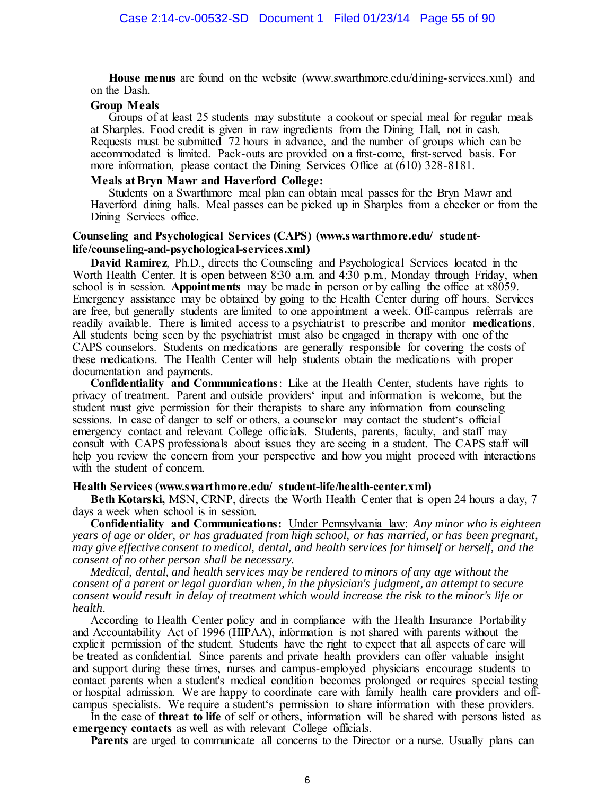**House menus** are found on the website (www.swarthmore.edu/dining-services.xml) and on the Dash.

#### **Group Meals**

Groups of at least 25 students may substitute a cookout or special meal for regular meals at Sharples. Food credit is given in raw ingredients from the Dining Hall, not in cash. Requests must be submitted 72 hours in advance, and the number of groups which can be accommodated is limited. Pack-outs are provided on a first-come, first-served basis. For more information, please contact the Dining Services Office at (610) 328-8181.

#### **Meals at Bryn Mawr and Haverford College:**

Students on a Swarthmore meal plan can obtain meal passes for the Bryn Mawr and Haverford dining halls. Meal passes can be picked up in Sharples from a checker or from the Dining Services office.

#### **Counseling and Psychological Services (CAPS) (www.swarthmore.edu/ studentlife/counseling-and-psychological-services.xml)**

**David Ramirez**, Ph.D., directs the Counseling and Psychological Services located in the Worth Health Center. It is open between 8:30 a.m. and 4:30 p.m., Monday through Friday, when school is in session. **Appointments** may be made in person or by calling the office at x8059. Emergency assistance may be obtained by going to the Health Center during off hours. Services are free, but generally students are limited to one appointment a week. Off-campus referrals are readily available. There is limited access to a psychiatrist to prescribe and monitor **medications**. All students being seen by the psychiatrist must also be engaged in therapy with one of the CAPS counselors. Students on medications are generally responsible for covering the costs of these medications. The Health Center will help students obtain the medications with proper documentation and payments.

**Confidentiality and Communications**: Like at the Health Center, students have rights to privacy of treatment. Parent and outside providers' input and information is welcome, but the student must give permission for their therapists to share any information from counseling sessions. In case of danger to self or others, a counselor may contact the student's official emergency contact and relevant College officials. Students, parents, faculty, and staff may consult with CAPS professionals about issues they are seeing in a student. The CAPS staff will help you review the concern from your perspective and how you might proceed with interactions with the student of concern.

## **Health Services (www.swarthmore.edu/ student-life/health-center.xml)**

**Beth Kotarski,** MSN, CRNP, directs the Worth Health Center that is open 24 hours a day, 7 days a week when school is in session.

**Confidentiality and Communications:** Under Pennsylvania law: *Any minor who is eighteen years of age or older, or has graduated from high school, or has married, or has been pregnant, may give effective consent to medical, dental, and health services for himself or herself, and the consent of no other person shall be necessary.* 

*Medical, dental, and health services may be rendered to minors of any age without the consent of a parent or legal guardian when, in the physician's judgment, an attempt to secure consent would result in delay of treatment which would increase the risk to the minor's life or health*.

According to Health Center policy and in compliance with the Health Insurance Portability and Accountability Act of 1996 (HIPAA), information is not shared with parents without the explicit permission of the student. Students have the right to expect that all aspects of care will be treated as confidential. Since parents and private health providers can offer valuable insight and support during these times, nurses and campus-employed physicians encourage students to contact parents when a student's medical condition becomes prolonged or requires special testing or hospital admission. We are happy to coordinate care with family health care providers and offcampus specialists. We require a student's permission to share information with these providers.

In the case of **threat to life** of self or others, information will be shared with persons listed as **emergency contacts** as well as with relevant College officials.

**Parents** are urged to communicate all concerns to the Director or a nurse. Usually plans can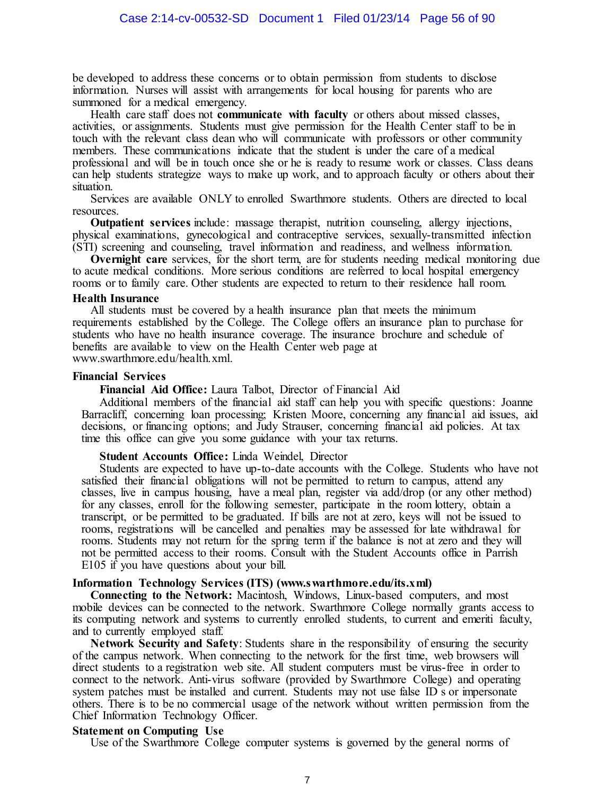be developed to address these concerns or to obtain permission from students to disclose information. Nurses will assist with arrangements for local housing for parents who are summoned for a medical emergency.

Health care staff does not **communicate with faculty** or others about missed classes, activities, or assignments. Students must give permission for the Health Center staff to be in touch with the relevant class dean who will communicate with professors or other community members. These communications indicate that the student is under the care of a medical professional and will be in touch once she or he is ready to resume work or classes. Class deans can help students strategize ways to make up work, and to approach faculty or others about their situation.

Services are available ONLY to enrolled Swarthmore students. Others are directed to local resources.

**Outpatient services** include: massage therapist, nutrition counseling, allergy injections, physical examinations, gynecological and contraceptive services, sexually-transmitted infection (STI) screening and counseling, travel information and readiness, and wellness information.

**Overnight care** services, for the short term, are for students needing medical monitoring due to acute medical conditions. More serious conditions are referred to local hospital emergency rooms or to family care. Other students are expected to return to their residence hall room.

#### **Health Insurance**

All students must be covered by a health insurance plan that meets the minimum requirements established by the College. The College offers an insurance plan to purchase for students who have no health insurance coverage. The insurance brochure and schedule of benefits are available to view on the Health Center web page at www.swarthmore.edu/health.xml.

#### **Financial Services**

**Financial Aid Office:** Laura Talbot, Director of Financial Aid

Additional members of the financial aid staff can help you with specific questions: Joanne Barracliff, concerning loan processing; Kristen Moore, concerning any financial aid issues, aid decisions, or financing options; and Judy Strauser, concerning financial aid policies. At tax time this office can give you some guidance with your tax returns.

#### **Student Accounts Office:** Linda Weindel, Director

Students are expected to have up-to-date accounts with the College. Students who have not satisfied their financial obligations will not be permitted to return to campus, attend any classes, live in campus housing, have a meal plan, register via add/drop (or any other method) for any classes, enroll for the following semester, participate in the room lottery, obtain a transcript, or be permitted to be graduated. If bills are not at zero, keys will not be issued to rooms, registrations will be cancelled and penalties may be assessed for late withdrawal for rooms. Students may not return for the spring term if the balance is not at zero and they will not be permitted access to their rooms. Consult with the Student Accounts office in Parrish E105 if you have questions about your bill.

#### **Information Technology Services (ITS) (www.swarthmore.edu/its.xml)**

**Connecting to the Network:** Macintosh, Windows, Linux-based computers, and most mobile devices can be connected to the network. Swarthmore College normally grants access to its computing network and systems to currently enrolled students, to current and emeriti faculty, and to currently employed staff.

**Network Security and Safety**: Students share in the responsibility of ensuring the security of the campus network. When connecting to the network for the first time, web browsers will direct students to a registration web site. All student computers must be virus-free in order to connect to the network. Anti-virus software (provided by Swarthmore College) and operating system patches must be installed and current. Students may not use false ID s or impersonate others. There is to be no commercial usage of the network without written permission from the Chief Information Technology Officer.

#### **Statement on Computing Use**

Use of the Swarthmore College computer systems is governed by the general norms of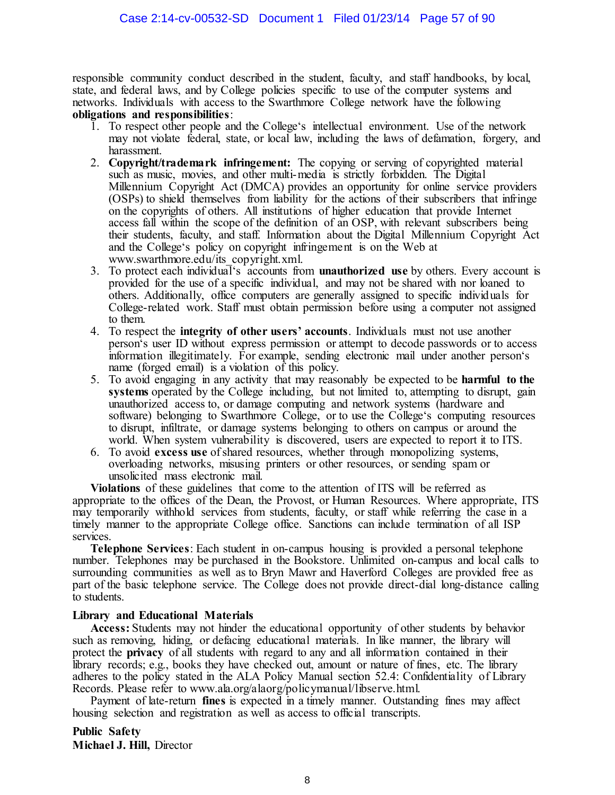responsible community conduct described in the student, faculty, and staff handbooks, by local, state, and federal laws, and by College policies specific to use of the computer systems and networks. Individuals with access to the Swarthmore College network have the following **obligations and responsibilities**:

- 1. To respect other people and the College's intellectual environment. Use of the network may not violate federal, state, or local law, including the laws of defamation, forgery, and harassment.
- 2. **Copyright/trademark infringement:** The copying or serving of copyrighted material such as music, movies, and other multi-media is strictly forbidden. The Digital Millennium Copyright Act (DMCA) provides an opportunity for online service providers (OSPs) to shield themselves from liability for the actions of their subscribers that infringe on the copyrights of others. All institutions of higher education that provide Internet access fall within the scope of the definition of an OSP, with relevant subscribers being their students, faculty, and staff. Information about the Digital Millennium Copyright Act and the College's policy on copyright infringement is on the Web at www.swarthmore.edu/its\_copyright.xml.
- 3. To protect each individual's accounts from **unauthorized use** by others. Every account is provided for the use of a specific individual, and may not be shared with nor loaned to others. Additionally, office computers are generally assigned to specific individuals for College-related work. Staff must obtain permission before using a computer not assigned to them.
- 4. To respect the **integrity of other users' accounts**. Individuals must not use another person's user ID without express permission or attempt to decode passwords or to access information illegitimately. For example, sending electronic mail under another person's name (forged email) is a violation of this policy.
- 5. To avoid engaging in any activity that may reasonably be expected to be **harmful to the**  systems operated by the College including, but not limited to, attempting to disrupt, gain unauthorized access to, or damage computing and network systems (hardware and software) belonging to Swarthmore College, or to use the College's computing resources to disrupt, infiltrate, or damage systems belonging to others on campus or around the world. When system vulnerability is discovered, users are expected to report it to ITS.
- 6. To avoid **excess use** of shared resources, whether through monopolizing systems, overloading networks, misusing printers or other resources, or sending spam or unsolicited mass electronic mail.

**Violations** of these guidelines that come to the attention of ITS will be referred as appropriate to the offices of the Dean, the Provost, or Human Resources. Where appropriate, ITS may temporarily withhold services from students, faculty, or staff while referring the case in a timely manner to the appropriate College office. Sanctions can include termination of all ISP services.

**Telephone Services**: Each student in on-campus housing is provided a personal telephone number. Telephones may be purchased in the Bookstore. Unlimited on-campus and local calls to surrounding communities as well as to Bryn Mawr and Haverford Colleges are provided free as part of the basic telephone service. The College does not provide direct-dial long-distance calling to students.

## **Library and Educational Materials**

**Access:** Students may not hinder the educational opportunity of other students by behavior such as removing, hiding, or defacing educational materials. In like manner, the library will protect the **privacy** of all students with regard to any and all information contained in their library records; e.g., books they have checked out, amount or nature of fines, etc. The library adheres to the policy stated in the ALA Policy Manual section 52.4: Confidentiality of Library Records. Please refer to www.ala.org/alaorg/policymanual/libserve.html.

Payment of late-return **fines** is expected in a timely manner. Outstanding fines may affect housing selection and registration as well as access to official transcripts.

**Public Safety Michael J. Hill,** Director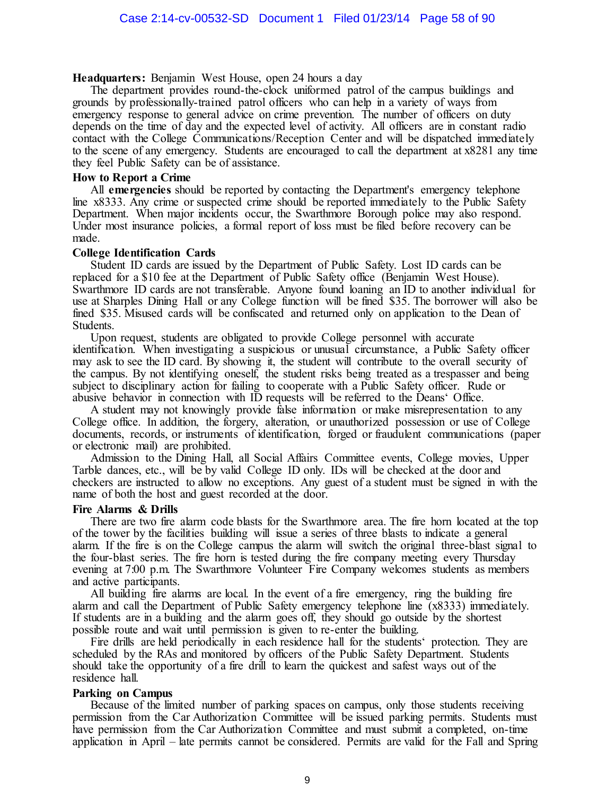## **Headquarters:** Benjamin West House, open 24 hours a day

The department provides round-the-clock uniformed patrol of the campus buildings and grounds by professionally-trained patrol officers who can help in a variety of ways from emergency response to general advice on crime prevention. The number of officers on duty depends on the time of day and the expected level of activity. All officers are in constant radio contact with the College Communications/Reception Center and will be dispatched immediately to the scene of any emergency. Students are encouraged to call the department at x8281 any time they feel Public Safety can be of assistance.

## **How to Report a Crime**

All **emergencies** should be reported by contacting the Department's emergency telephone line x8333. Any crime or suspected crime should be reported immediately to the Public Safety Department. When major incidents occur, the Swarthmore Borough police may also respond. Under most insurance policies, a formal report of loss must be filed before recovery can be made.

#### **College Identification Cards**

Student ID cards are issued by the Department of Public Safety. Lost ID cards can be replaced for a \$10 fee at the Department of Public Safety office (Benjamin West House). Swarthmore ID cards are not transferable. Anyone found loaning an ID to another individual for use at Sharples Dining Hall or any College function will be fined \$35. The borrower will also be fined \$35. Misused cards will be confiscated and returned only on application to the Dean of Students.

Upon request, students are obligated to provide College personnel with accurate identification. When investigating a suspicious or unusual circumstance, a Public Safety officer may ask to see the ID card. By showing it, the student will contribute to the overall security of the campus. By not identifying oneself, the student risks being treated as a trespasser and being subject to disciplinary action for failing to cooperate with a Public Safety officer. Rude or abusive behavior in connection with ID requests will be referred to the Deans' Office.

A student may not knowingly provide false information or make misrepresentation to any College office. In addition, the forgery, alteration, or unauthorized possession or use of College documents, records, or instruments of identification, forged or fraudulent communications (paper or electronic mail) are prohibited.

Admission to the Dining Hall, all Social Affairs Committee events, College movies, Upper Tarble dances, etc., will be by valid College ID only. IDs will be checked at the door and checkers are instructed to allow no exceptions. Any guest of a student must be signed in with the name of both the host and guest recorded at the door.

## **Fire Alarms & Drills**

There are two fire alarm code blasts for the Swarthmore area. The fire horn located at the top of the tower by the facilities building will issue a series of three blasts to indicate a general alarm. If the fire is on the College campus the alarm will switch the original three-blast signal to the four-blast series. The fire horn is tested during the fire company meeting every Thursday evening at 7:00 p.m. The Swarthmore Volunteer Fire Company welcomes students as members and active participants.

All building fire alarms are local. In the event of a fire emergency, ring the building fire alarm and call the Department of Public Safety emergency telephone line (x8333) immediately. If students are in a building and the alarm goes off, they should go outside by the shortest possible route and wait until permission is given to re-enter the building.

Fire drills are held periodically in each residence hall for the students' protection. They are scheduled by the RAs and monitored by officers of the Public Safety Department. Students should take the opportunity of a fire drill to learn the quickest and safest ways out of the residence hall.

## **Parking on Campus**

Because of the limited number of parking spaces on campus, only those students receiving permission from the Car Authorization Committee will be issued parking permits. Students must have permission from the Car Authorization Committee and must submit a completed, on-time application in April – late permits cannot be considered. Permits are valid for the Fall and Spring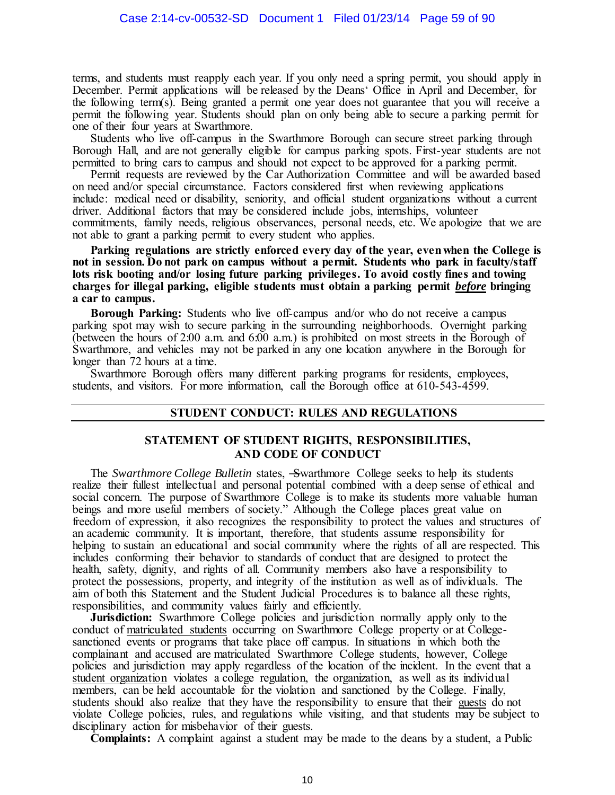terms, and students must reapply each year. If you only need a spring permit, you should apply in December. Permit applications will be released by the Deans' Office in April and December, for the following term(s). Being granted a permit one year does not guarantee that you will receive a permit the following year. Students should plan on only being able to secure a parking permit for one of their four years at Swarthmore.

Students who live off-campus in the Swarthmore Borough can secure street parking through Borough Hall, and are not generally eligible for campus parking spots. First-year students are not permitted to bring cars to campus and should not expect to be approved for a parking permit.

Permit requests are reviewed by the Car Authorization Committee and will be awarded based on need and/or special circumstance. Factors considered first when reviewing applications include: medical need or disability, seniority, and official student organizations without a current driver. Additional factors that may be considered include jobs, internships, volunteer commitments, family needs, religious observances, personal needs, etc. We apologize that we are not able to grant a parking permit to every student who applies.

**Parking regulations are strictly enforced every day of the year, even when the College is not in session. Do not park on campus without a permit. Students who park in faculty/staff lots risk booting and/or losing future parking privileges. To avoid costly fines and towing charges for illegal parking, eligible students must obtain a parking permit** *before* **bringing a car to campus.** 

**Borough Parking:** Students who live off-campus and/or who do not receive a campus parking spot may wish to secure parking in the surrounding neighborhoods. Overnight parking (between the hours of 2:00 a.m. and 6:00 a.m.) is prohibited on most streets in the Borough of Swarthmore, and vehicles may not be parked in any one location anywhere in the Borough for longer than 72 hours at a time.

Swarthmore Borough offers many different parking programs for residents, employees, students, and visitors. For more information, call the Borough office at 610-543-4599.

## **STUDENT CONDUCT: RULES AND REGULATIONS**

## **STATEMENT OF STUDENT RIGHTS, RESPONSIBILITIES, AND CODE OF CONDUCT**

The *Swarthmore College Bulletin* states, ―Swarthmore College seeks to help its students realize their fullest intellectual and personal potential combined with a deep sense of ethical and social concern. The purpose of Swarthmore College is to make its students more valuable human beings and more useful members of society." Although the College places great value on freedom of expression, it also recognizes the responsibility to protect the values and structures of an academic community. It is important, therefore, that students assume responsibility for helping to sustain an educational and social community where the rights of all are respected. This includes conforming their behavior to standards of conduct that are designed to protect the health, safety, dignity, and rights of all. Community members also have a responsibility to protect the possessions, property, and integrity of the institution as well as of individuals. The aim of both this Statement and the Student Judicial Procedures is to balance all these rights, responsibilities, and community values fairly and efficiently.

**Jurisdiction:** Swarthmore College policies and jurisdiction normally apply only to the conduct of matriculated students occurring on Swarthmore College property or at Collegesanctioned events or programs that take place off campus. In situations in which both the complainant and accused are matriculated Swarthmore College students, however, College policies and jurisdiction may apply regardless of the location of the incident. In the event that a student organization violates a college regulation, the organization, as well as its individual members, can be held accountable for the violation and sanctioned by the College. Finally, students should also realize that they have the responsibility to ensure that their guests do not violate College policies, rules, and regulations while visiting, and that students may be subject to disciplinary action for misbehavior of their guests.

**Complaints:** A complaint against a student may be made to the deans by a student, a Public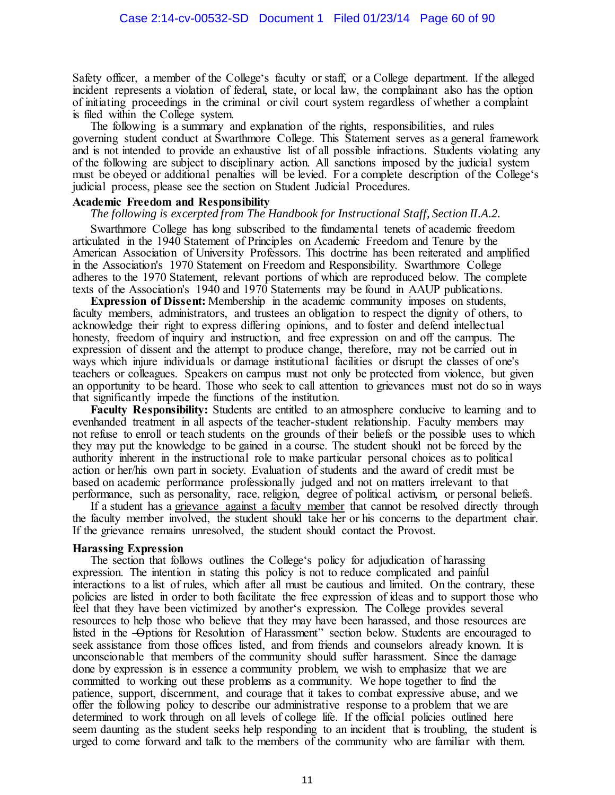Safety officer, a member of the College's faculty or staff, or a College department. If the alleged incident represents a violation of federal, state, or local law, the complainant also has the option of initiating proceedings in the criminal or civil court system regardless of whether a complaint is filed within the College system.

The following is a summary and explanation of the rights, responsibilities, and rules governing student conduct at Swarthmore College. This Statement serves as a general framework and is not intended to provide an exhaustive list of all possible infractions. Students violating any of the following are subject to disciplinary action. All sanctions imposed by the judicial system must be obeyed or additional penalties will be levied. For a complete description of the College's judicial process, please see the section on Student Judicial Procedures.

# **Academic Freedom and Responsibility**

## *The following is excerpted from The Handbook for Instructional Staff, Section II.A.2.*

Swarthmore College has long subscribed to the fundamental tenets of academic freedom articulated in the 1940 Statement of Principles on Academic Freedom and Tenure by the American Association of University Professors. This doctrine has been reiterated and amplified in the Association's 1970 Statement on Freedom and Responsibility. Swarthmore College adheres to the 1970 Statement, relevant portions of which are reproduced below. The complete texts of the Association's 1940 and 1970 Statements may be found in AAUP publications.

**Expression of Dissent:** Membership in the academic community imposes on students, faculty members, administrators, and trustees an obligation to respect the dignity of others, to acknowledge their right to express differing opinions, and to foster and defend intellectual honesty, freedom of inquiry and instruction, and free expression on and off the campus. The expression of dissent and the attempt to produce change, therefore, may not be carried out in ways which injure individuals or damage institutional facilities or disrupt the classes of one's teachers or colleagues. Speakers on campus must not only be protected from violence, but given an opportunity to be heard. Those who seek to call attention to grievances must not do so in ways that significantly impede the functions of the institution.

**Faculty Responsibility:** Students are entitled to an atmosphere conducive to learning and to evenhanded treatment in all aspects of the teacher-student relationship. Faculty members may not refuse to enroll or teach students on the grounds of their beliefs or the possible uses to which they may put the knowledge to be gained in a course. The student should not be forced by the authority inherent in the instructional role to make particular personal choices as to political action or her/his own part in society. Evaluation of students and the award of credit must be based on academic performance professionally judged and not on matters irrelevant to that performance, such as personality, race, religion, degree of political activism, or personal beliefs.

If a student has a grievance against a faculty member that cannot be resolved directly through the faculty member involved, the student should take her or his concerns to the department chair. If the grievance remains unresolved, the student should contact the Provost.

#### **Harassing Expression**

The section that follows outlines the College's policy for adjudication of harassing expression. The intention in stating this policy is not to reduce complicated and painful interactions to a list of rules, which after all must be cautious and limited. On the contrary, these policies are listed in order to both facilitate the free expression of ideas and to support those who feel that they have been victimized by another's expression. The College provides several resources to help those who believe that they may have been harassed, and those resources are listed in the -Options for Resolution of Harassment" section below. Students are encouraged to seek assistance from those offices listed, and from friends and counselors already known. It is unconscionable that members of the community should suffer harassment. Since the damage done by expression is in essence a community problem, we wish to emphasize that we are committed to working out these problems as a community. We hope together to find the patience, support, discernment, and courage that it takes to combat expressive abuse, and we offer the following policy to describe our administrative response to a problem that we are determined to work through on all levels of college life. If the official policies outlined here seem daunting as the student seeks help responding to an incident that is troubling, the student is urged to come forward and talk to the members of the community who are familiar with them.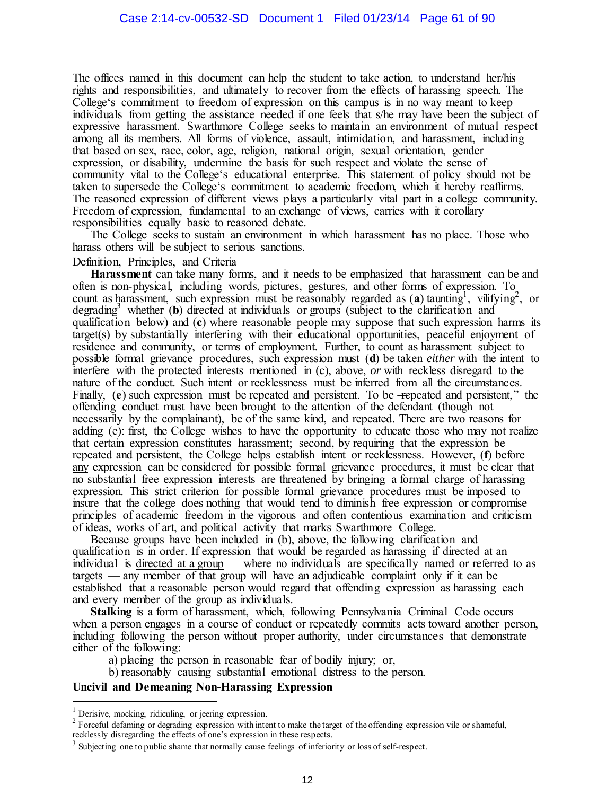The offices named in this document can help the student to take action, to understand her/his rights and responsibilities, and ultimately to recover from the effects of harassing speech. The College's commitment to freedom of expression on this campus is in no way meant to keep individuals from getting the assistance needed if one feels that s/he may have been the subject of expressive harassment. Swarthmore College seeks to maintain an environment of mutual respect among all its members. All forms of violence, assault, intimidation, and harassment, including that based on sex, race, color, age, religion, national origin, sexual orientation, gender expression, or disability, undermine the basis for such respect and violate the sense of community vital to the College's educational enterprise. This statement of policy should not be taken to supersede the College's commitment to academic freedom, which it hereby reaffirms. The reasoned expression of different views plays a particularly vital part in a college community. Freedom of expression, fundamental to an exchange of views, carries with it corollary responsibilities equally basic to reasoned debate.

The College seeks to sustain an environment in which harassment has no place. Those who harass others will be subject to serious sanctions.

#### Definition, Principles, and Criteria

**Harassment** can take many forms, and it needs to be emphasized that harassment can be and often is non-physical, including words, pictures, gestures, and other forms of expression. To count as harassment, such expression must be reasonably regarded as  $(a)$  taunting<sup>1</sup>, vilifying<sup>2</sup>, or degrading<sup>3</sup> whether (**b**) directed at individuals or groups (subject to the clarification and qualification below) and (**c**) where reasonable people may suppose that such expression harms its target(s) by substantially interfering with their educational opportunities, peaceful enjoyment of residence and community, or terms of employment. Further, to count as harassment subject to possible formal grievance procedures, such expression must (**d**) be taken *either* with the intent to interfere with the protected interests mentioned in (c), above, *or* with reckless disregard to the nature of the conduct. Such intent or recklessness must be inferred from all the circumstances. Finally, (**e**) such expression must be repeated and persistent. To be <del>-repeated</del> and persistent," the offending conduct must have been brought to the attention of the defendant (though not necessarily by the complainant), be of the same kind, and repeated. There are two reasons for adding (e): first, the College wishes to have the opportunity to educate those who may not realize that certain expression constitutes harassment; second, by requiring that the expression be repeated and persistent, the College helps establish intent or recklessness. However, (**f**) before any expression can be considered for possible formal grievance procedures, it must be clear that no substantial free expression interests are threatened by bringing a formal charge of harassing expression. This strict criterion for possible formal grievance procedures must be imposed to insure that the college does nothing that would tend to diminish free expression or compromise principles of academic freedom in the vigorous and often contentious examination and criticism of ideas, works of art, and political activity that marks Swarthmore College.

Because groups have been included in (b), above, the following clarification and qualification is in order. If expression that would be regarded as harassing if directed at an individual is directed at a group — where no individuals are specifically named or referred to as targets — any member of that group will have an adjudicable complaint only if it can be established that a reasonable person would regard that offending expression as harassing each and every member of the group as individuals.

**Stalking** is a form of harassment, which, following Pennsylvania Criminal Code occurs when a person engages in a course of conduct or repeatedly commits acts toward another person, including following the person without proper authority, under circumstances that demonstrate either of the following:

- a) placing the person in reasonable fear of bodily injury; or,
- b) reasonably causing substantial emotional distress to the person.

## **Uncivil and Demeaning Non-Harassing Expression**

l

<sup>&</sup>lt;sup>1</sup> Derisive, mocking, ridiculing, or jeering expression.

 $2^2$  Forceful defaming or degrading expression with intent to make the target of the offending expression vile or shameful, recklessly disregarding the effects of one's expression in these respects.

 $3$  Subjecting one to public shame that normally cause feelings of inferiority or loss of self-respect.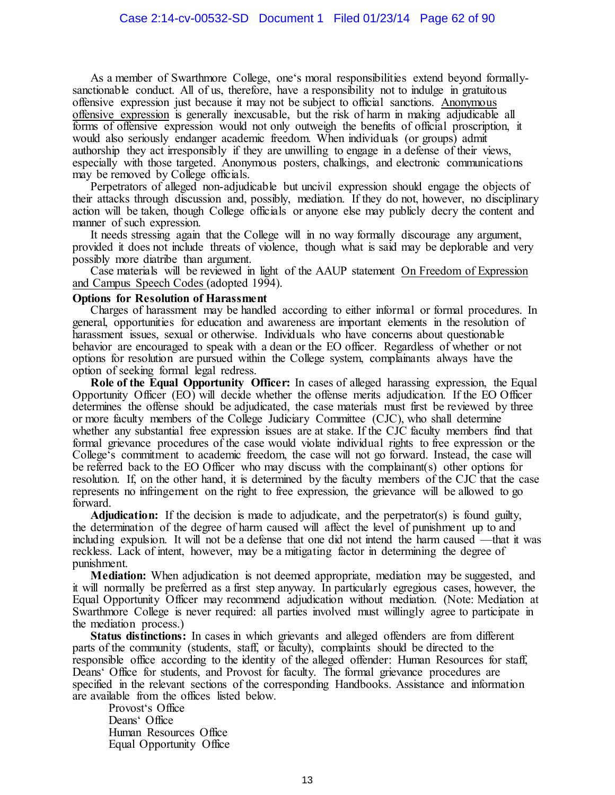As a member of Swarthmore College, one's moral responsibilities extend beyond formallysanctionable conduct. All of us, therefore, have a responsibility not to indulge in gratuitous offensive expression just because it may not be subject to official sanctions. Anonymous offensive expression is generally inexcusable, but the risk of harm in making adjudicable all forms of offensive expression would not only outweigh the benefits of official proscription, it would also seriously endanger academic freedom. When individuals (or groups) admit authorship they act irresponsibly if they are unwilling to engage in a defense of their views, especially with those targeted. Anonymous posters, chalkings, and electronic communications may be removed by College officials.

Perpetrators of alleged non-adjudicable but uncivil expression should engage the objects of their attacks through discussion and, possibly, mediation. If they do not, however, no disciplinary action will be taken, though College officials or anyone else may publicly decry the content and manner of such expression.

It needs stressing again that the College will in no way formally discourage any argument, provided it does not include threats of violence, though what is said may be deplorable and very possibly more diatribe than argument.

Case materials will be reviewed in light of the AAUP statement On Freedom of Expression and Campus Speech Codes (adopted 1994).

#### **Options for Resolution of Harassment**

Charges of harassment may be handled according to either informal or formal procedures. In general, opportunities for education and awareness are important elements in the resolution of harassment issues, sexual or otherwise. Individuals who have concerns about questionable behavior are encouraged to speak with a dean or the EO officer. Regardless of whether or not options for resolution are pursued within the College system, complainants always have the option of seeking formal legal redress.

**Role of the Equal Opportunity Officer:** In cases of alleged harassing expression, the Equal Opportunity Officer (EO) will decide whether the offense merits adjudication. If the EO Officer determines the offense should be adjudicated, the case materials must first be reviewed by three or more faculty members of the College Judiciary Committee (CJC), who shall determine whether any substantial free expression issues are at stake. If the CJC faculty members find that formal grievance procedures of the case would violate individual rights to free expression or the College's commitment to academic freedom, the case will not go forward. Instead, the case will be referred back to the EO Officer who may discuss with the complainant(s) other options for resolution. If, on the other hand, it is determined by the faculty members of the CJC that the case represents no infringement on the right to free expression, the grievance will be allowed to go forward.

**Adjudication:** If the decision is made to adjudicate, and the perpetrator(s) is found guilty, the determination of the degree of harm caused will affect the level of punishment up to and including expulsion. It will not be a defense that one did not intend the harm caused —that it was reckless. Lack of intent, however, may be a mitigating factor in determining the degree of punishment.

**Mediation:** When adjudication is not deemed appropriate, mediation may be suggested, and it will normally be preferred as a first step anyway. In particularly egregious cases, however, the Equal Opportunity Officer may recommend adjudication without mediation. (Note: Mediation at Swarthmore College is never required: all parties involved must willingly agree to participate in the mediation process.)

**Status distinctions:** In cases in which grievants and alleged offenders are from different parts of the community (students, staff, or faculty), complaints should be directed to the responsible office according to the identity of the alleged offender: Human Resources for staff, Deans' Office for students, and Provost for faculty. The formal grievance procedures are specified in the relevant sections of the corresponding Handbooks. Assistance and information are available from the offices listed below.

Provost's Office Deans' Office Human Resources Office Equal Opportunity Office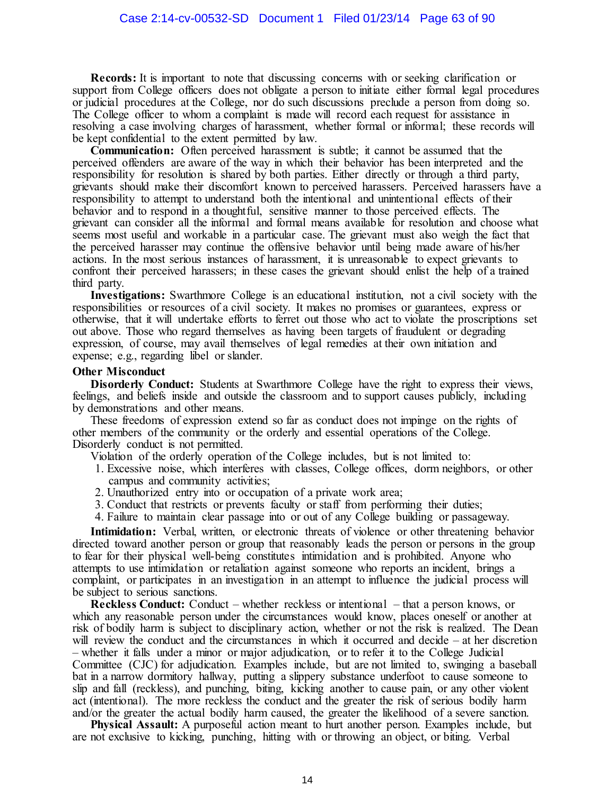**Records:** It is important to note that discussing concerns with or seeking clarification or support from College officers does not obligate a person to initiate either formal legal procedures or judicial procedures at the College, nor do such discussions preclude a person from doing so. The College officer to whom a complaint is made will record each request for assistance in resolving a case involving charges of harassment, whether formal or informal; these records will be kept confidential to the extent permitted by law.

**Communication:** Often perceived harassment is subtle; it cannot be assumed that the perceived offenders are aware of the way in which their behavior has been interpreted and the responsibility for resolution is shared by both parties. Either directly or through a third party, grievants should make their discomfort known to perceived harassers. Perceived harassers have a responsibility to attempt to understand both the intentional and unintentional effects of their behavior and to respond in a thoughtful, sensitive manner to those perceived effects. The grievant can consider all the informal and formal means available for resolution and choose what seems most useful and workable in a particular case. The grievant must also weigh the fact that the perceived harasser may continue the offensive behavior until being made aware of his/her actions. In the most serious instances of harassment, it is unreasonable to expect grievants to confront their perceived harassers; in these cases the grievant should enlist the help of a trained third party.

**Investigations:** Swarthmore College is an educational institution, not a civil society with the responsibilities or resources of a civil society. It makes no promises or guarantees, express or otherwise, that it will undertake efforts to ferret out those who act to violate the proscriptions set out above. Those who regard themselves as having been targets of fraudulent or degrading expression, of course, may avail themselves of legal remedies at their own initiation and expense; e.g., regarding libel or slander.

#### **Other Misconduct**

**Disorderly Conduct:** Students at Swarthmore College have the right to express their views, feelings, and beliefs inside and outside the classroom and to support causes publicly, including by demonstrations and other means.

These freedoms of expression extend so far as conduct does not impinge on the rights of other members of the community or the orderly and essential operations of the College. Disorderly conduct is not permitted.

Violation of the orderly operation of the College includes, but is not limited to:

- 1. Excessive noise, which interferes with classes, College offices, dorm neighbors, or other campus and community activities;
- 2. Unauthorized entry into or occupation of a private work area;
- 3. Conduct that restricts or prevents faculty or staff from performing their duties;
- 4. Failure to maintain clear passage into or out of any College building or passageway.

**Intimidation:** Verbal, written, or electronic threats of violence or other threatening behavior directed toward another person or group that reasonably leads the person or persons in the group to fear for their physical well-being constitutes intimidation and is prohibited. Anyone who attempts to use intimidation or retaliation against someone who reports an incident, brings a complaint, or participates in an investigation in an attempt to influence the judicial process will be subject to serious sanctions.

**Reckless Conduct:** Conduct – whether reckless or intentional – that a person knows, or which any reasonable person under the circumstances would know, places oneself or another at risk of bodily harm is subject to disciplinary action, whether or not the risk is realized. The Dean will review the conduct and the circumstances in which it occurred and decide – at her discretion – whether it falls under a minor or major adjudication, or to refer it to the College Judicial Committee (CJC) for adjudication. Examples include, but are not limited to, swinging a baseball bat in a narrow dormitory hallway, putting a slippery substance underfoot to cause someone to slip and fall (reckless), and punching, biting, kicking another to cause pain, or any other violent act (intentional). The more reckless the conduct and the greater the risk of serious bodily harm and/or the greater the actual bodily harm caused, the greater the likelihood of a severe sanction.

**Physical Assault:** A purposeful action meant to hurt another person. Examples include, but are not exclusive to kicking, punching, hitting with or throwing an object, or biting. Verbal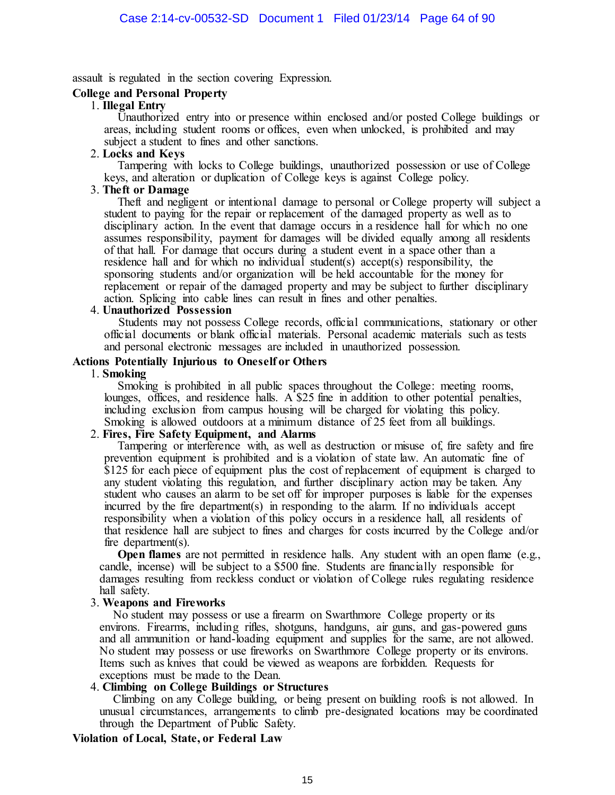assault is regulated in the section covering Expression.

## **College and Personal Property**

#### 1. **Illegal Entry**

Unauthorized entry into or presence within enclosed and/or posted College buildings or areas, including student rooms or offices, even when unlocked, is prohibited and may subject a student to fines and other sanctions.

#### 2. **Locks and Keys**

Tampering with locks to College buildings, unauthorized possession or use of College keys, and alteration or duplication of College keys is against College policy.

#### 3. **Theft or Damage**

Theft and negligent or intentional damage to personal or College property will subject a student to paying for the repair or replacement of the damaged property as well as to disciplinary action. In the event that damage occurs in a residence hall for which no one assumes responsibility, payment for damages will be divided equally among all residents of that hall. For damage that occurs during a student event in a space other than a residence hall and for which no individual student(s) accept(s) responsibility, the sponsoring students and/or organization will be held accountable for the money for replacement or repair of the damaged property and may be subject to further disciplinary action. Splicing into cable lines can result in fines and other penalties.

#### 4. **Unauthorized Possession**

Students may not possess College records, official communications, stationary or other official documents or blank official materials. Personal academic materials such as tests and personal electronic messages are included in unauthorized possession.

#### **Actions Potentially Injurious to Oneself or Others**

#### 1. **Smoking**

Smoking is prohibited in all public spaces throughout the College: meeting rooms, lounges, offices, and residence halls. A \$25 fine in addition to other potential penalties, including exclusion from campus housing will be charged for violating this policy. Smoking is allowed outdoors at a minimum distance of 25 feet from all buildings.

#### 2. **Fires, Fire Safety Equipment, and Alarms**

Tampering or interference with, as well as destruction or misuse of, fire safety and fire prevention equipment is prohibited and is a violation of state law. An automatic fine of \$125 for each piece of equipment plus the cost of replacement of equipment is charged to any student violating this regulation, and further disciplinary action may be taken. Any student who causes an alarm to be set off for improper purposes is liable for the expenses incurred by the fire department(s) in responding to the alarm. If no individuals accept responsibility when a violation of this policy occurs in a residence hall, all residents of that residence hall are subject to fines and charges for costs incurred by the College and/or fire department(s).

**Open flames** are not permitted in residence halls. Any student with an open flame (e.g., candle, incense) will be subject to a \$500 fine. Students are financially responsible for damages resulting from reckless conduct or violation of College rules regulating residence hall safety.

#### 3. **Weapons and Fireworks**

No student may possess or use a firearm on Swarthmore College property or its environs. Firearms, including rifles, shotguns, handguns, air guns, and gas-powered guns and all ammunition or hand-loading equipment and supplies for the same, are not allowed. No student may possess or use fireworks on Swarthmore College property or its environs. Items such as knives that could be viewed as weapons are forbidden. Requests for exceptions must be made to the Dean.

#### 4. **Climbing on College Buildings or Structures**

Climbing on any College building, or being present on building roofs is not allowed. In unusual circumstances, arrangements to climb pre-designated locations may be coordinated through the Department of Public Safety.

#### **Violation of Local, State, or Federal Law**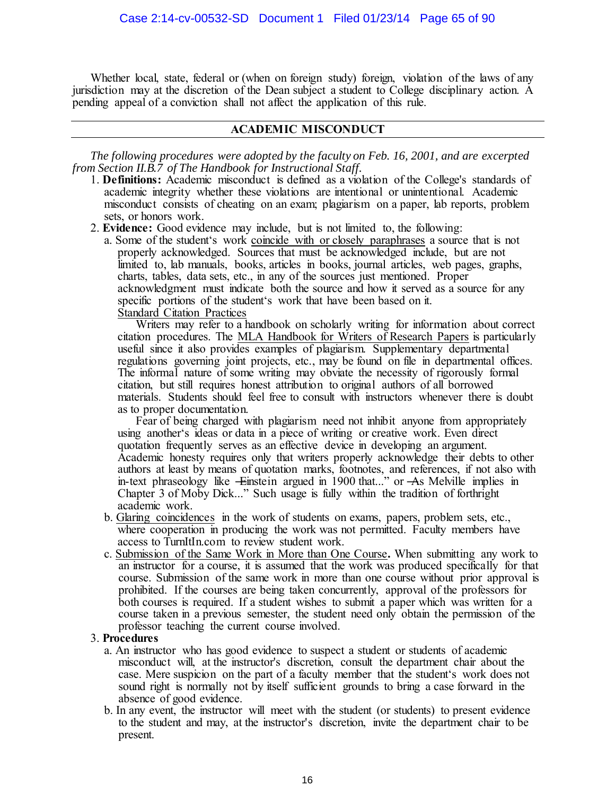Whether local, state, federal or (when on foreign study) foreign, violation of the laws of any jurisdiction may at the discretion of the Dean subject a student to College disciplinary action. A pending appeal of a conviction shall not affect the application of this rule.

# **ACADEMIC MISCONDUCT**

*The following procedures were adopted by the faculty on Feb. 16, 2001, and are excerpted from Section II.B.7 of The Handbook for Instructional Staff.* 

- 1. **Definitions:** Academic misconduct is defined as a violation of the College's standards of academic integrity whether these violations are intentional or unintentional. Academic misconduct consists of cheating on an exam; plagiarism on a paper, lab reports, problem sets, or honors work.
- 2. **Evidence:** Good evidence may include, but is not limited to, the following:
	- a. Some of the student's work coincide with or closely paraphrases a source that is not properly acknowledged. Sources that must be acknowledged include, but are not limited to, lab manuals, books, articles in books, journal articles, web pages, graphs, charts, tables, data sets, etc., in any of the sources just mentioned. Proper acknowledgment must indicate both the source and how it served as a source for any specific portions of the student's work that have been based on it. Standard Citation Practices

Writers may refer to a handbook on scholarly writing for information about correct citation procedures. The MLA Handbook for Writers of Research Papers is particularly useful since it also provides examples of plagiarism. Supplementary departmental regulations governing joint projects, etc., may be found on file in departmental offices. The informal nature of some writing may obviate the necessity of rigorously formal citation, but still requires honest attribution to original authors of all borrowed materials. Students should feel free to consult with instructors whenever there is doubt as to proper documentation.

Fear of being charged with plagiarism need not inhibit anyone from appropriately using another's ideas or data in a piece of writing or creative work. Even direct quotation frequently serves as an effective device in developing an argument. Academic honesty requires only that writers properly acknowledge their debts to other authors at least by means of quotation marks, footnotes, and references, if not also with in-text phraseology like -Einstein argued in 1900 that..." or -As Melville implies in Chapter 3 of Moby Dick..." Such usage is fully within the tradition of forthright academic work.

- b. Glaring coincidences in the work of students on exams, papers, problem sets, etc., where cooperation in producing the work was not permitted. Faculty members have access to TurnItIn.com to review student work.
- c. Submission of the Same Work in More than One Course**.** When submitting any work to an instructor for a course, it is assumed that the work was produced specifically for that course. Submission of the same work in more than one course without prior approval is prohibited. If the courses are being taken concurrently, approval of the professors for both courses is required. If a student wishes to submit a paper which was written for a course taken in a previous semester, the student need only obtain the permission of the professor teaching the current course involved.

## 3. **Procedures**

- a. An instructor who has good evidence to suspect a student or students of academic misconduct will, at the instructor's discretion, consult the department chair about the case. Mere suspicion on the part of a faculty member that the student's work does not sound right is normally not by itself sufficient grounds to bring a case forward in the absence of good evidence.
- b. In any event, the instructor will meet with the student (or students) to present evidence to the student and may, at the instructor's discretion, invite the department chair to be present.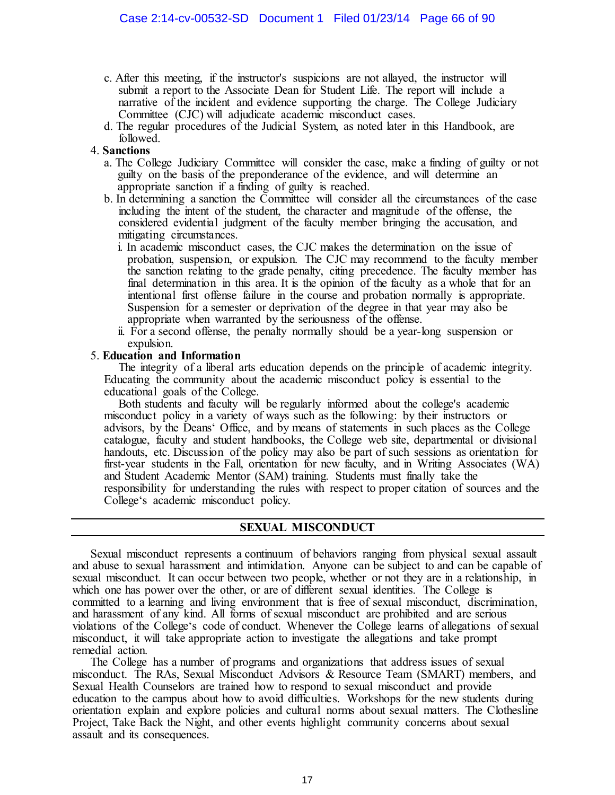- c. After this meeting, if the instructor's suspicions are not allayed, the instructor will submit a report to the Associate Dean for Student Life. The report will include a narrative of the incident and evidence supporting the charge. The College Judiciary Committee (CJC) will adjudicate academic misconduct cases.
- d. The regular procedures of the Judicial System, as noted later in this Handbook, are followed.

## 4. **Sanctions**

- a. The College Judiciary Committee will consider the case, make a finding of guilty or not guilty on the basis of the preponderance of the evidence, and will determine an appropriate sanction if a finding of guilty is reached.
- b. In determining a sanction the Committee will consider all the circumstances of the case including the intent of the student, the character and magnitude of the offense, the considered evidential judgment of the faculty member bringing the accusation, and mitigating circumstances.
	- i. In academic misconduct cases, the CJC makes the determination on the issue of probation, suspension, or expulsion. The CJC may recommend to the faculty member the sanction relating to the grade penalty, citing precedence. The faculty member has final determination in this area. It is the opinion of the faculty as a whole that for an intentional first offense failure in the course and probation normally is appropriate. Suspension for a semester or deprivation of the degree in that year may also be appropriate when warranted by the seriousness of the offense.
	- ii. For a second offense, the penalty normally should be a year-long suspension or expulsion.

## 5. **Education and Information**

The integrity of a liberal arts education depends on the principle of academic integrity. Educating the community about the academic misconduct policy is essential to the educational goals of the College.

Both students and faculty will be regularly informed about the college's academic misconduct policy in a variety of ways such as the following: by their instructors or advisors, by the Deans' Office, and by means of statements in such places as the College catalogue, faculty and student handbooks, the College web site, departmental or divisional handouts, etc. Discussion of the policy may also be part of such sessions as orientation for first-year students in the Fall, orientation for new faculty, and in Writing Associates (WA) and Student Academic Mentor (SAM) training. Students must finally take the responsibility for understanding the rules with respect to proper citation of sources and the College's academic misconduct policy.

# **SEXUAL MISCONDUCT**

Sexual misconduct represents a continuum of behaviors ranging from physical sexual assault and abuse to sexual harassment and intimidation. Anyone can be subject to and can be capable of sexual misconduct. It can occur between two people, whether or not they are in a relationship, in which one has power over the other, or are of different sexual identities. The College is committed to a learning and living environment that is free of sexual misconduct, discrimination, and harassment of any kind. All forms of sexual misconduct are prohibited and are serious violations of the College's code of conduct. Whenever the College learns of allegations of sexual misconduct, it will take appropriate action to investigate the allegations and take prompt remedial action.

The College has a number of programs and organizations that address issues of sexual misconduct. The RAs, Sexual Misconduct Advisors & Resource Team (SMART) members, and Sexual Health Counselors are trained how to respond to sexual misconduct and provide education to the campus about how to avoid difficulties. Workshops for the new students during orientation explain and explore policies and cultural norms about sexual matters. The Clothesline Project, Take Back the Night, and other events highlight community concerns about sexual assault and its consequences.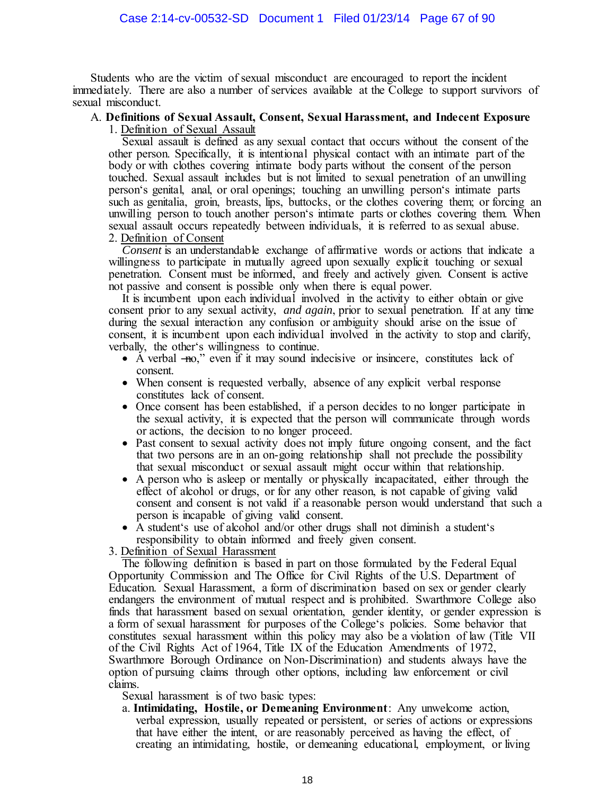Students who are the victim of sexual misconduct are encouraged to report the incident immediately. There are also a number of services available at the College to support survivors of sexual misconduct.

#### A. **Definitions of Sexual Assault, Consent, Sexual Harassment, and Indecent Exposure** 1. Definition of Sexual Assault

Sexual assault is defined as any sexual contact that occurs without the consent of the other person. Specifically, it is intentional physical contact with an intimate part of the body or with clothes covering intimate body parts without the consent of the person touched. Sexual assault includes but is not limited to sexual penetration of an unwilling person's genital, anal, or oral openings; touching an unwilling person's intimate parts such as genitalia, groin, breasts, lips, buttocks, or the clothes covering them; or forcing an unwilling person to touch another person's intimate parts or clothes covering them. When sexual assault occurs repeatedly between individuals, it is referred to as sexual abuse. 2. Definition of Consent

*Consent* is an understandable exchange of affirmative words or actions that indicate a willingness to participate in mutually agreed upon sexually explicit touching or sexual penetration. Consent must be informed, and freely and actively given. Consent is active not passive and consent is possible only when there is equal power.

It is incumbent upon each individual involved in the activity to either obtain or give consent prior to any sexual activity, *and again*, prior to sexual penetration. If at any time during the sexual interaction any confusion or ambiguity should arise on the issue of consent, it is incumbent upon each individual involved in the activity to stop and clarify, verbally, the other's willingness to continue.

- A verbal –no," even if it may sound indecisive or insincere, constitutes lack of consent.
- When consent is requested verbally, absence of any explicit verbal response constitutes lack of consent.
- Once consent has been established, if a person decides to no longer participate in the sexual activity, it is expected that the person will communicate through words or actions, the decision to no longer proceed.
- Past consent to sexual activity does not imply future ongoing consent, and the fact that two persons are in an on-going relationship shall not preclude the possibility that sexual misconduct or sexual assault might occur within that relationship.
- A person who is asleep or mentally or physically incapacitated, either through the effect of alcohol or drugs, or for any other reason, is not capable of giving valid consent and consent is not valid if a reasonable person would understand that such a person is incapable of giving valid consent.
- A student's use of alcohol and/or other drugs shall not diminish a student's responsibility to obtain informed and freely given consent.

3. Definition of Sexual Harassment

The following definition is based in part on those formulated by the Federal Equal Opportunity Commission and The Office for Civil Rights of the U.S. Department of Education. Sexual Harassment, a form of discrimination based on sex or gender clearly endangers the environment of mutual respect and is prohibited. Swarthmore College also finds that harassment based on sexual orientation, gender identity, or gender expression is a form of sexual harassment for purposes of the College's policies. Some behavior that constitutes sexual harassment within this policy may also be a violation of law (Title VII of the Civil Rights Act of 1964, Title IX of the Education Amendments of 1972, Swarthmore Borough Ordinance on Non-Discrimination) and students always have the option of pursuing claims through other options, including law enforcement or civil claims.

Sexual harassment is of two basic types:

a. **Intimidating, Hostile, or Demeaning Environment**: Any unwelcome action, verbal expression, usually repeated or persistent, or series of actions or expressions that have either the intent, or are reasonably perceived as having the effect, of creating an intimidating, hostile, or demeaning educational, employment, or living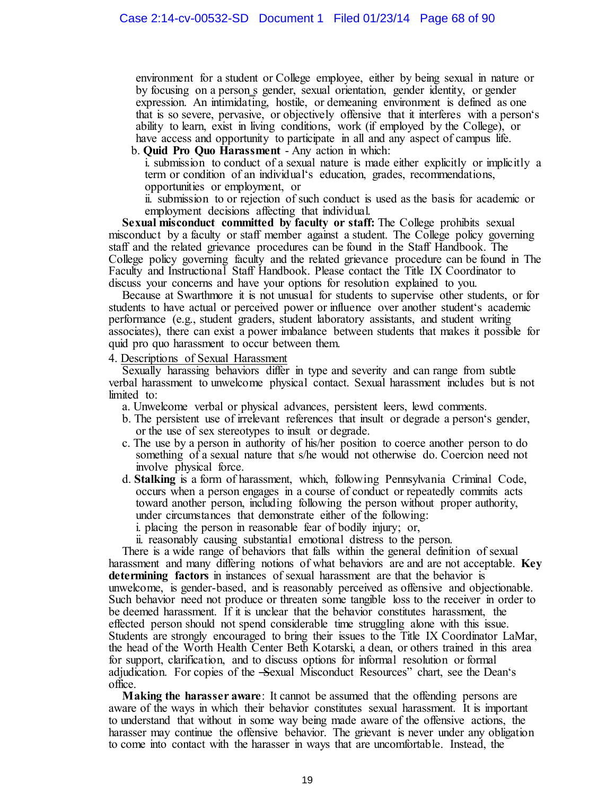environment for a student or College employee, either by being sexual in nature or by focusing on a person s gender, sexual orientation, gender identity, or gender expression. An intimidating, hostile, or demeaning environment is defined as one that is so severe, pervasive, or objectively offensive that it interferes with a person's ability to learn, exist in living conditions, work (if employed by the College), or have access and opportunity to participate in all and any aspect of campus life.

b. **Quid Pro Quo Harassment** - Any action in which:

i. submission to conduct of a sexual nature is made either explicitly or implicitly a term or condition of an individual's education, grades, recommendations, opportunities or employment, or

ii. submission to or rejection of such conduct is used as the basis for academic or employment decisions affecting that individual.

**Sexual misconduct committed by faculty or staff:** The College prohibits sexual misconduct by a faculty or staff member against a student. The College policy governing staff and the related grievance procedures can be found in the Staff Handbook. The College policy governing faculty and the related grievance procedure can be found in The Faculty and Instructional Staff Handbook. Please contact the Title IX Coordinator to discuss your concerns and have your options for resolution explained to you.

Because at Swarthmore it is not unusual for students to supervise other students, or for students to have actual or perceived power or influence over another student's academic performance (e.g., student graders, student laboratory assistants, and student writing associates), there can exist a power imbalance between students that makes it possible for quid pro quo harassment to occur between them.

4. Descriptions of Sexual Harassment

Sexually harassing behaviors differ in type and severity and can range from subtle verbal harassment to unwelcome physical contact. Sexual harassment includes but is not limited to:

a. Unwelcome verbal or physical advances, persistent leers, lewd comments.

- b. The persistent use of irrelevant references that insult or degrade a person's gender, or the use of sex stereotypes to insult or degrade.
- c. The use by a person in authority of his/her position to coerce another person to do something of a sexual nature that s/he would not otherwise do. Coercion need not involve physical force.
- d. **Stalking** is a form of harassment, which, following Pennsylvania Criminal Code, occurs when a person engages in a course of conduct or repeatedly commits acts toward another person, including following the person without proper authority, under circumstances that demonstrate either of the following:

i. placing the person in reasonable fear of bodily injury; or,

ii. reasonably causing substantial emotional distress to the person.

There is a wide range of behaviors that falls within the general definition of sexual harassment and many differing notions of what behaviors are and are not acceptable. **Key determining factors** in instances of sexual harassment are that the behavior is unwelcome, is gender-based, and is reasonably perceived as offensive and objectionable. Such behavior need not produce or threaten some tangible loss to the receiver in order to be deemed harassment. If it is unclear that the behavior constitutes harassment, the effected person should not spend considerable time struggling alone with this issue. Students are strongly encouraged to bring their issues to the Title IX Coordinator LaMar, the head of the Worth Health Center Beth Kotarski, a dean, or others trained in this area for support, clarification, and to discuss options for informal resolution or formal adjudication. For copies of the -Sexual Misconduct Resources" chart, see the Dean's office.

**Making the harasser aware**: It cannot be assumed that the offending persons are aware of the ways in which their behavior constitutes sexual harassment. It is important to understand that without in some way being made aware of the offensive actions, the harasser may continue the offensive behavior. The grievant is never under any obligation to come into contact with the harasser in ways that are uncomfortable. Instead, the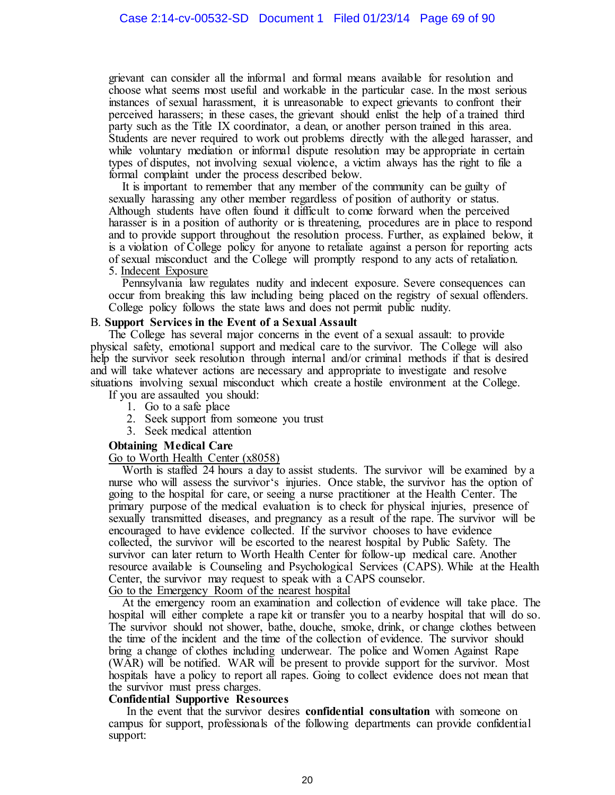grievant can consider all the informal and formal means available for resolution and choose what seems most useful and workable in the particular case. In the most serious instances of sexual harassment, it is unreasonable to expect grievants to confront their perceived harassers; in these cases, the grievant should enlist the help of a trained third party such as the Title IX coordinator, a dean, or another person trained in this area. Students are never required to work out problems directly with the alleged harasser, and while voluntary mediation or informal dispute resolution may be appropriate in certain types of disputes, not involving sexual violence, a victim always has the right to file a formal complaint under the process described below.

It is important to remember that any member of the community can be guilty of sexually harassing any other member regardless of position of authority or status. Although students have often found it difficult to come forward when the perceived harasser is in a position of authority or is threatening, procedures are in place to respond and to provide support throughout the resolution process. Further, as explained below, it is a violation of College policy for anyone to retaliate against a person for reporting acts of sexual misconduct and the College will promptly respond to any acts of retaliation. 5. Indecent Exposure

Pennsylvania law regulates nudity and indecent exposure. Severe consequences can occur from breaking this law including being placed on the registry of sexual offenders. College policy follows the state laws and does not permit public nudity.

#### B. **Support Services in the Event of a Sexual Assault**

The College has several major concerns in the event of a sexual assault: to provide physical safety, emotional support and medical care to the survivor. The College will also help the survivor seek resolution through internal and/or criminal methods if that is desired and will take whatever actions are necessary and appropriate to investigate and resolve situations involving sexual misconduct which create a hostile environment at the College.

- If you are assaulted you should:
	- 1. Go to a safe place
	- 2. Seek support from someone you trust
	- 3. Seek medical attention

## **Obtaining Medical Care**

Go to Worth Health Center (x8058)

Worth is staffed 24 hours a day to assist students. The survivor will be examined by a nurse who will assess the survivor's injuries. Once stable, the survivor has the option of going to the hospital for care, or seeing a nurse practitioner at the Health Center. The primary purpose of the medical evaluation is to check for physical injuries, presence of sexually transmitted diseases, and pregnancy as a result of the rape. The survivor will be encouraged to have evidence collected. If the survivor chooses to have evidence collected, the survivor will be escorted to the nearest hospital by Public Safety. The survivor can later return to Worth Health Center for follow-up medical care. Another resource available is Counseling and Psychological Services (CAPS). While at the Health Center, the survivor may request to speak with a CAPS counselor. Go to the Emergency Room of the nearest hospital

At the emergency room an examination and collection of evidence will take place. The hospital will either complete a rape kit or transfer you to a nearby hospital that will do so. The survivor should not shower, bathe, douche, smoke, drink, or change clothes between the time of the incident and the time of the collection of evidence. The survivor should bring a change of clothes including underwear. The police and Women Against Rape (WAR) will be notified. WAR will be present to provide support for the survivor. Most hospitals have a policy to report all rapes. Going to collect evidence does not mean that the survivor must press charges.

#### **Confidential Supportive Resources**

In the event that the survivor desires **confidential consultation** with someone on campus for support, professionals of the following departments can provide confidential support: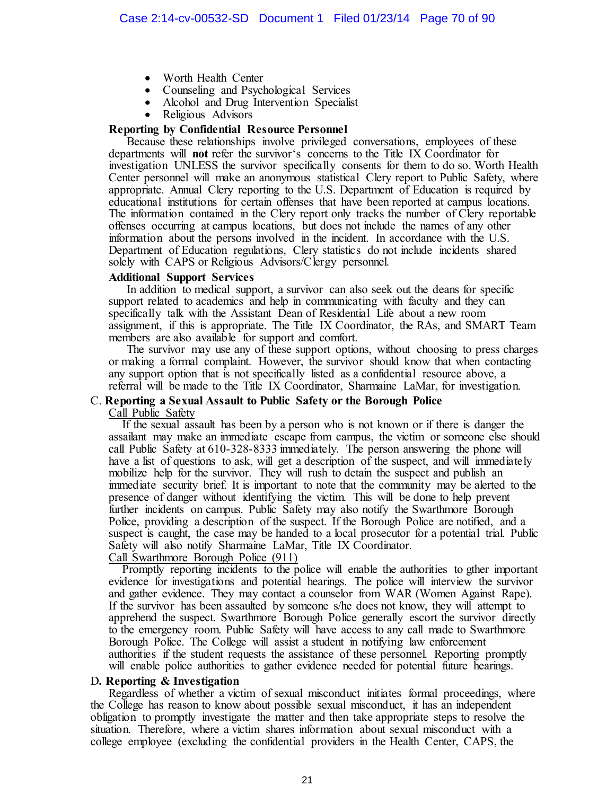- Worth Health Center
- Counseling and Psychological Services
- Alcohol and Drug Intervention Specialist
- Religious Advisors

# **Reporting by Confidential Resource Personnel**

Because these relationships involve privileged conversations, employees of these departments will **not** refer the survivor's concerns to the Title IX Coordinator for investigation UNLESS the survivor specifically consents for them to do so. Worth Health Center personnel will make an anonymous statistical Clery report to Public Safety, where appropriate. Annual Clery reporting to the U.S. Department of Education is required by educational institutions for certain offenses that have been reported at campus locations. The information contained in the Clery report only tracks the number of Clery reportable offenses occurring at campus locations, but does not include the names of any other information about the persons involved in the incident. In accordance with the U.S. Department of Education regulations, Clery statistics do not include incidents shared solely with CAPS or Religious Advisors/Clergy personnel.

## **Additional Support Services**

In addition to medical support, a survivor can also seek out the deans for specific support related to academics and help in communicating with faculty and they can specifically talk with the Assistant Dean of Residential Life about a new room assignment, if this is appropriate. The Title IX Coordinator, the RAs, and SMART Team members are also available for support and comfort.

The survivor may use any of these support options, without choosing to press charges or making a formal complaint. However, the survivor should know that when contacting any support option that is not specifically listed as a confidential resource above, a referral will be made to the Title IX Coordinator, Sharmaine LaMar, for investigation.

## C. **Reporting a Sexual Assault to Public Safety or the Borough Police**

Call Public Safety

If the sexual assault has been by a person who is not known or if there is danger the assailant may make an immediate escape from campus, the victim or someone else should call Public Safety at 610-328-8333 immediately. The person answering the phone will have a list of questions to ask, will get a description of the suspect, and will immediately mobilize help for the survivor. They will rush to detain the suspect and publish an immediate security brief. It is important to note that the community may be alerted to the presence of danger without identifying the victim. This will be done to help prevent further incidents on campus. Public Safety may also notify the Swarthmore Borough Police, providing a description of the suspect. If the Borough Police are notified, and a suspect is caught, the case may be handed to a local prosecutor for a potential trial. Public Safety will also notify Sharmaine LaMar, Title IX Coordinator. Call Swarthmore Borough Police (911)

Promptly reporting incidents to the police will enable the authorities to gther important evidence for investigations and potential hearings. The police will interview the survivor and gather evidence. They may contact a counselor from WAR (Women Against Rape). If the survivor has been assaulted by someone s/he does not know, they will attempt to apprehend the suspect. Swarthmore Borough Police generally escort the survivor directly to the emergency room. Public Safety will have access to any call made to Swarthmore Borough Police. The College will assist a student in notifying law enforcement authorities if the student requests the assistance of these personnel. Reporting promptly will enable police authorities to gather evidence needed for potential future hearings.

## D**. Reporting & Investigation**

Regardless of whether a victim of sexual misconduct initiates formal proceedings, where the College has reason to know about possible sexual misconduct, it has an independent obligation to promptly investigate the matter and then take appropriate steps to resolve the situation. Therefore, where a victim shares information about sexual misconduct with a college employee (excluding the confidential providers in the Health Center, CAPS, the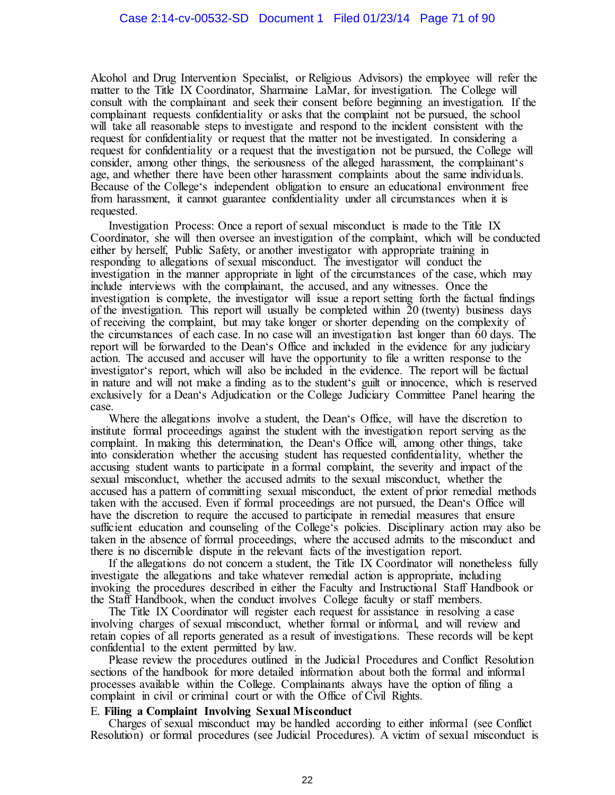Alcohol and Drug Intervention Specialist, or Religious Advisors) the employee will refer the matter to the Title IX Coordinator, Sharmaine LaMar, for investigation. The College will consult with the complainant and seek their consent before beginning an investigation. If the complainant requests confidentiality or asks that the complaint not be pursued, the school will take all reasonable steps to investigate and respond to the incident consistent with the request for confidentiality or request that the matter not be investigated. In considering a request for confidentiality or a request that the investigation not be pursued, the College will consider, among other things, the seriousness of the alleged harassment, the complainant's age, and whether there have been other harassment complaints about the same individuals. Because of the College's independent obligation to ensure an educational environment free from harassment, it cannot guarantee confidentiality under all circumstances when it is requested.

Investigation Process: Once a report of sexual misconduct is made to the Title IX Coordinator, she will then oversee an investigation of the complaint, which will be conducted either by herself, Public Safety, or another investigator with appropriate training in responding to allegations of sexual misconduct. The investigator will conduct the investigation in the manner appropriate in light of the circumstances of the case, which may include interviews with the complainant, the accused, and any witnesses. Once the investigation is complete, the investigator will issue a report setting forth the factual findings of the investigation. This report will usually be completed within 20 (twenty) business days of receiving the complaint, but may take longer or shorter depending on the complexity of the circumstances of each case. In no case will an investigation last longer than 60 days. The report will be forwarded to the Dean's Office and included in the evidence for any judiciary action. The accused and accuser will have the opportunity to file a written response to the investigator's report, which will also be included in the evidence. The report will be factual in nature and will not make a finding as to the student's guilt or innocence, which is reserved exclusively for a Dean's Adjudication or the College Judiciary Committee Panel hearing the case.

Where the allegations involve a student, the Dean's Office, will have the discretion to institute formal proceedings against the student with the investigation report serving as the complaint. In making this determination, the Dean's Office will, among other things, take into consideration whether the accusing student has requested confidentiality, whether the accusing student wants to participate in a formal complaint, the severity and impact of the sexual misconduct, whether the accused admits to the sexual misconduct, whether the accused has a pattern of committing sexual misconduct, the extent of prior remedial methods taken with the accused. Even if formal proceedings are not pursued, the Dean's Office will have the discretion to require the accused to participate in remedial measures that ensure sufficient education and counseling of the College's policies. Disciplinary action may also be taken in the absence of formal proceedings, where the accused admits to the misconduct and there is no discernible dispute in the relevant facts of the investigation report.

If the allegations do not concern a student, the Title IX Coordinator will nonetheless fully investigate the allegations and take whatever remedial action is appropriate, including invoking the procedures described in either the Faculty and Instructional Staff Handbook or the Staff Handbook, when the conduct involves College faculty or staff members.

The Title IX Coordinator will register each request for assistance in resolving a case involving charges of sexual misconduct, whether formal or informal, and will review and retain copies of all reports generated as a result of investigations. These records will be kept confidential to the extent permitted by law.

Please review the procedures outlined in the Judicial Procedures and Conflict Resolution sections of the handbook for more detailed information about both the formal and informal processes available within the College. Complainants always have the option of filing a complaint in civil or criminal court or with the Office of Civil Rights.

#### E. **Filing a Complaint Involving Sexual Misconduct**

Charges of sexual misconduct may be handled according to either informal (see Conflict Resolution) or formal procedures (see Judicial Procedures). A victim of sexual misconduct is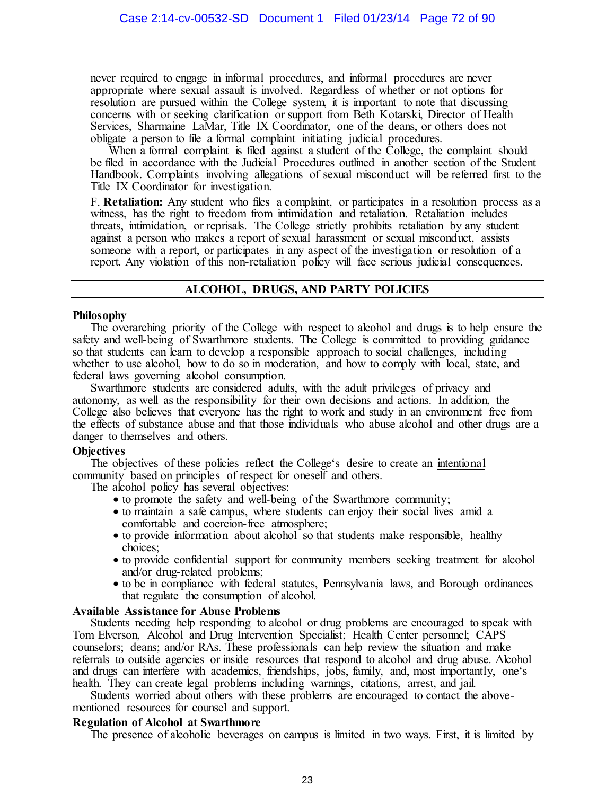never required to engage in informal procedures, and informal procedures are never appropriate where sexual assault is involved. Regardless of whether or not options for resolution are pursued within the College system, it is important to note that discussing concerns with or seeking clarification or support from Beth Kotarski, Director of Health Services, Sharmaine LaMar, Title IX Coordinator, one of the deans, or others does not obligate a person to file a formal complaint initiating judicial procedures.

When a formal complaint is filed against a student of the College, the complaint should be filed in accordance with the Judicial Procedures outlined in another section of the Student Handbook. Complaints involving allegations of sexual misconduct will be referred first to the Title IX Coordinator for investigation.

F. **Retaliation:** Any student who files a complaint, or participates in a resolution process as a witness, has the right to freedom from intimidation and retaliation. Retaliation includes threats, intimidation, or reprisals. The College strictly prohibits retaliation by any student against a person who makes a report of sexual harassment or sexual misconduct, assists someone with a report, or participates in any aspect of the investigation or resolution of a report. Any violation of this non-retaliation policy will face serious judicial consequences.

## **ALCOHOL, DRUGS, AND PARTY POLICIES**

## **Philosophy**

The overarching priority of the College with respect to alcohol and drugs is to help ensure the safety and well-being of Swarthmore students. The College is committed to providing guidance so that students can learn to develop a responsible approach to social challenges, including whether to use alcohol, how to do so in moderation, and how to comply with local, state, and federal laws governing alcohol consumption.

Swarthmore students are considered adults, with the adult privileges of privacy and autonomy, as well as the responsibility for their own decisions and actions. In addition, the College also believes that everyone has the right to work and study in an environment free from the effects of substance abuse and that those individuals who abuse alcohol and other drugs are a danger to themselves and others.

## **Objectives**

The objectives of these policies reflect the College's desire to create an intentional community based on principles of respect for oneself and others.

The alcohol policy has several objectives:

- to promote the safety and well-being of the Swarthmore community;
- to maintain a safe campus, where students can enjoy their social lives amid a comfortable and coercion-free atmosphere;
- to provide information about alcohol so that students make responsible, healthy choices;
- to provide confidential support for community members seeking treatment for alcohol and/or drug-related problems;
- to be in compliance with federal statutes, Pennsylvania laws, and Borough ordinances that regulate the consumption of alcohol.

## **Available Assistance for Abuse Problems**

Students needing help responding to alcohol or drug problems are encouraged to speak with Tom Elverson, Alcohol and Drug Intervention Specialist; Health Center personnel; CAPS counselors; deans; and/or RAs. These professionals can help review the situation and make referrals to outside agencies or inside resources that respond to alcohol and drug abuse. Alcohol and drugs can interfere with academics, friendships, jobs, family, and, most importantly, one's health. They can create legal problems including warnings, citations, arrest, and jail.

Students worried about others with these problems are encouraged to contact the abovementioned resources for counsel and support.

## **Regulation of Alcohol at Swarthmore**

The presence of alcoholic beverages on campus is limited in two ways. First, it is limited by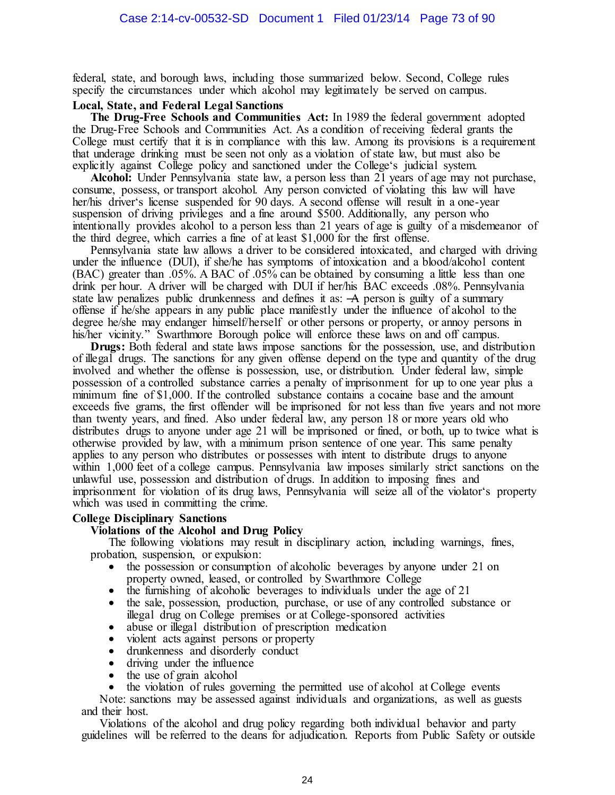federal, state, and borough laws, including those summarized below. Second, College rules specify the circumstances under which alcohol may legitimately be served on campus.

# **Local, State, and Federal Legal Sanctions**

**The Drug-Free Schools and Communities Act:** In 1989 the federal government adopted the Drug-Free Schools and Communities Act. As a condition of receiving federal grants the College must certify that it is in compliance with this law. Among its provisions is a requirement that underage drinking must be seen not only as a violation of state law, but must also be explicitly against College policy and sanctioned under the College's judicial system.

**Alcohol:** Under Pennsylvania state law, a person less than 21 years of age may not purchase, consume, possess, or transport alcohol. Any person convicted of violating this law will have her/his driver's license suspended for 90 days. A second offense will result in a one-year suspension of driving privileges and a fine around \$500. Additionally, any person who intentionally provides alcohol to a person less than 21 years of age is guilty of a misdemeanor of the third degree, which carries a fine of at least \$1,000 for the first offense.

Pennsylvania state law allows a driver to be considered intoxicated, and charged with driving under the influence (DUI), if she/he has symptoms of intoxication and a blood/alcohol content (BAC) greater than .05%. A BAC of .05% can be obtained by consuming a little less than one drink per hour. A driver will be charged with DUI if her/his BAC exceeds .08%. Pennsylvania state law penalizes public drunkenness and defines it as:  $\overline{A}$  person is guilty of a summary offense if he/she appears in any public place manifestly under the influence of alcohol to the degree he/she may endanger himself/herself or other persons or property, or annoy persons in his/her vicinity." Swarthmore Borough police will enforce these laws on and off campus.

**Drugs:** Both federal and state laws impose sanctions for the possession, use, and distribution of illegal drugs. The sanctions for any given offense depend on the type and quantity of the drug involved and whether the offense is possession, use, or distribution. Under federal law, simple possession of a controlled substance carries a penalty of imprisonment for up to one year plus a minimum fine of \$1,000. If the controlled substance contains a cocaine base and the amount exceeds five grams, the first offender will be imprisoned for not less than five years and not more than twenty years, and fined. Also under federal law, any person 18 or more years old who distributes drugs to anyone under age 21 will be imprisoned or fined, or both, up to twice what is otherwise provided by law, with a minimum prison sentence of one year. This same penalty applies to any person who distributes or possesses with intent to distribute drugs to anyone within 1,000 feet of a college campus. Pennsylvania law imposes similarly strict sanctions on the unlawful use, possession and distribution of drugs. In addition to imposing fines and imprisonment for violation of its drug laws, Pennsylvania will seize all of the violator's property which was used in committing the crime.

# **College Disciplinary Sanctions**

#### **Violations of the Alcohol and Drug Policy**

The following violations may result in disciplinary action, including warnings, fines, probation, suspension, or expulsion:

- the possession or consumption of alcoholic beverages by anyone under 21 on property owned, leased, or controlled by Swarthmore College
- the furnishing of alcoholic beverages to individuals under the age of 21
- the sale, possession, production, purchase, or use of any controlled substance or illegal drug on College premises or at College-sponsored activities
- abuse or illegal distribution of prescription medication
- violent acts against persons or property
- drunkenness and disorderly conduct
- driving under the influence
- the use of grain alcohol
- the violation of rules governing the permitted use of alcohol at College events

Note: sanctions may be assessed against individuals and organizations, as well as guests and their host.

Violations of the alcohol and drug policy regarding both individual behavior and party guidelines will be referred to the deans for adjudication. Reports from Public Safety or outside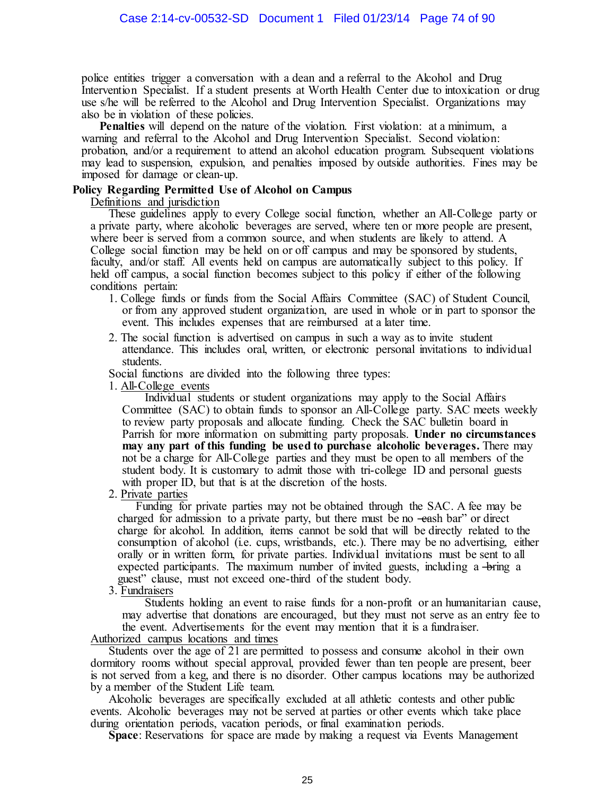police entities trigger a conversation with a dean and a referral to the Alcohol and Drug Intervention Specialist. If a student presents at Worth Health Center due to intoxication or drug use s/he will be referred to the Alcohol and Drug Intervention Specialist. Organizations may also be in violation of these policies.

**Penalties** will depend on the nature of the violation. First violation: at a minimum, a warning and referral to the Alcohol and Drug Intervention Specialist. Second violation: probation, and/or a requirement to attend an alcohol education program. Subsequent violations may lead to suspension, expulsion, and penalties imposed by outside authorities. Fines may be imposed for damage or clean-up.

#### **Policy Regarding Permitted Use of Alcohol on Campus**

Definitions and jurisdiction

These guidelines apply to every College social function, whether an All-College party or a private party, where alcoholic beverages are served, where ten or more people are present, where beer is served from a common source, and when students are likely to attend. A College social function may be held on or off campus and may be sponsored by students, faculty, and/or staff. All events held on campus are automatically subject to this policy. If held off campus, a social function becomes subject to this policy if either of the following conditions pertain:

- 1. College funds or funds from the Social Affairs Committee (SAC) of Student Council, or from any approved student organization, are used in whole or in part to sponsor the event. This includes expenses that are reimbursed at a later time.
- 2. The social function is advertised on campus in such a way as to invite student attendance. This includes oral, written, or electronic personal invitations to individual students.

Social functions are divided into the following three types:

1. All-College events

Individual students or student organizations may apply to the Social Affairs Committee (SAC) to obtain funds to sponsor an All-College party. SAC meets weekly to review party proposals and allocate funding. Check the SAC bulletin board in Parrish for more information on submitting party proposals. **Under no circumstances may any part of this funding be used to purchase alcoholic beverages.** There may not be a charge for All-College parties and they must be open to all members of the student body. It is customary to admit those with tri-college ID and personal guests with proper ID, but that is at the discretion of the hosts.

2. Private parties

Funding for private parties may not be obtained through the SAC. A fee may be charged for admission to a private party, but there must be no —eash bar" or direct charge for alcohol. In addition, items cannot be sold that will be directly related to the consumption of alcohol (i.e. cups, wristbands, etc.). There may be no advertising, either orally or in written form, for private parties. Individual invitations must be sent to all expected participants. The maximum number of invited guests, including a —bring a guest" clause, must not exceed one-third of the student body.

3. Fundraisers

Students holding an event to raise funds for a non-profit or an humanitarian cause, may advertise that donations are encouraged, but they must not serve as an entry fee to the event. Advertisements for the event may mention that it is a fundraiser.

# Authorized campus locations and times

Students over the age of 21 are permitted to possess and consume alcohol in their own dormitory rooms without special approval, provided fewer than ten people are present, beer is not served from a keg, and there is no disorder. Other campus locations may be authorized by a member of the Student Life team.

Alcoholic beverages are specifically excluded at all athletic contests and other public events. Alcoholic beverages may not be served at parties or other events which take place during orientation periods, vacation periods, or final examination periods.

**Space**: Reservations for space are made by making a request via Events Management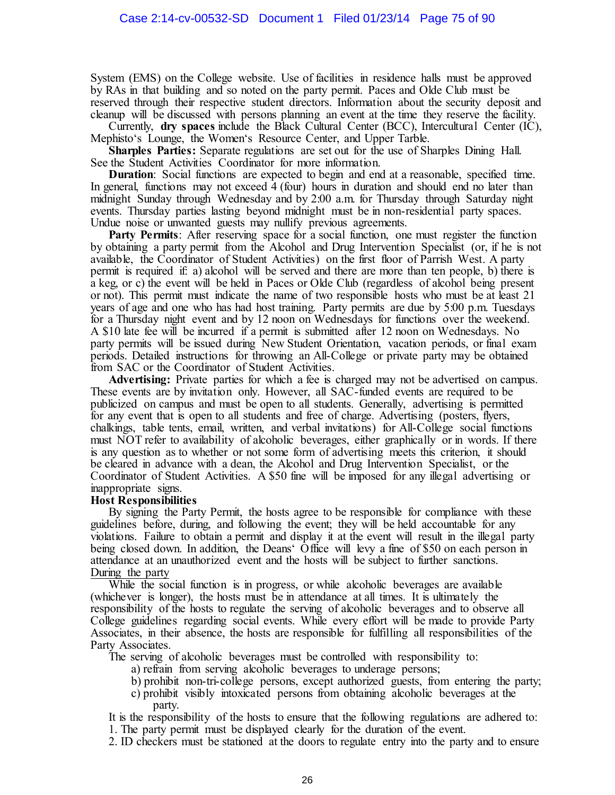System (EMS) on the College website. Use of facilities in residence halls must be approved by RAs in that building and so noted on the party permit. Paces and Olde Club must be reserved through their respective student directors. Information about the security deposit and cleanup will be discussed with persons planning an event at the time they reserve the facility.

Currently, **dry spaces** include the Black Cultural Center (BCC), Intercultural Center (IC), Mephisto's Lounge, the Women's Resource Center, and Upper Tarble.

**Sharples Parties:** Separate regulations are set out for the use of Sharples Dining Hall. See the Student Activities Coordinator for more information.

**Duration**: Social functions are expected to begin and end at a reasonable, specified time. In general, functions may not exceed 4 (four) hours in duration and should end no later than midnight Sunday through Wednesday and by 2:00 a.m. for Thursday through Saturday night events. Thursday parties lasting beyond midnight must be in non-residential party spaces. Undue noise or unwanted guests may nullify previous agreements.

**Party Permits**: After reserving space for a social function, one must register the function by obtaining a party permit from the Alcohol and Drug Intervention Specialist (or, if he is not available, the Coordinator of Student Activities) on the first floor of Parrish West. A party permit is required if: a) alcohol will be served and there are more than ten people, b) there is a keg, or c) the event will be held in Paces or Olde Club (regardless of alcohol being present or not). This permit must indicate the name of two responsible hosts who must be at least 21 years of age and one who has had host training. Party permits are due by 5:00 p.m. Tuesdays for a Thursday night event and by 12 noon on Wednesdays for functions over the weekend. A \$10 late fee will be incurred if a permit is submitted after 12 noon on Wednesdays. No party permits will be issued during New Student Orientation, vacation periods, or final exam periods. Detailed instructions for throwing an All-College or private party may be obtained from SAC or the Coordinator of Student Activities.

**Advertising:** Private parties for which a fee is charged may not be advertised on campus. These events are by invitation only. However, all SAC-funded events are required to be publicized on campus and must be open to all students. Generally, advertising is permitted for any event that is open to all students and free of charge. Advertising (posters, flyers, chalkings, table tents, email, written, and verbal invitations) for All-College social functions must NOT refer to availability of alcoholic beverages, either graphically or in words. If there is any question as to whether or not some form of advertising meets this criterion, it should be cleared in advance with a dean, the Alcohol and Drug Intervention Specialist, or the Coordinator of Student Activities. A \$50 fine will be imposed for any illegal advertising or inappropriate signs.

#### **Host Responsibilities**

By signing the Party Permit, the hosts agree to be responsible for compliance with these guidelines before, during, and following the event; they will be held accountable for any violations. Failure to obtain a permit and display it at the event will result in the illegal party being closed down. In addition, the Deans' Office will levy a fine of \$50 on each person in attendance at an unauthorized event and the hosts will be subject to further sanctions. During the party

While the social function is in progress, or while alcoholic beverages are available (whichever is longer), the hosts must be in attendance at all times. It is ultimately the responsibility of the hosts to regulate the serving of alcoholic beverages and to observe all College guidelines regarding social events. While every effort will be made to provide Party Associates, in their absence, the hosts are responsible for fulfilling all responsibilities of the Party Associates.

The serving of alcoholic beverages must be controlled with responsibility to:

- a) refrain from serving alcoholic beverages to underage persons;
- b) prohibit non-tri-college persons, except authorized guests, from entering the party;
- c) prohibit visibly intoxicated persons from obtaining alcoholic beverages at the party.

It is the responsibility of the hosts to ensure that the following regulations are adhered to: 1. The party permit must be displayed clearly for the duration of the event.

2. ID checkers must be stationed at the doors to regulate entry into the party and to ensure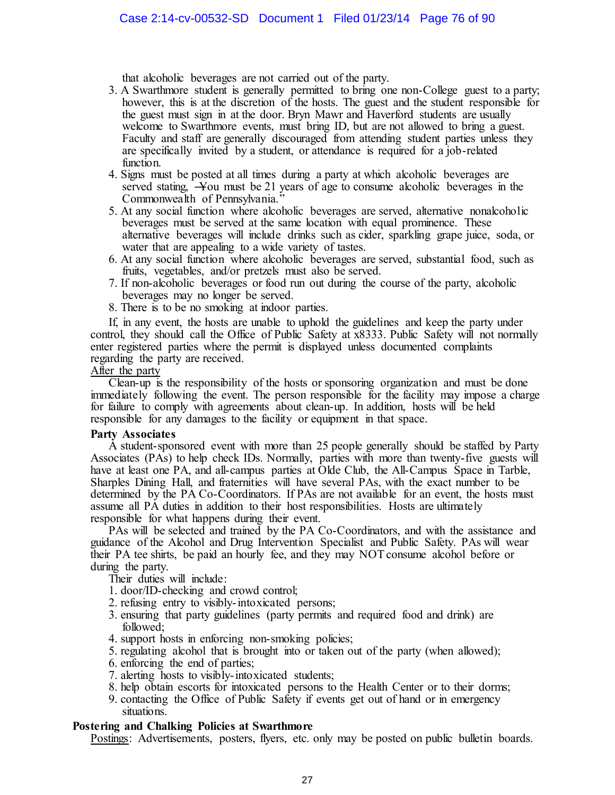that alcoholic beverages are not carried out of the party.

- 3. A Swarthmore student is generally permitted to bring one non-College guest to a party; however, this is at the discretion of the hosts. The guest and the student responsible for the guest must sign in at the door. Bryn Mawr and Haverford students are usually welcome to Swarthmore events, must bring ID, but are not allowed to bring a guest. Faculty and staff are generally discouraged from attending student parties unless they are specifically invited by a student, or attendance is required for a job-related function.
- 4. Signs must be posted at all times during a party at which alcoholic beverages are served stating, ―You must be 21 years of age to consume alcoholic beverages in the Commonwealth of Pennsylvania."
- 5. At any social function where alcoholic beverages are served, alternative nonalcoholic beverages must be served at the same location with equal prominence. These alternative beverages will include drinks such as cider, sparkling grape juice, soda, or water that are appealing to a wide variety of tastes.
- 6. At any social function where alcoholic beverages are served, substantial food, such as fruits, vegetables, and/or pretzels must also be served.
- 7. If non-alcoholic beverages or food run out during the course of the party, alcoholic beverages may no longer be served.
- 8. There is to be no smoking at indoor parties.

If, in any event, the hosts are unable to uphold the guidelines and keep the party under control, they should call the Office of Public Safety at x8333. Public Safety will not normally enter registered parties where the permit is displayed unless documented complaints regarding the party are received.

#### After the party

Clean-up is the responsibility of the hosts or sponsoring organization and must be done immediately following the event. The person responsible for the facility may impose a charge for failure to comply with agreements about clean-up. In addition, hosts will be held responsible for any damages to the facility or equipment in that space.

#### **Party Associates**

A student-sponsored event with more than 25 people generally should be staffed by Party Associates (PAs) to help check IDs. Normally, parties with more than twenty-five guests will have at least one PA, and all-campus parties at Olde Club, the All-Campus Space in Tarble, Sharples Dining Hall, and fraternities will have several PAs, with the exact number to be determined by the PA Co-Coordinators. If PAs are not available for an event, the hosts must assume all PA duties in addition to their host responsibilities. Hosts are ultimately responsible for what happens during their event.

PAs will be selected and trained by the PA Co-Coordinators, and with the assistance and guidance of the Alcohol and Drug Intervention Specialist and Public Safety. PAs will wear their PA tee shirts, be paid an hourly fee, and they may NOT consume alcohol before or during the party.

Their duties will include:

- 1. door/ID-checking and crowd control;
- 2. refusing entry to visibly-intoxicated persons;
- 3. ensuring that party guidelines (party permits and required food and drink) are followed;
- 4. support hosts in enforcing non-smoking policies;
- 5. regulating alcohol that is brought into or taken out of the party (when allowed);
- 6. enforcing the end of parties;
- 7. alerting hosts to visibly-intoxicated students;
- 8. help obtain escorts for intoxicated persons to the Health Center or to their dorms;
- 9. contacting the Office of Public Safety if events get out of hand or in emergency situations.

# **Postering and Chalking Policies at Swarthmore**

Postings: Advertisements, posters, flyers, etc. only may be posted on public bulletin boards.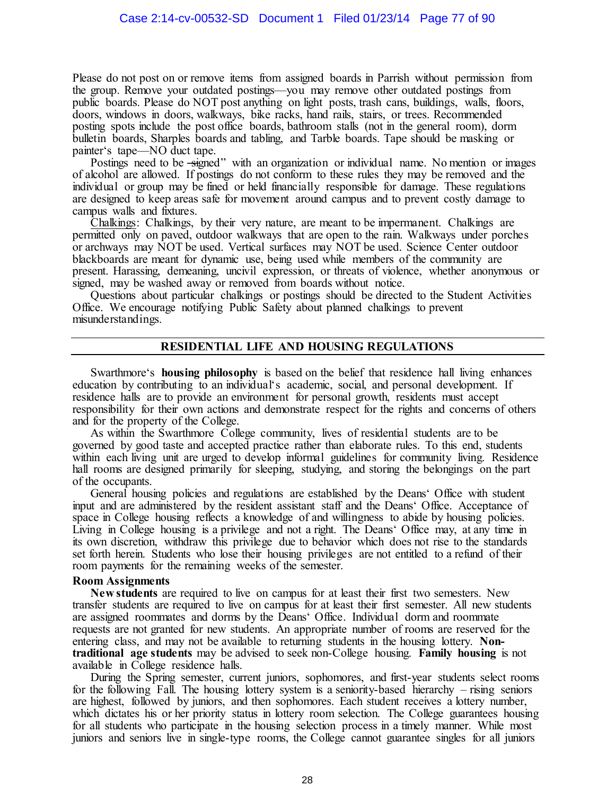Please do not post on or remove items from assigned boards in Parrish without permission from the group. Remove your outdated postings—you may remove other outdated postings from public boards. Please do NOT post anything on light posts, trash cans, buildings, walls, floors, doors, windows in doors, walkways, bike racks, hand rails, stairs, or trees. Recommended posting spots include the post office boards, bathroom stalls (not in the general room), dorm bulletin boards, Sharples boards and tabling, and Tarble boards. Tape should be masking or painter's tape—NO duct tape.

Postings need to be -signed" with an organization or individual name. No mention or images of alcohol are allowed. If postings do not conform to these rules they may be removed and the individual or group may be fined or held financially responsible for damage. These regulations are designed to keep areas safe for movement around campus and to prevent costly damage to campus walls and fixtures.

Chalkings: Chalkings, by their very nature, are meant to be impermanent. Chalkings are permitted only on paved, outdoor walkways that are open to the rain. Walkways under porches or archways may NOT be used. Vertical surfaces may NOT be used. Science Center outdoor blackboards are meant for dynamic use, being used while members of the community are present. Harassing, demeaning, uncivil expression, or threats of violence, whether anonymous or signed, may be washed away or removed from boards without notice.

Questions about particular chalkings or postings should be directed to the Student Activities Office. We encourage notifying Public Safety about planned chalkings to prevent misunderstandings.

# **RESIDENTIAL LIFE AND HOUSING REGULATIONS**

Swarthmore's **housing philosophy** is based on the belief that residence hall living enhances education by contributing to an individual's academic, social, and personal development. If residence halls are to provide an environment for personal growth, residents must accept responsibility for their own actions and demonstrate respect for the rights and concerns of others and for the property of the College.

As within the Swarthmore College community, lives of residential students are to be governed by good taste and accepted practice rather than elaborate rules. To this end, students within each living unit are urged to develop informal guidelines for community living. Residence hall rooms are designed primarily for sleeping, studying, and storing the belongings on the part of the occupants.

General housing policies and regulations are established by the Deans' Office with student input and are administered by the resident assistant staff and the Deans' Office. Acceptance of space in College housing reflects a knowledge of and willingness to abide by housing policies. Living in College housing is a privilege and not a right. The Deans' Office may, at any time in its own discretion, withdraw this privilege due to behavior which does not rise to the standards set forth herein. Students who lose their housing privileges are not entitled to a refund of their room payments for the remaining weeks of the semester.

# **Room Assignments**

**New students** are required to live on campus for at least their first two semesters. New transfer students are required to live on campus for at least their first semester. All new students are assigned roommates and dorms by the Deans' Office. Individual dorm and roommate requests are not granted for new students. An appropriate number of rooms are reserved for the entering class, and may not be available to returning students in the housing lottery. **Nontraditional age students** may be advised to seek non-College housing. **Family housing** is not available in College residence halls.

During the Spring semester, current juniors, sophomores, and first-year students select rooms for the following Fall. The housing lottery system is a seniority-based hierarchy – rising seniors are highest, followed by juniors, and then sophomores. Each student receives a lottery number, which dictates his or her priority status in lottery room selection. The College guarantees housing for all students who participate in the housing selection process in a timely manner. While most juniors and seniors live in single-type rooms, the College cannot guarantee singles for all juniors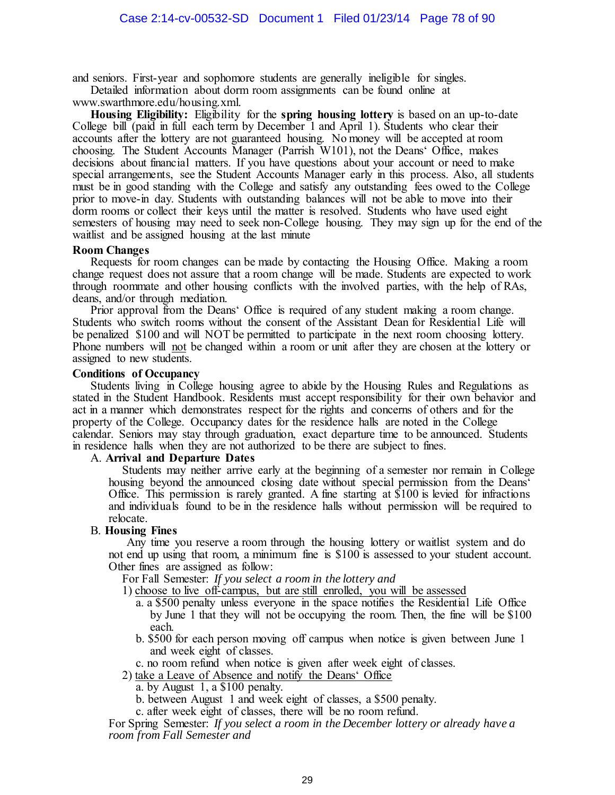and seniors. First-year and sophomore students are generally ineligible for singles.

Detailed information about dorm room assignments can be found online at

www.swarthmore.edu/housing.xml.

**Housing Eligibility:** Eligibility for the **spring housing lottery** is based on an up-to-date College bill (paid in full each term by December 1 and April 1). Students who clear their accounts after the lottery are not guaranteed housing. No money will be accepted at room choosing. The Student Accounts Manager (Parrish W101), not the Deans' Office, makes decisions about financial matters. If you have questions about your account or need to make special arrangements, see the Student Accounts Manager early in this process. Also, all students must be in good standing with the College and satisfy any outstanding fees owed to the College prior to move-in day. Students with outstanding balances will not be able to move into their dorm rooms or collect their keys until the matter is resolved. Students who have used eight semesters of housing may need to seek non-College housing. They may sign up for the end of the waitlist and be assigned housing at the last minute

# **Room Changes**

Requests for room changes can be made by contacting the Housing Office. Making a room change request does not assure that a room change will be made. Students are expected to work through roommate and other housing conflicts with the involved parties, with the help of RAs, deans, and/or through mediation.

Prior approval from the Deans' Office is required of any student making a room change. Students who switch rooms without the consent of the Assistant Dean for Residential Life will be penalized \$100 and will NOT be permitted to participate in the next room choosing lottery. Phone numbers will not be changed within a room or unit after they are chosen at the lottery or assigned to new students.

# **Conditions of Occupancy**

Students living in College housing agree to abide by the Housing Rules and Regulations as stated in the Student Handbook. Residents must accept responsibility for their own behavior and act in a manner which demonstrates respect for the rights and concerns of others and for the property of the College. Occupancy dates for the residence halls are noted in the College calendar. Seniors may stay through graduation, exact departure time to be announced. Students in residence halls when they are not authorized to be there are subject to fines.

# A. **Arrival and Departure Dates**

Students may neither arrive early at the beginning of a semester nor remain in College housing beyond the announced closing date without special permission from the Deans' Office. This permission is rarely granted. A fine starting at \$100 is levied for infractions and individuals found to be in the residence halls without permission will be required to relocate.

# B. **Housing Fines**

Any time you reserve a room through the housing lottery or waitlist system and do not end up using that room, a minimum fine is \$100 is assessed to your student account. Other fines are assigned as follow:

For Fall Semester: *If you select a room in the lottery and*

1) choose to live off-campus, but are still enrolled, you will be assessed

- a. a \$500 penalty unless everyone in the space notifies the Residential Life Office by June 1 that they will not be occupying the room. Then, the fine will be \$100 each.
- b. \$500 for each person moving off campus when notice is given between June 1 and week eight of classes.

c. no room refund when notice is given after week eight of classes.

2) take a Leave of Absence and notify the Deans' Office

a. by August 1, a \$100 penalty.

b. between August 1 and week eight of classes, a \$500 penalty.

c. after week eight of classes, there will be no room refund.

For Spring Semester: *If you select a room in the December lottery or already have a room from Fall Semester and*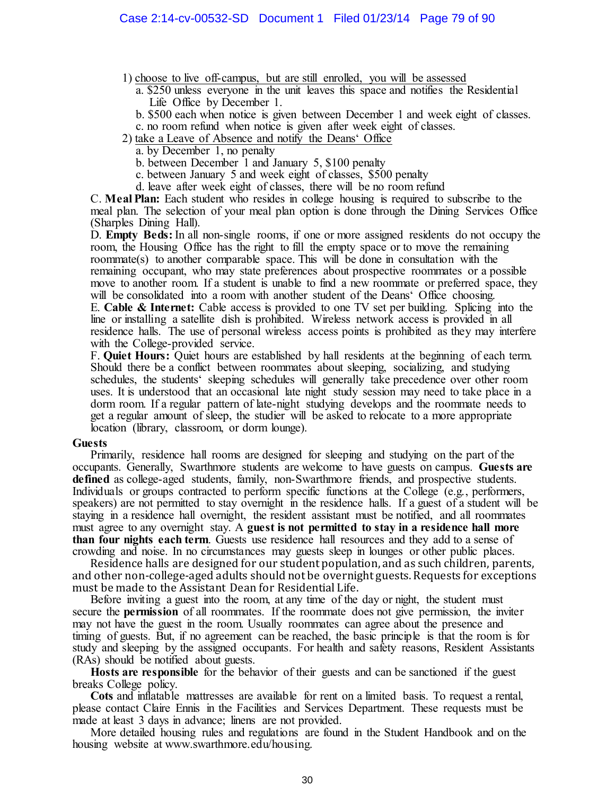- 1) choose to live off-campus, but are still enrolled, you will be assessed
	- a. \$250 unless everyone in the unit leaves this space and notifies the Residential Life Office by December 1.
	- b. \$500 each when notice is given between December 1 and week eight of classes.
	- c. no room refund when notice is given after week eight of classes.
- 2) take a Leave of Absence and notify the Deans' Office
	- a. by December 1, no penalty
	- b. between December 1 and January 5, \$100 penalty
	- c. between January 5 and week eight of classes, \$500 penalty
	- d. leave after week eight of classes, there will be no room refund

C. **Meal Plan:** Each student who resides in college housing is required to subscribe to the meal plan. The selection of your meal plan option is done through the Dining Services Office (Sharples Dining Hall).

D. **Empty Beds:** In all non-single rooms, if one or more assigned residents do not occupy the room, the Housing Office has the right to fill the empty space or to move the remaining roommate(s) to another comparable space. This will be done in consultation with the remaining occupant, who may state preferences about prospective roommates or a possible move to another room. If a student is unable to find a new roommate or preferred space, they will be consolidated into a room with another student of the Deans' Office choosing.

E. **Cable & Internet:** Cable access is provided to one TV set per building. Splicing into the line or installing a satellite dish is prohibited. Wireless network access is provided in all residence halls. The use of personal wireless access points is prohibited as they may interfere with the College-provided service.

F. **Quiet Hours:** Quiet hours are established by hall residents at the beginning of each term. Should there be a conflict between roommates about sleeping, socializing, and studying schedules, the students' sleeping schedules will generally take precedence over other room uses. It is understood that an occasional late night study session may need to take place in a dorm room. If a regular pattern of late-night studying develops and the roommate needs to get a regular amount of sleep, the studier will be asked to relocate to a more appropriate location (library, classroom, or dorm lounge).

#### **Guests**

Primarily, residence hall rooms are designed for sleeping and studying on the part of the occupants. Generally, Swarthmore students are welcome to have guests on campus. **Guests are defined** as college-aged students, family, non-Swarthmore friends, and prospective students. Individuals or groups contracted to perform specific functions at the College (e.g., performers, speakers) are not permitted to stay overnight in the residence halls. If a guest of a student will be staying in a residence hall overnight, the resident assistant must be notified, and all roommates must agree to any overnight stay. A **guest is not permitted to stay in a residence hall more than four nights each term**. Guests use residence hall resources and they add to a sense of crowding and noise. In no circumstances may guests sleep in lounges or other public places.

Residence halls are designed for our student population, and as such children, parents, and other non-college-aged adults should not be overnight guests. Requests for exceptions must be made to the Assistant Dean for Residential Life.

Before inviting a guest into the room, at any time of the day or night, the student must secure the **permission** of all roommates. If the roommate does not give permission, the inviter may not have the guest in the room. Usually roommates can agree about the presence and timing of guests. But, if no agreement can be reached, the basic principle is that the room is for study and sleeping by the assigned occupants. For health and safety reasons, Resident Assistants (RAs) should be notified about guests.

**Hosts are responsible** for the behavior of their guests and can be sanctioned if the guest breaks College policy.

**Cots** and inflatable mattresses are available for rent on a limited basis. To request a rental, please contact Claire Ennis in the Facilities and Services Department. These requests must be made at least 3 days in advance; linens are not provided.

More detailed housing rules and regulations are found in the Student Handbook and on the housing website at www.swarthmore.edu/housing.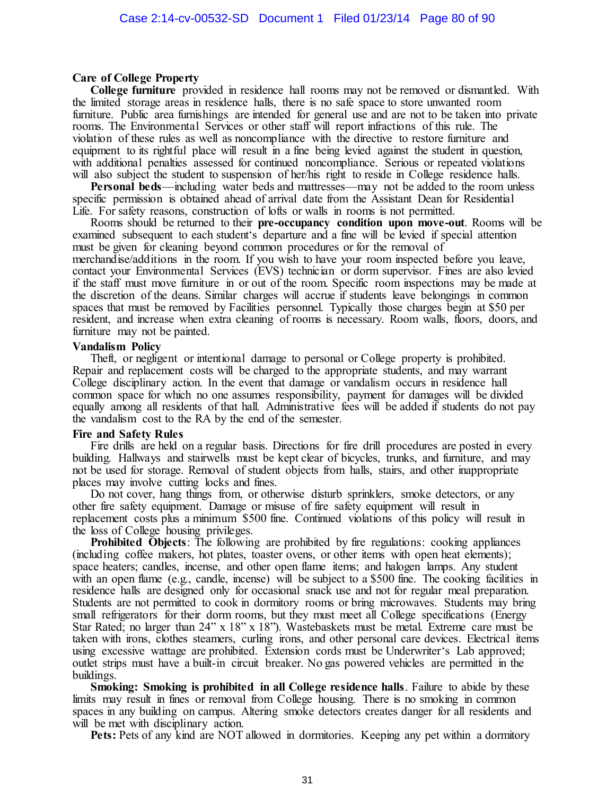#### **Care of College Property**

**College furniture** provided in residence hall rooms may not be removed or dismantled. With the limited storage areas in residence halls, there is no safe space to store unwanted room furniture. Public area furnishings are intended for general use and are not to be taken into private rooms. The Environmental Services or other staff will report infractions of this rule. The violation of these rules as well as noncompliance with the directive to restore furniture and equipment to its rightful place will result in a fine being levied against the student in question, with additional penalties assessed for continued noncompliance. Serious or repeated violations will also subject the student to suspension of her/his right to reside in College residence halls.

**Personal beds—including water beds and mattresses—may not be added to the room unless** specific permission is obtained ahead of arrival date from the Assistant Dean for Residential Life. For safety reasons, construction of lofts or walls in rooms is not permitted.

Rooms should be returned to their **pre-occupancy condition upon move-out**. Rooms will be examined subsequent to each student's departure and a fine will be levied if special attention must be given for cleaning beyond common procedures or for the removal of merchandise/additions in the room. If you wish to have your room inspected before you leave, contact your Environmental Services (EVS) technician or dorm supervisor. Fines are also levied if the staff must move furniture in or out of the room. Specific room inspections may be made at the discretion of the deans. Similar charges will accrue if students leave belongings in common spaces that must be removed by Facilities personnel. Typically those charges begin at \$50 per resident, and increase when extra cleaning of rooms is necessary. Room walls, floors, doors, and furniture may not be painted.

#### **Vandalism Policy**

Theft, or negligent or intentional damage to personal or College property is prohibited. Repair and replacement costs will be charged to the appropriate students, and may warrant College disciplinary action. In the event that damage or vandalism occurs in residence hall common space for which no one assumes responsibility, payment for damages will be divided equally among all residents of that hall. Administrative fees will be added if students do not pay the vandalism cost to the RA by the end of the semester.

#### **Fire and Safety Rules**

Fire drills are held on a regular basis. Directions for fire drill procedures are posted in every building. Hallways and stairwells must be kept clear of bicycles, trunks, and furniture, and may not be used for storage. Removal of student objects from halls, stairs, and other inappropriate places may involve cutting locks and fines.

Do not cover, hang things from, or otherwise disturb sprinklers, smoke detectors, or any other fire safety equipment. Damage or misuse of fire safety equipment will result in replacement costs plus a minimum \$500 fine. Continued violations of this policy will result in the loss of College housing privileges.

**Prohibited Objects**: The following are prohibited by fire regulations: cooking appliances (including coffee makers, hot plates, toaster ovens, or other items with open heat elements); space heaters; candles, incense, and other open flame items; and halogen lamps. Any student with an open flame (e.g., candle, incense) will be subject to a \$500 fine. The cooking facilities in residence halls are designed only for occasional snack use and not for regular meal preparation. Students are not permitted to cook in dormitory rooms or bring microwaves. Students may bring small refrigerators for their dorm rooms, but they must meet all College specifications (Energy Star Rated; no larger than  $24$ <sup>"</sup> x  $18$ " x  $18$ "). Wastebaskets must be metal. Extreme care must be taken with irons, clothes steamers, curling irons, and other personal care devices. Electrical items using excessive wattage are prohibited. Extension cords must be Underwriter's Lab approved; outlet strips must have a built-in circuit breaker. No gas powered vehicles are permitted in the buildings.

**Smoking: Smoking is prohibited in all College residence halls**. Failure to abide by these limits may result in fines or removal from College housing. There is no smoking in common spaces in any building on campus. Altering smoke detectors creates danger for all residents and will be met with disciplinary action.

**Pets:** Pets of any kind are NOT allowed in dormitories. Keeping any pet within a dormitory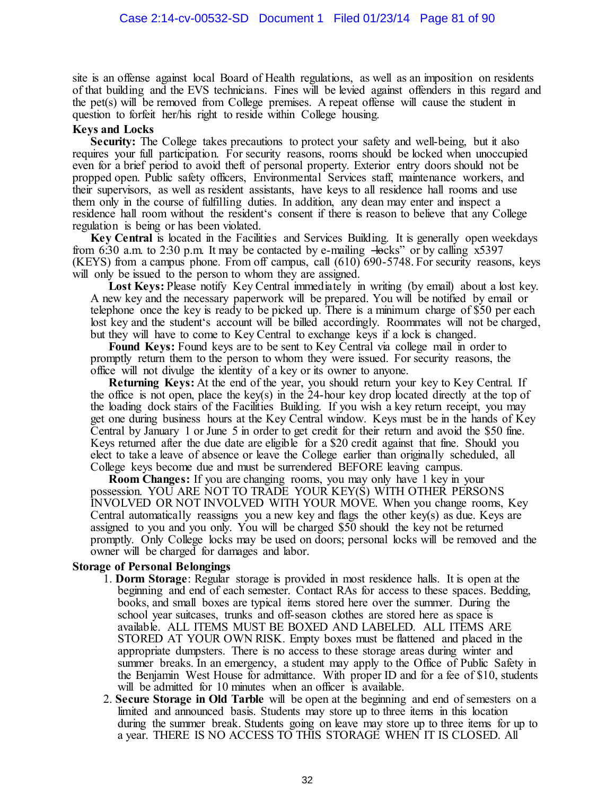site is an offense against local Board of Health regulations, as well as an imposition on residents of that building and the EVS technicians. Fines will be levied against offenders in this regard and the pet(s) will be removed from College premises. A repeat offense will cause the student in question to forfeit her/his right to reside within College housing.

# **Keys and Locks**

**Security:** The College takes precautions to protect your safety and well-being, but it also requires your full participation. For security reasons, rooms should be locked when unoccupied even for a brief period to avoid theft of personal property. Exterior entry doors should not be propped open. Public safety officers, Environmental Services staff, maintenance workers, and their supervisors, as well as resident assistants, have keys to all residence hall rooms and use them only in the course of fulfilling duties. In addition, any dean may enter and inspect a residence hall room without the resident's consent if there is reason to believe that any College regulation is being or has been violated.

**Key Central** is located in the Facilities and Services Building. It is generally open weekdays from 6:30 a.m. to 2:30 p.m. It may be contacted by e-mailing  $-$ locks" or by calling x5397 (KEYS) from a campus phone. From off campus, call (610) 690-5748. For security reasons, keys will only be issued to the person to whom they are assigned.

Lost Keys: Please notify Key Central immediately in writing (by email) about a lost key. A new key and the necessary paperwork will be prepared. You will be notified by email or telephone once the key is ready to be picked up. There is a minimum charge of \$50 per each lost key and the student's account will be billed accordingly. Roommates will not be charged, but they will have to come to Key Central to exchange keys if a lock is changed.

**Found Keys:** Found keys are to be sent to Key Central via college mail in order to promptly return them to the person to whom they were issued. For security reasons, the office will not divulge the identity of a key or its owner to anyone.

**Returning Keys:** At the end of the year, you should return your key to Key Central. If the office is not open, place the key(s) in the 24-hour key drop located directly at the top of the loading dock stairs of the Facilities Building. If you wish a key return receipt, you may get one during business hours at the Key Central window. Keys must be in the hands of Key Central by January 1 or June 5 in order to get credit for their return and avoid the \$50 fine. Keys returned after the due date are eligible for a \$20 credit against that fine. Should you elect to take a leave of absence or leave the College earlier than originally scheduled, all College keys become due and must be surrendered BEFORE leaving campus.

**Room Changes:** If you are changing rooms, you may only have 1 key in your possession. YOU ARE NOT TO TRADE YOUR KEY(S) WITH OTHER PERSONS INVOLVED OR NOT INVOLVED WITH YOUR MOVE. When you change rooms, Key Central automatically reassigns you a new key and flags the other key(s) as due. Keys are assigned to you and you only. You will be charged \$50 should the key not be returned promptly. Only College locks may be used on doors; personal locks will be removed and the owner will be charged for damages and labor.

# **Storage of Personal Belongings**

- 1. **Dorm Storage**: Regular storage is provided in most residence halls. It is open at the beginning and end of each semester. Contact RAs for access to these spaces. Bedding, books, and small boxes are typical items stored here over the summer. During the school year suitcases, trunks and off-season clothes are stored here as space is available. ALL ITEMS MUST BE BOXED AND LABELED. ALL ITEMS ARE STORED AT YOUR OWN RISK. Empty boxes must be flattened and placed in the appropriate dumpsters. There is no access to these storage areas during winter and summer breaks. In an emergency, a student may apply to the Office of Public Safety in the Benjamin West House for admittance. With proper ID and for a fee of \$10, students will be admitted for 10 minutes when an officer is available.
- 2. **Secure Storage in Old Tarble** will be open at the beginning and end of semesters on a limited and announced basis. Students may store up to three items in this location during the summer break. Students going on leave may store up to three items for up to a year. THERE IS NO ACCESS TO THIS STORAGE WHEN IT IS CLOSED. All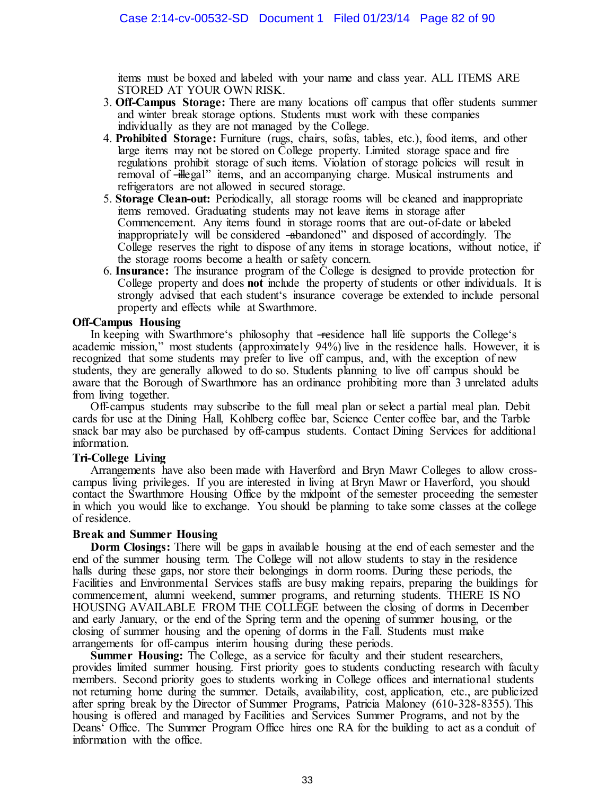items must be boxed and labeled with your name and class year. ALL ITEMS ARE STORED AT YOUR OWN RISK.

- 3. **Off-Campus Storage:** There are many locations off campus that offer students summer and winter break storage options. Students must work with these companies individually as they are not managed by the College.
- 4. **Prohibited Storage:** Furniture (rugs, chairs, sofas, tables, etc.), food items, and other large items may not be stored on College property. Limited storage space and fire regulations prohibit storage of such items. Violation of storage policies will result in removal of -illegal" items, and an accompanying charge. Musical instruments and refrigerators are not allowed in secured storage.
- 5. **Storage Clean-out:** Periodically, all storage rooms will be cleaned and inappropriate items removed. Graduating students may not leave items in storage after Commencement. Any items found in storage rooms that are out-of-date or labeled inappropriately will be considered —abandoned" and disposed of accordingly. The College reserves the right to dispose of any items in storage locations, without notice, if the storage rooms become a health or safety concern.
- 6. **Insurance:** The insurance program of the College is designed to provide protection for College property and does **not** include the property of students or other individuals. It is strongly advised that each student's insurance coverage be extended to include personal property and effects while at Swarthmore.

# **Off-Campus Housing**

In keeping with Swarthmore's philosophy that —residence hall life supports the College's academic mission," most students (approximately 94%) live in the residence halls. However, it is recognized that some students may prefer to live off campus, and, with the exception of new students, they are generally allowed to do so. Students planning to live off campus should be aware that the Borough of Swarthmore has an ordinance prohibiting more than 3 unrelated adults from living together.

Off-campus students may subscribe to the full meal plan or select a partial meal plan. Debit cards for use at the Dining Hall, Kohlberg coffee bar, Science Center coffee bar, and the Tarble snack bar may also be purchased by off-campus students. Contact Dining Services for additional information.

#### **Tri-College Living**

Arrangements have also been made with Haverford and Bryn Mawr Colleges to allow crosscampus living privileges. If you are interested in living at Bryn Mawr or Haverford, you should contact the Swarthmore Housing Office by the midpoint of the semester proceeding the semester in which you would like to exchange. You should be planning to take some classes at the college of residence.

# **Break and Summer Housing**

**Dorm Closings:** There will be gaps in available housing at the end of each semester and the end of the summer housing term. The College will not allow students to stay in the residence halls during these gaps, nor store their belongings in dorm rooms. During these periods, the Facilities and Environmental Services staffs are busy making repairs, preparing the buildings for commencement, alumni weekend, summer programs, and returning students. THERE IS NO HOUSING AVAILABLE FROM THE COLLEGE between the closing of dorms in December and early January, or the end of the Spring term and the opening of summer housing, or the closing of summer housing and the opening of dorms in the Fall. Students must make arrangements for off-campus interim housing during these periods.

**Summer Housing:** The College, as a service for faculty and their student researchers, provides limited summer housing. First priority goes to students conducting research with faculty members. Second priority goes to students working in College offices and international students not returning home during the summer. Details, availability, cost, application, etc., are publicized after spring break by the Director of Summer Programs, Patricia Maloney (610-328-8355). This housing is offered and managed by Facilities and Services Summer Programs, and not by the Deans' Office. The Summer Program Office hires one RA for the building to act as a conduit of information with the office.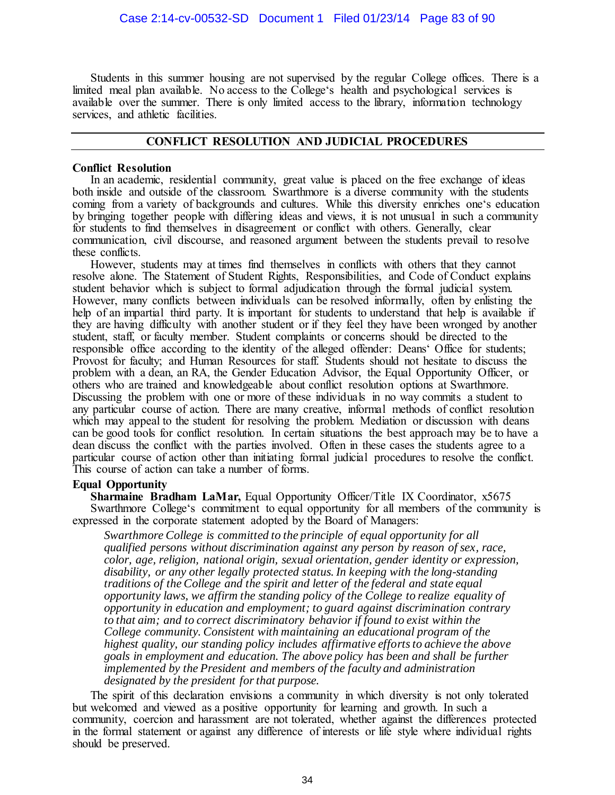Students in this summer housing are not supervised by the regular College offices. There is a limited meal plan available. No access to the College's health and psychological services is available over the summer. There is only limited access to the library, information technology services, and athletic facilities.

# **CONFLICT RESOLUTION AND JUDICIAL PROCEDURES**

#### **Conflict Resolution**

In an academic, residential community, great value is placed on the free exchange of ideas both inside and outside of the classroom. Swarthmore is a diverse community with the students coming from a variety of backgrounds and cultures. While this diversity enriches one's education by bringing together people with differing ideas and views, it is not unusual in such a community for students to find themselves in disagreement or conflict with others. Generally, clear communication, civil discourse, and reasoned argument between the students prevail to resolve these conflicts.

However, students may at times find themselves in conflicts with others that they cannot resolve alone. The Statement of Student Rights, Responsibilities, and Code of Conduct explains student behavior which is subject to formal adjudication through the formal judicial system. However, many conflicts between individuals can be resolved informally, often by enlisting the help of an impartial third party. It is important for students to understand that help is available if they are having difficulty with another student or if they feel they have been wronged by another student, staff, or faculty member. Student complaints or concerns should be directed to the responsible office according to the identity of the alleged offender: Deans' Office for students; Provost for faculty; and Human Resources for staff. Students should not hesitate to discuss the problem with a dean, an RA, the Gender Education Advisor, the Equal Opportunity Officer, or others who are trained and knowledgeable about conflict resolution options at Swarthmore. Discussing the problem with one or more of these individuals in no way commits a student to any particular course of action. There are many creative, informal methods of conflict resolution which may appeal to the student for resolving the problem. Mediation or discussion with deans can be good tools for conflict resolution. In certain situations the best approach may be to have a dean discuss the conflict with the parties involved. Often in these cases the students agree to a particular course of action other than initiating formal judicial procedures to resolve the conflict. This course of action can take a number of forms.

# **Equal Opportunity**

**Sharmaine Bradham LaMar, Equal Opportunity Officer/Title IX Coordinator, x5675** Swarthmore College's commitment to equal opportunity for all members of the community is expressed in the corporate statement adopted by the Board of Managers:

*Swarthmore College is committed to the principle of equal opportunity for all qualified persons without discrimination against any person by reason of sex, race, color, age, religion, national origin, sexual orientation, gender identity or expression, disability, or any other legally protected status. In keeping with the long-standing traditions of the College and the spirit and letter of the federal and state equal opportunity laws, we affirm the standing policy of the College to realize equality of opportunity in education and employment; to guard against discrimination contrary to that aim; and to correct discriminatory behavior if found to exist within the College community. Consistent with maintaining an educational program of the highest quality, our standing policy includes affirmative efforts to achieve the above goals in employment and education. The above policy has been and shall be further implemented by the President and members of the faculty and administration designated by the president for that purpose.* 

The spirit of this declaration envisions a community in which diversity is not only tolerated but welcomed and viewed as a positive opportunity for learning and growth. In such a community, coercion and harassment are not tolerated, whether against the differences protected in the formal statement or against any difference of interests or life style where individual rights should be preserved.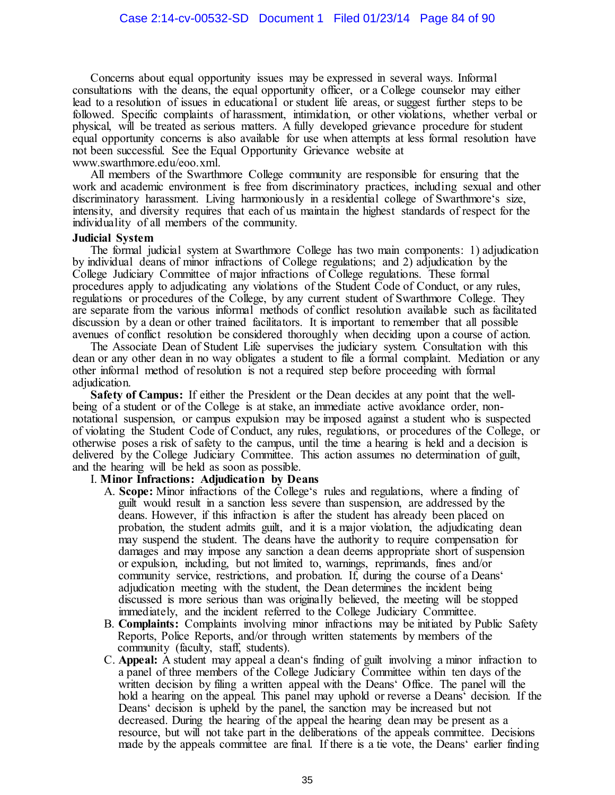Concerns about equal opportunity issues may be expressed in several ways. Informal consultations with the deans, the equal opportunity officer, or a College counselor may either lead to a resolution of issues in educational or student life areas, or suggest further steps to be followed. Specific complaints of harassment, intimidation, or other violations, whether verbal or physical, will be treated as serious matters. A fully developed grievance procedure for student equal opportunity concerns is also available for use when attempts at less formal resolution have not been successful. See the Equal Opportunity Grievance website at www.swarthmore.edu/eoo.xml.

All members of the Swarthmore College community are responsible for ensuring that the work and academic environment is free from discriminatory practices, including sexual and other discriminatory harassment. Living harmoniously in a residential college of Swarthmore's size, intensity, and diversity requires that each of us maintain the highest standards of respect for the individuality of all members of the community.

#### **Judicial System**

The formal judicial system at Swarthmore College has two main components: 1) adjudication by individual deans of minor infractions of College regulations; and 2) adjudication by the College Judiciary Committee of major infractions of College regulations. These formal procedures apply to adjudicating any violations of the Student Code of Conduct, or any rules, regulations or procedures of the College, by any current student of Swarthmore College. They are separate from the various informal methods of conflict resolution available such as facilitated discussion by a dean or other trained facilitators. It is important to remember that all possible avenues of conflict resolution be considered thoroughly when deciding upon a course of action.

The Associate Dean of Student Life supervises the judiciary system. Consultation with this dean or any other dean in no way obligates a student to file a formal complaint. Mediation or any other informal method of resolution is not a required step before proceeding with formal adjudication.

**Safety of Campus:** If either the President or the Dean decides at any point that the wellbeing of a student or of the College is at stake, an immediate active avoidance order, nonnotational suspension, or campus expulsion may be imposed against a student who is suspected of violating the Student Code of Conduct, any rules, regulations, or procedures of the College, or otherwise poses a risk of safety to the campus, until the time a hearing is held and a decision is delivered by the College Judiciary Committee. This action assumes no determination of guilt, and the hearing will be held as soon as possible.

#### I. **Minor Infractions: Adjudication by Deans**

- A. **Scope:** Minor infractions of the College's rules and regulations, where a finding of guilt would result in a sanction less severe than suspension, are addressed by the deans. However, if this infraction is after the student has already been placed on probation, the student admits guilt, and it is a major violation, the adjudicating dean may suspend the student. The deans have the authority to require compensation for damages and may impose any sanction a dean deems appropriate short of suspension or expulsion, including, but not limited to, warnings, reprimands, fines and/or community service, restrictions, and probation. If, during the course of a Deans' adjudication meeting with the student, the Dean determines the incident being discussed is more serious than was originally believed, the meeting will be stopped immediately, and the incident referred to the College Judiciary Committee.
- B. **Complaints:** Complaints involving minor infractions may be initiated by Public Safety Reports, Police Reports, and/or through written statements by members of the community (faculty, staff, students).
- C. **Appeal:** A student may appeal a dean's finding of guilt involving a minor infraction to a panel of three members of the College Judiciary Committee within ten days of the written decision by filing a written appeal with the Deans' Office. The panel will the hold a hearing on the appeal. This panel may uphold or reverse a Deans' decision. If the Deans' decision is upheld by the panel, the sanction may be increased but not decreased. During the hearing of the appeal the hearing dean may be present as a resource, but will not take part in the deliberations of the appeals committee. Decisions made by the appeals committee are final. If there is a tie vote, the Deans' earlier finding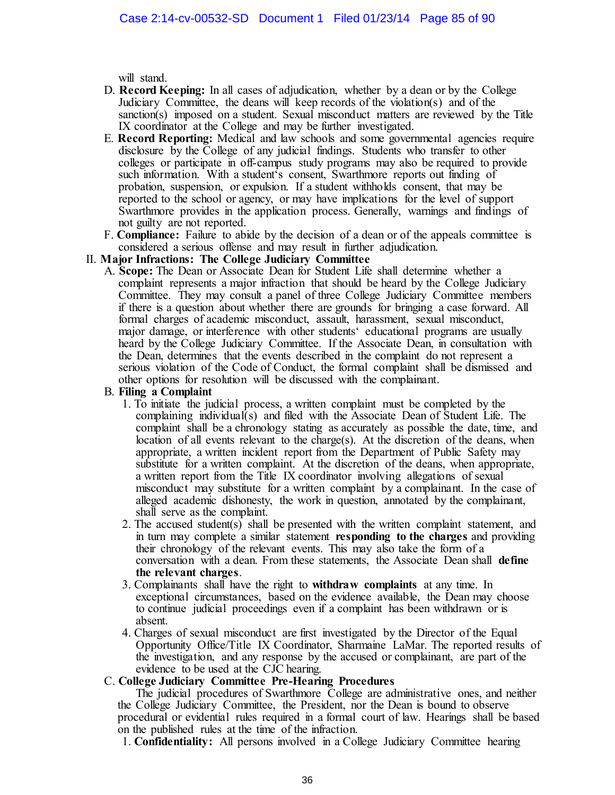will stand.

- D. **Record Keeping:** In all cases of adjudication, whether by a dean or by the College Judiciary Committee, the deans will keep records of the violation(s) and of the sanction(s) imposed on a student. Sexual misconduct matters are reviewed by the Title IX coordinator at the College and may be further investigated.
- E. **Record Reporting:** Medical and law schools and some governmental agencies require disclosure by the College of any judicial findings. Students who transfer to other colleges or participate in off-campus study programs may also be required to provide such information. With a student's consent, Swarthmore reports out finding of probation, suspension, or expulsion. If a student withholds consent, that may be reported to the school or agency, or may have implications for the level of support Swarthmore provides in the application process. Generally, warnings and findings of not guilty are not reported.
- F. **Compliance:** Failure to abide by the decision of a dean or of the appeals committee is considered a serious offense and may result in further adjudication.

# II. **Major Infractions: The College Judiciary Committee**

A. **Scope:** The Dean or Associate Dean for Student Life shall determine whether a complaint represents a major infraction that should be heard by the College Judiciary Committee. They may consult a panel of three College Judiciary Committee members if there is a question about whether there are grounds for bringing a case forward. All formal charges of academic misconduct, assault, harassment, sexual misconduct, major damage, or interference with other students' educational programs are usually heard by the College Judiciary Committee. If the Associate Dean, in consultation with the Dean, determines that the events described in the complaint do not represent a serious violation of the Code of Conduct, the formal complaint shall be dismissed and other options for resolution will be discussed with the complainant.

#### B. **Filing a Complaint**

- 1. To initiate the judicial process, a written complaint must be completed by the complaining individual(s) and filed with the Associate Dean of Student Life. The complaint shall be a chronology stating as accurately as possible the date, time, and location of all events relevant to the charge(s). At the discretion of the deans, when appropriate, a written incident report from the Department of Public Safety may substitute for a written complaint. At the discretion of the deans, when appropriate, a written report from the Title IX coordinator involving allegations of sexual misconduct may substitute for a written complaint by a complainant. In the case of alleged academic dishonesty, the work in question, annotated by the complainant, shall serve as the complaint.
- 2. The accused student(s) shall be presented with the written complaint statement, and in turn may complete a similar statement **responding to the charges** and providing their chronology of the relevant events. This may also take the form of a conversation with a dean. From these statements, the Associate Dean shall **define the relevant charges**.
- 3. Complainants shall have the right to **withdraw complaints** at any time. In exceptional circumstances, based on the evidence available, the Dean may choose to continue judicial proceedings even if a complaint has been withdrawn or is absent.
- 4. Charges of sexual misconduct are first investigated by the Director of the Equal Opportunity Office/Title IX Coordinator, Sharmaine LaMar. The reported results of the investigation, and any response by the accused or complainant, are part of the evidence to be used at the CJC hearing.

# C. **College Judiciary Committee Pre-Hearing Procedures**

The judicial procedures of Swarthmore College are administrative ones, and neither the College Judiciary Committee, the President, nor the Dean is bound to observe procedural or evidential rules required in a formal court of law. Hearings shall be based on the published rules at the time of the infraction.

1. **Confidentiality:** All persons involved in a College Judiciary Committee hearing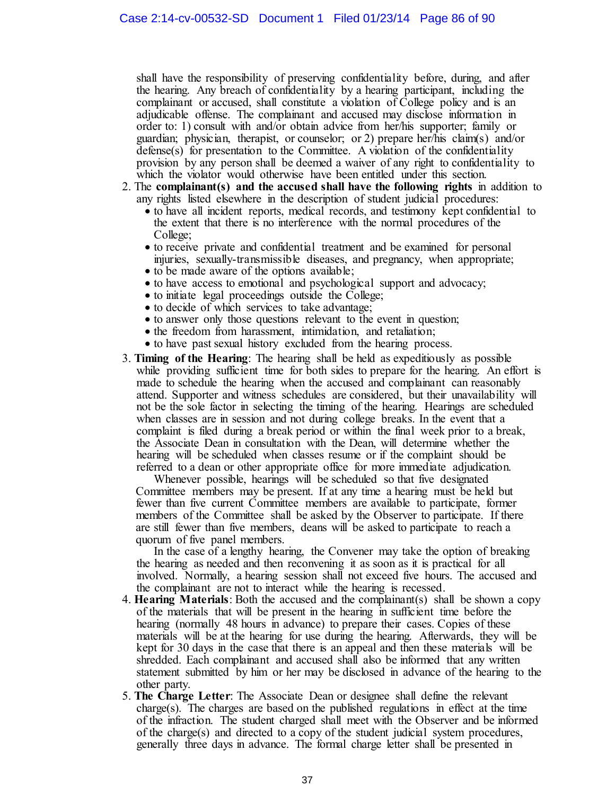shall have the responsibility of preserving confidentiality before, during, and after the hearing. Any breach of confidentiality by a hearing participant, including the complainant or accused, shall constitute a violation of College policy and is an adjudicable offense. The complainant and accused may disclose information in order to: 1) consult with and/or obtain advice from her/his supporter; family or guardian; physician, therapist, or counselor; or 2) prepare her/his claim(s) and/or defense(s) for presentation to the Committee. A violation of the confidentiality provision by any person shall be deemed a waiver of any right to confidentiality to which the violator would otherwise have been entitled under this section.

- 2. The **complainant(s) and the accused shall have the following rights** in addition to any rights listed elsewhere in the description of student judicial procedures:
	- to have all incident reports, medical records, and testimony kept confidential to the extent that there is no interference with the normal procedures of the College;
	- to receive private and confidential treatment and be examined for personal injuries, sexually-transmissible diseases, and pregnancy, when appropriate;
	- to be made aware of the options available;
	- to have access to emotional and psychological support and advocacy;
	- to initiate legal proceedings outside the College;
	- to decide of which services to take advantage;
	- to answer only those questions relevant to the event in question;
	- the freedom from harassment, intimidation, and retaliation;
	- to have past sexual history excluded from the hearing process.
- 3. **Timing of the Hearing**: The hearing shall be held as expeditiously as possible while providing sufficient time for both sides to prepare for the hearing. An effort is made to schedule the hearing when the accused and complainant can reasonably attend. Supporter and witness schedules are considered, but their unavailability will not be the sole factor in selecting the timing of the hearing. Hearings are scheduled when classes are in session and not during college breaks. In the event that a complaint is filed during a break period or within the final week prior to a break, the Associate Dean in consultation with the Dean, will determine whether the hearing will be scheduled when classes resume or if the complaint should be referred to a dean or other appropriate office for more immediate adjudication.

Whenever possible, hearings will be scheduled so that five designated Committee members may be present. If at any time a hearing must be held but fewer than five current Committee members are available to participate, former members of the Committee shall be asked by the Observer to participate. If there are still fewer than five members, deans will be asked to participate to reach a quorum of five panel members.

In the case of a lengthy hearing, the Convener may take the option of breaking the hearing as needed and then reconvening it as soon as it is practical for all involved. Normally, a hearing session shall not exceed five hours. The accused and the complainant are not to interact while the hearing is recessed.

- 4. **Hearing Materials**: Both the accused and the complainant(s) shall be shown a copy of the materials that will be present in the hearing in sufficient time before the hearing (normally 48 hours in advance) to prepare their cases. Copies of these materials will be at the hearing for use during the hearing. Afterwards, they will be kept for 30 days in the case that there is an appeal and then these materials will be shredded. Each complainant and accused shall also be informed that any written statement submitted by him or her may be disclosed in advance of the hearing to the other party.
- 5. **The Charge Letter**: The Associate Dean or designee shall define the relevant charge(s). The charges are based on the published regulations in effect at the time of the infraction. The student charged shall meet with the Observer and be informed of the charge(s) and directed to a copy of the student judicial system procedures, generally three days in advance. The formal charge letter shall be presented in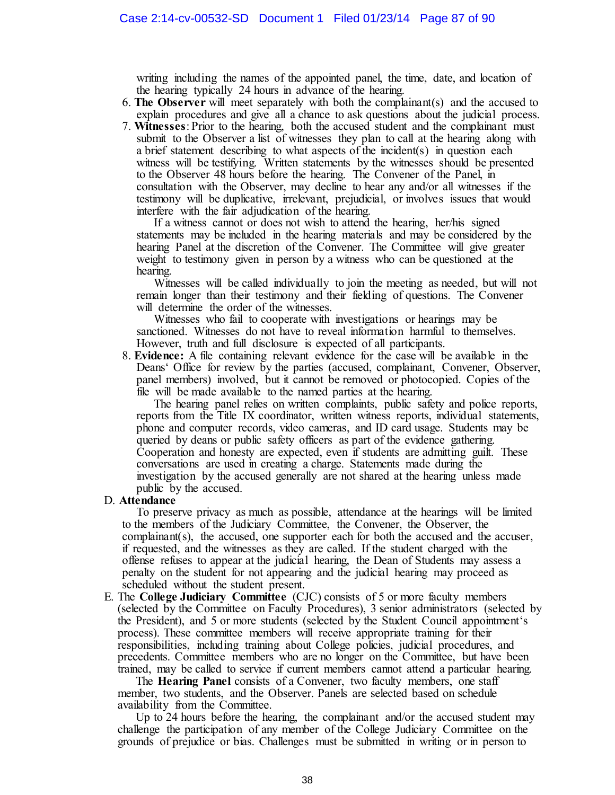writing including the names of the appointed panel, the time, date, and location of the hearing typically 24 hours in advance of the hearing.

- 6. **The Observer** will meet separately with both the complainant(s) and the accused to explain procedures and give all a chance to ask questions about the judicial process.
- 7. **Witnesses**: Prior to the hearing, both the accused student and the complainant must submit to the Observer a list of witnesses they plan to call at the hearing along with a brief statement describing to what aspects of the incident(s) in question each witness will be testifying. Written statements by the witnesses should be presented to the Observer 48 hours before the hearing. The Convener of the Panel, in consultation with the Observer, may decline to hear any and/or all witnesses if the testimony will be duplicative, irrelevant, prejudicial, or involves issues that would interfere with the fair adjudication of the hearing.

If a witness cannot or does not wish to attend the hearing, her/his signed statements may be included in the hearing materials and may be considered by the hearing Panel at the discretion of the Convener. The Committee will give greater weight to testimony given in person by a witness who can be questioned at the hearing.

Witnesses will be called individually to join the meeting as needed, but will not remain longer than their testimony and their fielding of questions. The Convener will determine the order of the witnesses.

Witnesses who fail to cooperate with investigations or hearings may be sanctioned. Witnesses do not have to reveal information harmful to themselves. However, truth and full disclosure is expected of all participants.

8. **Evidence:** A file containing relevant evidence for the case will be available in the Deans' Office for review by the parties (accused, complainant, Convener, Observer, panel members) involved, but it cannot be removed or photocopied. Copies of the file will be made available to the named parties at the hearing.

The hearing panel relies on written complaints, public safety and police reports, reports from the Title IX coordinator, written witness reports, individual statements, phone and computer records, video cameras, and ID card usage. Students may be queried by deans or public safety officers as part of the evidence gathering. Cooperation and honesty are expected, even if students are admitting guilt. These conversations are used in creating a charge. Statements made during the investigation by the accused generally are not shared at the hearing unless made public by the accused.

# D. **Attendance**

To preserve privacy as much as possible, attendance at the hearings will be limited to the members of the Judiciary Committee, the Convener, the Observer, the complainant(s), the accused, one supporter each for both the accused and the accuser, if requested, and the witnesses as they are called. If the student charged with the offense refuses to appear at the judicial hearing, the Dean of Students may assess a penalty on the student for not appearing and the judicial hearing may proceed as scheduled without the student present.

E. The **College Judiciary Committee** (CJC) consists of 5 or more faculty members (selected by the Committee on Faculty Procedures), 3 senior administrators (selected by the President), and 5 or more students (selected by the Student Council appointment's process). These committee members will receive appropriate training for their responsibilities, including training about College policies, judicial procedures, and precedents. Committee members who are no longer on the Committee, but have been trained, may be called to service if current members cannot attend a particular hearing.

The **Hearing Panel** consists of a Convener, two faculty members, one staff member, two students, and the Observer. Panels are selected based on schedule availability from the Committee.

Up to 24 hours before the hearing, the complainant and/or the accused student may challenge the participation of any member of the College Judiciary Committee on the grounds of prejudice or bias. Challenges must be submitted in writing or in person to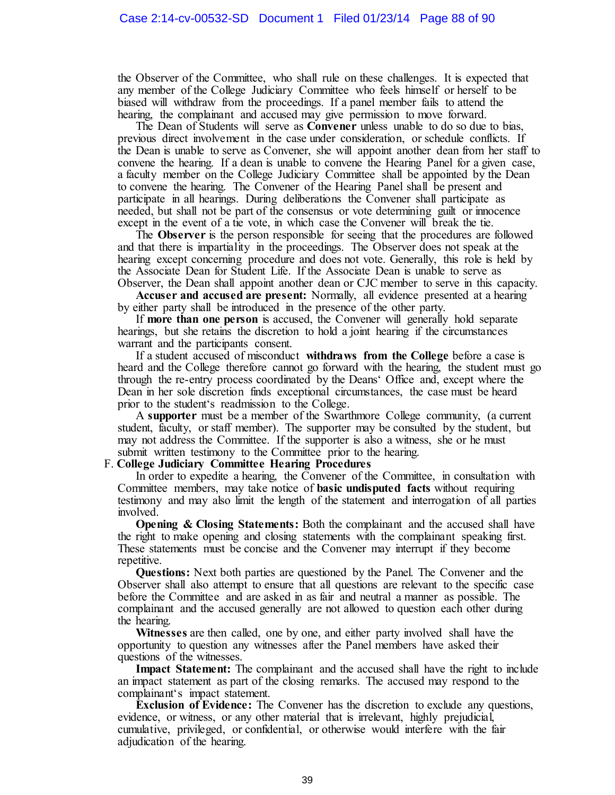the Observer of the Committee, who shall rule on these challenges. It is expected that any member of the College Judiciary Committee who feels himself or herself to be biased will withdraw from the proceedings. If a panel member fails to attend the hearing, the complainant and accused may give permission to move forward.

The Dean of Students will serve as **Convener** unless unable to do so due to bias, previous direct involvement in the case under consideration, or schedule conflicts. If the Dean is unable to serve as Convener, she will appoint another dean from her staff to convene the hearing. If a dean is unable to convene the Hearing Panel for a given case, a faculty member on the College Judiciary Committee shall be appointed by the Dean to convene the hearing. The Convener of the Hearing Panel shall be present and participate in all hearings. During deliberations the Convener shall participate as needed, but shall not be part of the consensus or vote determining guilt or innocence except in the event of a tie vote, in which case the Convener will break the tie.

The **Observer** is the person responsible for seeing that the procedures are followed and that there is impartiality in the proceedings. The Observer does not speak at the hearing except concerning procedure and does not vote. Generally, this role is held by the Associate Dean for Student Life. If the Associate Dean is unable to serve as Observer, the Dean shall appoint another dean or CJC member to serve in this capacity.

**Accuser and accused are present:** Normally, all evidence presented at a hearing by either party shall be introduced in the presence of the other party.

If **more than one person** is accused, the Convener will generally hold separate hearings, but she retains the discretion to hold a joint hearing if the circumstances warrant and the participants consent.

If a student accused of misconduct **withdraws from the College** before a case is heard and the College therefore cannot go forward with the hearing, the student must go through the re-entry process coordinated by the Deans' Office and, except where the Dean in her sole discretion finds exceptional circumstances, the case must be heard prior to the student's readmission to the College.

A **supporter** must be a member of the Swarthmore College community, (a current student, faculty, or staff member). The supporter may be consulted by the student, but may not address the Committee. If the supporter is also a witness, she or he must submit written testimony to the Committee prior to the hearing.

#### F. **College Judiciary Committee Hearing Procedures**

In order to expedite a hearing, the Convener of the Committee, in consultation with Committee members, may take notice of **basic undisputed facts** without requiring testimony and may also limit the length of the statement and interrogation of all parties involved.

**Opening & Closing Statements:** Both the complainant and the accused shall have the right to make opening and closing statements with the complainant speaking first. These statements must be concise and the Convener may interrupt if they become repetitive.

**Questions:** Next both parties are questioned by the Panel. The Convener and the Observer shall also attempt to ensure that all questions are relevant to the specific case before the Committee and are asked in as fair and neutral a manner as possible. The complainant and the accused generally are not allowed to question each other during the hearing.

**Witnesses** are then called, one by one, and either party involved shall have the opportunity to question any witnesses after the Panel members have asked their questions of the witnesses.

**Impact Statement:** The complainant and the accused shall have the right to include an impact statement as part of the closing remarks. The accused may respond to the complainant's impact statement.

**Exclusion of Evidence:** The Convener has the discretion to exclude any questions, evidence, or witness, or any other material that is irrelevant, highly prejudicial, cumulative, privileged, or confidential, or otherwise would interfere with the fair adjudication of the hearing.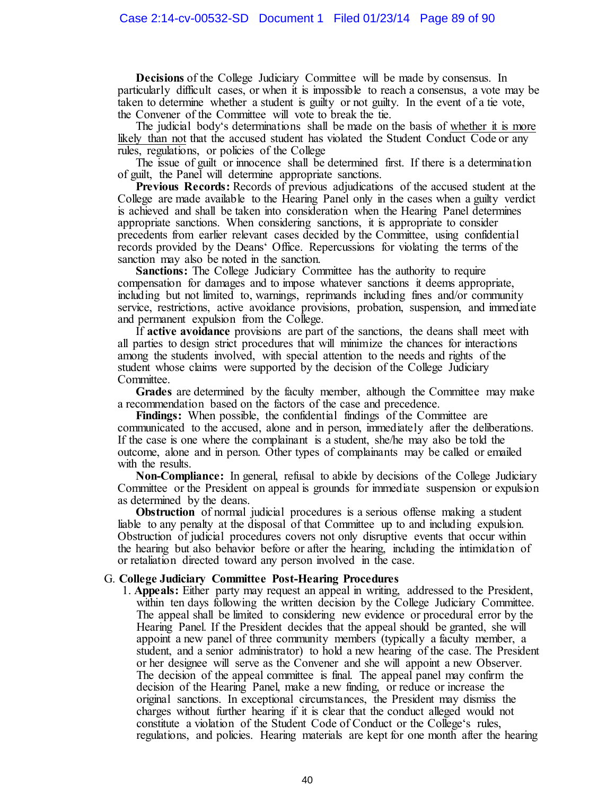**Decisions** of the College Judiciary Committee will be made by consensus. In particularly difficult cases, or when it is impossible to reach a consensus, a vote may be taken to determine whether a student is guilty or not guilty. In the event of a tie vote, the Convener of the Committee will vote to break the tie.

The judicial body's determinations shall be made on the basis of whether it is more likely than not that the accused student has violated the Student Conduct Code or any rules, regulations, or policies of the College

The issue of guilt or innocence shall be determined first. If there is a determination of guilt, the Panel will determine appropriate sanctions.

**Previous Records:** Records of previous adjudications of the accused student at the College are made available to the Hearing Panel only in the cases when a guilty verdict is achieved and shall be taken into consideration when the Hearing Panel determines appropriate sanctions. When considering sanctions, it is appropriate to consider precedents from earlier relevant cases decided by the Committee, using confidential records provided by the Deans' Office. Repercussions for violating the terms of the sanction may also be noted in the sanction.

**Sanctions:** The College Judiciary Committee has the authority to require compensation for damages and to impose whatever sanctions it deems appropriate, including but not limited to, warnings, reprimands including fines and/or community service, restrictions, active avoidance provisions, probation, suspension, and immediate and permanent expulsion from the College.

If **active avoidance** provisions are part of the sanctions, the deans shall meet with all parties to design strict procedures that will minimize the chances for interactions among the students involved, with special attention to the needs and rights of the student whose claims were supported by the decision of the College Judiciary Committee.

**Grades** are determined by the faculty member, although the Committee may make a recommendation based on the factors of the case and precedence.

**Findings:** When possible, the confidential findings of the Committee are communicated to the accused, alone and in person, immediately after the deliberations. If the case is one where the complainant is a student, she/he may also be told the outcome, alone and in person. Other types of complainants may be called or emailed with the results.

**Non-Compliance:** In general, refusal to abide by decisions of the College Judiciary Committee or the President on appeal is grounds for immediate suspension or expulsion as determined by the deans.

**Obstruction** of normal judicial procedures is a serious offense making a student liable to any penalty at the disposal of that Committee up to and including expulsion. Obstruction of judicial procedures covers not only disruptive events that occur within the hearing but also behavior before or after the hearing, including the intimidation of or retaliation directed toward any person involved in the case.

#### G. **College Judiciary Committee Post-Hearing Procedures**

1. **Appeals:** Either party may request an appeal in writing, addressed to the President, within ten days following the written decision by the College Judiciary Committee. The appeal shall be limited to considering new evidence or procedural error by the Hearing Panel. If the President decides that the appeal should be granted, she will appoint a new panel of three community members (typically a faculty member, a student, and a senior administrator) to hold a new hearing of the case. The President or her designee will serve as the Convener and she will appoint a new Observer. The decision of the appeal committee is final. The appeal panel may confirm the decision of the Hearing Panel, make a new finding, or reduce or increase the original sanctions. In exceptional circumstances, the President may dismiss the charges without further hearing if it is clear that the conduct alleged would not constitute a violation of the Student Code of Conduct or the College's rules, regulations, and policies. Hearing materials are kept for one month after the hearing